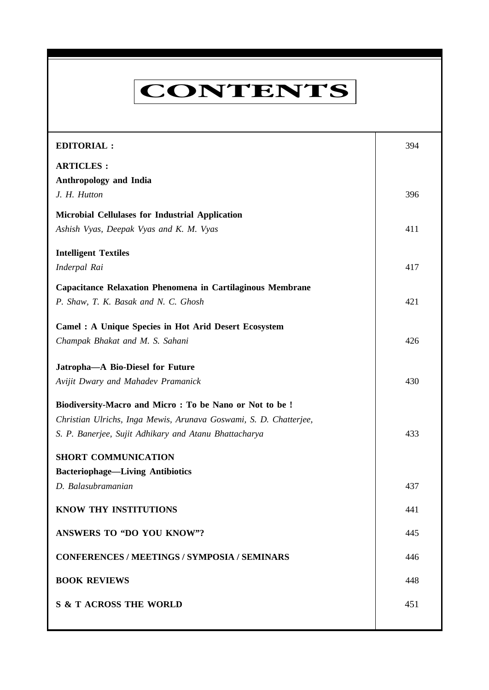# **CONTENTS**

**Everyman's Science VOL. XL NO. 6, February '06—March '06**

| <b>EDITORIAL:</b>                                                 | 394 |
|-------------------------------------------------------------------|-----|
| <b>ARTICLES:</b>                                                  |     |
| <b>Anthropology and India</b>                                     |     |
| J. H. Hutton                                                      | 396 |
| <b>Microbial Cellulases for Industrial Application</b>            |     |
| Ashish Vyas, Deepak Vyas and K. M. Vyas                           | 411 |
| <b>Intelligent Textiles</b>                                       |     |
| Inderpal Rai                                                      | 417 |
| Capacitance Relaxation Phenomena in Cartilaginous Membrane        |     |
| P. Shaw, T. K. Basak and N. C. Ghosh                              | 421 |
| <b>Camel : A Unique Species in Hot Arid Desert Ecosystem</b>      |     |
| Champak Bhakat and M. S. Sahani                                   | 426 |
| Jatropha-A Bio-Diesel for Future                                  |     |
|                                                                   |     |
| Avijit Dwary and Mahadev Pramanick                                | 430 |
| Biodiversity-Macro and Micro: To be Nano or Not to be!            |     |
| Christian Ulrichs, Inga Mewis, Arunava Goswami, S. D. Chatterjee, |     |
| S. P. Banerjee, Sujit Adhikary and Atanu Bhattacharya             | 433 |
| <b>SHORT COMMUNICATION</b>                                        |     |
| <b>Bacteriophage-Living Antibiotics</b>                           |     |
| D. Balasubramanian                                                | 437 |
| <b>KNOW THY INSTITUTIONS</b>                                      | 441 |
| <b>ANSWERS TO "DO YOU KNOW"?</b>                                  | 445 |
| <b>CONFERENCES / MEETINGS / SYMPOSIA / SEMINARS</b>               | 446 |
| <b>BOOK REVIEWS</b>                                               | 448 |
| <b>S &amp; T ACROSS THE WORLD</b>                                 | 451 |
|                                                                   |     |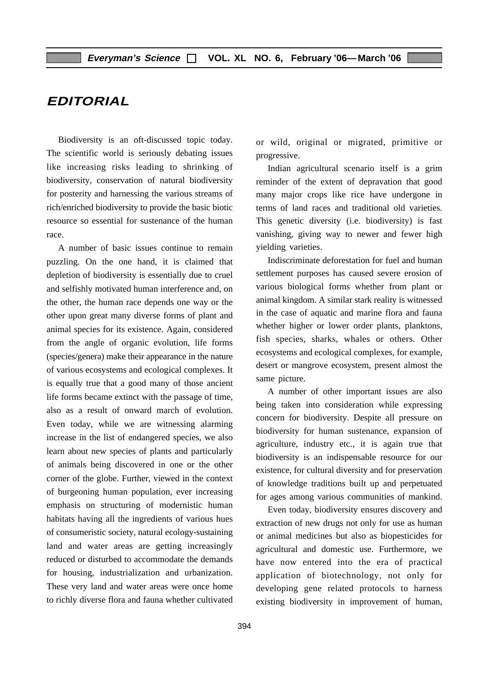# **EDITORIAL**

Biodiversity is an oft-discussed topic today. The scientific world is seriously debating issues like increasing risks leading to shrinking of biodiversity, conservation of natural biodiversity for posterity and harnessing the various streams of rich/enriched biodiversity to provide the basic biotic resource so essential for sustenance of the human race.

A number of basic issues continue to remain puzzling. On the one hand, it is claimed that depletion of biodiversity is essentially due to cruel and selfishly motivated human interference and, on the other, the human race depends one way or the other upon great many diverse forms of plant and animal species for its existence. Again, considered from the angle of organic evolution, life forms (species/genera) make their appearance in the nature of various ecosystems and ecological complexes. It is equally true that a good many of those ancient life forms became extinct with the passage of time, also as a result of onward march of evolution. Even today, while we are witnessing alarming increase in the list of endangered species, we also learn about new species of plants and particularly of animals being discovered in one or the other corner of the globe. Further, viewed in the context of burgeoning human population, ever increasing emphasis on structuring of modernistic human habitats having all the ingredients of various hues of consumeristic society, natural ecology-sustaining land and water areas are getting increasingly reduced or disturbed to accommodate the demands for housing, industrialization and urbanization. These very land and water areas were once home to richly diverse flora and fauna whether cultivated or wild, original or migrated, primitive or progressive.

Indian agricultural scenario itself is a grim reminder of the extent of depravation that good many major crops like rice have undergone in terms of land races and traditional old varieties. This genetic diversity (i.e. biodiversity) is fast vanishing, giving way to newer and fewer high yielding varieties.

Indiscriminate deforestation for fuel and human settlement purposes has caused severe erosion of various biological forms whether from plant or animal kingdom. A similar stark reality is witnessed in the case of aquatic and marine flora and fauna whether higher or lower order plants, planktons, fish species, sharks, whales or others. Other ecosystems and ecological complexes, for example, desert or mangrove ecosystem, present almost the same picture.

A number of other important issues are also being taken into consideration while expressing concern for biodiversity. Despite all pressure on biodiversity for human sustenance, expansion of agriculture, industry etc., it is again true that biodiversity is an indispensable resource for our existence, for cultural diversity and for preservation of knowledge traditions built up and perpetuated for ages among various communities of mankind.

Even today, biodiversity ensures discovery and extraction of new drugs not only for use as human or animal medicines but also as biopesticides for agricultural and domestic use. Furthermore, we have now entered into the era of practical application of biotechnology, not only for developing gene related protocols to harness existing biodiversity in improvement of human,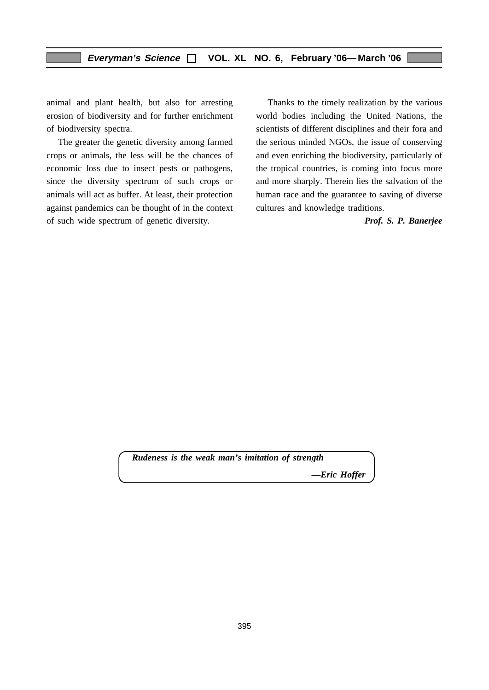animal and plant health, but also for arresting erosion of biodiversity and for further enrichment of biodiversity spectra.

The greater the genetic diversity among farmed crops or animals, the less will be the chances of economic loss due to insect pests or pathogens, since the diversity spectrum of such crops or animals will act as buffer. At least, their protection against pandemics can be thought of in the context of such wide spectrum of genetic diversity.

Thanks to the timely realization by the various world bodies including the United Nations, the scientists of different disciplines and their fora and the serious minded NGOs, the issue of conserving and even enriching the biodiversity, particularly of the tropical countries, is coming into focus more and more sharply. Therein lies the salvation of the human race and the guarantee to saving of diverse cultures and knowledge traditions.

#### *Prof. S. P. Banerjee*

*Rudeness is the weak man's imitation of strength —Eric Hoffer*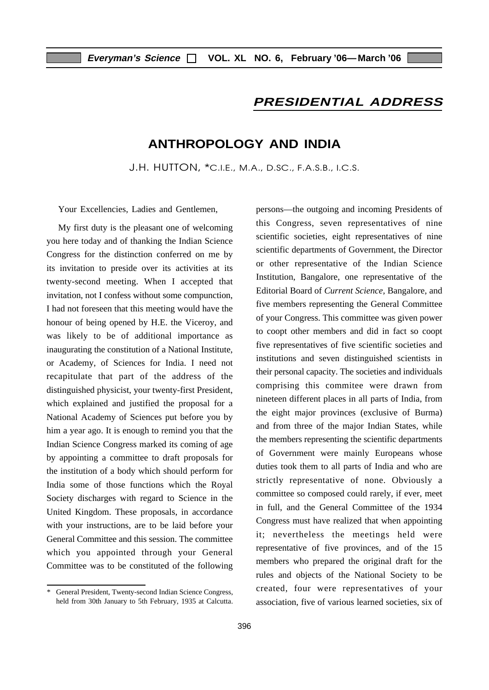## **PRESIDENTIAL ADDRESS**

# **ANTHROPOLOGY AND INDIA**

J.H. HUTTON, \*C.I.E., M.A., D.SC., F.A.S.B., I.C.S.

Your Excellencies, Ladies and Gentlemen,

My first duty is the pleasant one of welcoming you here today and of thanking the Indian Science Congress for the distinction conferred on me by its invitation to preside over its activities at its twenty-second meeting. When I accepted that invitation, not I confess without some compunction, I had not foreseen that this meeting would have the honour of being opened by H.E. the Viceroy, and was likely to be of additional importance as inaugurating the constitution of a National Institute, or Academy, of Sciences for India. I need not recapitulate that part of the address of the distinguished physicist, your twenty-first President, which explained and justified the proposal for a National Academy of Sciences put before you by him a year ago. It is enough to remind you that the Indian Science Congress marked its coming of age by appointing a committee to draft proposals for the institution of a body which should perform for India some of those functions which the Royal Society discharges with regard to Science in the United Kingdom. These proposals, in accordance with your instructions, are to be laid before your General Committee and this session. The committee which you appointed through your General Committee was to be constituted of the following persons—the outgoing and incoming Presidents of this Congress, seven representatives of nine scientific societies, eight representatives of nine scientific departments of Government, the Director or other representative of the Indian Science Institution, Bangalore, one representative of the Editorial Board of *Current Science,* Bangalore, and five members representing the General Committee of your Congress. This committee was given power to coopt other members and did in fact so coopt five representatives of five scientific societies and institutions and seven distinguished scientists in their personal capacity. The societies and individuals comprising this commitee were drawn from nineteen different places in all parts of India, from the eight major provinces (exclusive of Burma) and from three of the major Indian States, while the members representing the scientific departments of Government were mainly Europeans whose duties took them to all parts of India and who are strictly representative of none. Obviously a committee so composed could rarely, if ever, meet in full, and the General Committee of the 1934 Congress must have realized that when appointing it; nevertheless the meetings held were representative of five provinces, and of the 15 members who prepared the original draft for the rules and objects of the National Society to be created, four were representatives of your association, five of various learned societies, six of

General President, Twenty-second Indian Science Congress, held from 30th January to 5th February, 1935 at Calcutta.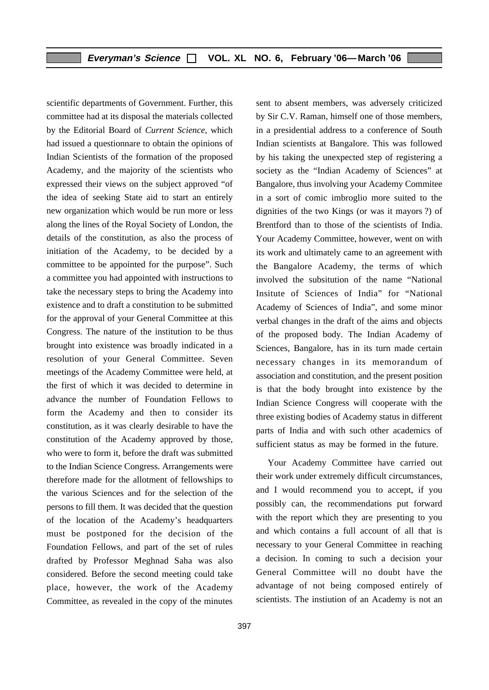scientific departments of Government. Further, this committee had at its disposal the materials collected by the Editorial Board of *Current Science*, which had issued a questionnare to obtain the opinions of Indian Scientists of the formation of the proposed Academy, and the majority of the scientists who expressed their views on the subject approved "of the idea of seeking State aid to start an entirely new organization which would be run more or less along the lines of the Royal Society of London, the details of the constitution, as also the process of initiation of the Academy, to be decided by a committee to be appointed for the purpose". Such a committee you had appointed with instructions to take the necessary steps to bring the Academy into existence and to draft a constitution to be submitted for the approval of your General Committee at this Congress. The nature of the institution to be thus brought into existence was broadly indicated in a resolution of your General Committee. Seven meetings of the Academy Committee were held, at the first of which it was decided to determine in advance the number of Foundation Fellows to form the Academy and then to consider its constitution, as it was clearly desirable to have the constitution of the Academy approved by those, who were to form it, before the draft was submitted to the Indian Science Congress. Arrangements were therefore made for the allotment of fellowships to the various Sciences and for the selection of the persons to fill them. It was decided that the question of the location of the Academy's headquarters must be postponed for the decision of the Foundation Fellows, and part of the set of rules drafted by Professor Meghnad Saha was also considered. Before the second meeting could take place, however, the work of the Academy Committee, as revealed in the copy of the minutes sent to absent members, was adversely criticized by Sir C.V. Raman, himself one of those members, in a presidential address to a conference of South Indian scientists at Bangalore. This was followed by his taking the unexpected step of registering a society as the "Indian Academy of Sciences" at Bangalore, thus involving your Academy Commitee in a sort of comic imbroglio more suited to the dignities of the two Kings (or was it mayors ?) of Brentford than to those of the scientists of India. Your Academy Committee, however, went on with its work and ultimately came to an agreement with the Bangalore Academy, the terms of which involved the subsitution of the name "National Insitute of Sciences of India" for "National Academy of Sciences of India", and some minor verbal changes in the draft of the aims and objects of the proposed body. The Indian Academy of Sciences, Bangalore, has in its turn made certain necessary changes in its memorandum of association and constitution, and the present position is that the body brought into existence by the Indian Science Congress will cooperate with the three existing bodies of Academy status in different parts of India and with such other academics of sufficient status as may be formed in the future.

Your Academy Committee have carried out their work under extremely difficult circumstances, and I would recommend you to accept, if you possibly can, the recommendations put forward with the report which they are presenting to you and which contains a full account of all that is necessary to your General Committee in reaching a decision. In coming to such a decision your General Committee will no doubt have the advantage of not being composed entirely of scientists. The instiution of an Academy is not an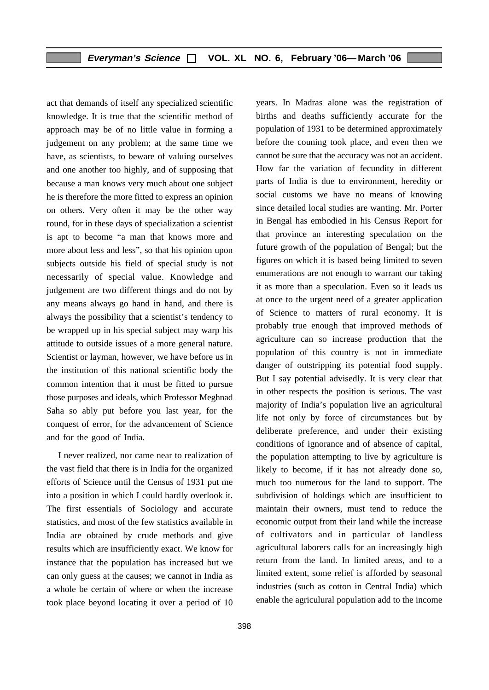act that demands of itself any specialized scientific knowledge. It is true that the scientific method of approach may be of no little value in forming a judgement on any problem; at the same time we have, as scientists, to beware of valuing ourselves and one another too highly, and of supposing that because a man knows very much about one subject he is therefore the more fitted to express an opinion on others. Very often it may be the other way round, for in these days of specialization a scientist is apt to become "a man that knows more and more about less and less", so that his opinion upon subjects outside his field of special study is not necessarily of special value. Knowledge and judgement are two different things and do not by any means always go hand in hand, and there is always the possibility that a scientist's tendency to be wrapped up in his special subject may warp his attitude to outside issues of a more general nature. Scientist or layman, however, we have before us in the institution of this national scientific body the common intention that it must be fitted to pursue those purposes and ideals, which Professor Meghnad Saha so ably put before you last year, for the conquest of error, for the advancement of Science and for the good of India.

I never realized, nor came near to realization of the vast field that there is in India for the organized efforts of Science until the Census of 1931 put me into a position in which I could hardly overlook it. The first essentials of Sociology and accurate statistics, and most of the few statistics available in India are obtained by crude methods and give results which are insufficiently exact. We know for instance that the population has increased but we can only guess at the causes; we cannot in India as a whole be certain of where or when the increase took place beyond locating it over a period of 10 years. In Madras alone was the registration of births and deaths sufficiently accurate for the population of 1931 to be determined approximately before the couning took place, and even then we cannot be sure that the accuracy was not an accident. How far the variation of fecundity in different parts of India is due to environment, heredity or social customs we have no means of knowing since detailed local studies are wanting. Mr. Porter in Bengal has embodied in his Census Report for that province an interesting speculation on the future growth of the population of Bengal; but the figures on which it is based being limited to seven enumerations are not enough to warrant our taking it as more than a speculation. Even so it leads us at once to the urgent need of a greater application of Science to matters of rural economy. It is probably true enough that improved methods of agriculture can so increase production that the population of this country is not in immediate danger of outstripping its potential food supply. But I say potential advisedly. It is very clear that in other respects the position is serious. The vast majority of India's population live an agricultural life not only by force of circumstances but by deliberate preference, and under their existing conditions of ignorance and of absence of capital, the population attempting to live by agriculture is likely to become, if it has not already done so, much too numerous for the land to support. The subdivision of holdings which are insufficient to maintain their owners, must tend to reduce the economic output from their land while the increase of cultivators and in particular of landless agricultural laborers calls for an increasingly high return from the land. In limited areas, and to a limited extent, some relief is afforded by seasonal industries (such as cotton in Central India) which enable the agriculural population add to the income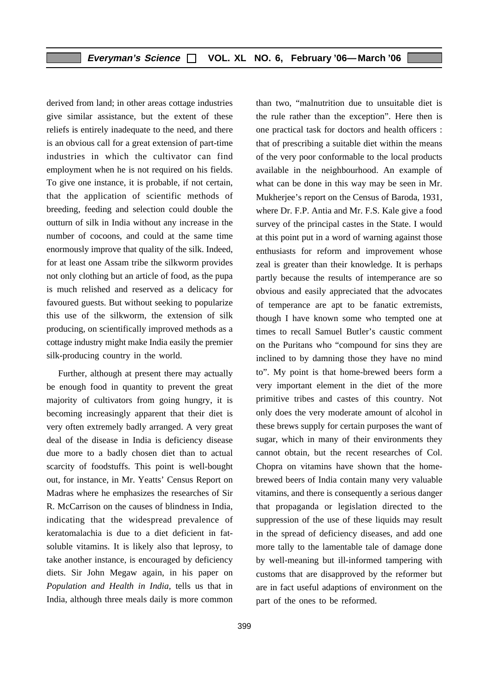derived from land; in other areas cottage industries give similar assistance, but the extent of these reliefs is entirely inadequate to the need, and there is an obvious call for a great extension of part-time industries in which the cultivator can find employment when he is not required on his fields. To give one instance, it is probable, if not certain, that the application of scientific methods of breeding, feeding and selection could double the outturn of silk in India without any increase in the number of cocoons, and could at the same time enormously improve that quality of the silk. Indeed, for at least one Assam tribe the silkworm provides not only clothing but an article of food, as the pupa is much relished and reserved as a delicacy for favoured guests. But without seeking to popularize this use of the silkworm, the extension of silk producing, on scientifically improved methods as a cottage industry might make India easily the premier silk-producing country in the world.

Further, although at present there may actually be enough food in quantity to prevent the great majority of cultivators from going hungry, it is becoming increasingly apparent that their diet is very often extremely badly arranged. A very great deal of the disease in India is deficiency disease due more to a badly chosen diet than to actual scarcity of foodstuffs. This point is well-bought out, for instance, in Mr. Yeatts' Census Report on Madras where he emphasizes the researches of Sir R. McCarrison on the causes of blindness in India, indicating that the widespread prevalence of keratomalachia is due to a diet deficient in fatsoluble vitamins. It is likely also that leprosy, to take another instance, is encouraged by deficiency diets. Sir John Megaw again, in his paper on *Population and Health in India,* tells us that in India, although three meals daily is more common

than two, "malnutrition due to unsuitable diet is the rule rather than the exception". Here then is one practical task for doctors and health officers : that of prescribing a suitable diet within the means of the very poor conformable to the local products available in the neighbourhood. An example of what can be done in this way may be seen in Mr. Mukherjee's report on the Census of Baroda, 1931, where Dr. F.P. Antia and Mr. F.S. Kale give a food survey of the principal castes in the State. I would at this point put in a word of warning against those enthusiasts for reform and improvement whose zeal is greater than their knowledge. It is perhaps partly because the results of intemperance are so obvious and easily appreciated that the advocates of temperance are apt to be fanatic extremists, though I have known some who tempted one at times to recall Samuel Butler's caustic comment on the Puritans who "compound for sins they are inclined to by damning those they have no mind to". My point is that home-brewed beers form a very important element in the diet of the more primitive tribes and castes of this country. Not only does the very moderate amount of alcohol in these brews supply for certain purposes the want of sugar, which in many of their environments they cannot obtain, but the recent researches of Col. Chopra on vitamins have shown that the homebrewed beers of India contain many very valuable vitamins, and there is consequently a serious danger that propaganda or legislation directed to the suppression of the use of these liquids may result in the spread of deficiency diseases, and add one more tally to the lamentable tale of damage done by well-meaning but ill-informed tampering with customs that are disapproved by the reformer but are in fact useful adaptions of environment on the part of the ones to be reformed.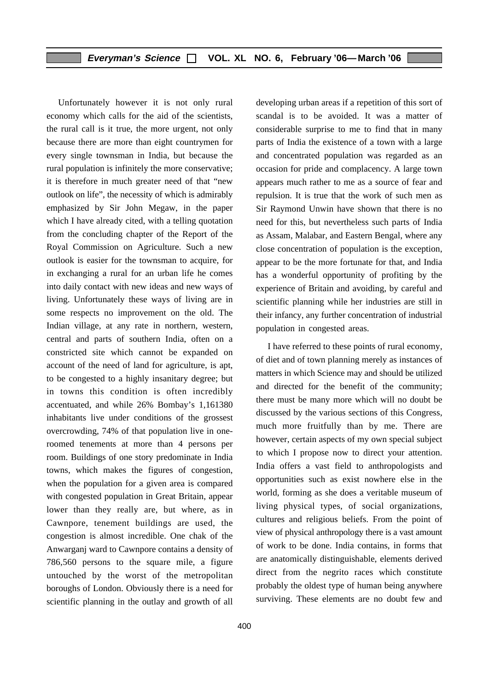Unfortunately however it is not only rural economy which calls for the aid of the scientists, the rural call is it true, the more urgent, not only because there are more than eight countrymen for every single townsman in India, but because the rural population is infinitely the more conservative; it is therefore in much greater need of that "new outlook on life", the necessity of which is admirably emphasized by Sir John Megaw, in the paper which I have already cited, with a telling quotation from the concluding chapter of the Report of the Royal Commission on Agriculture. Such a new outlook is easier for the townsman to acquire, for in exchanging a rural for an urban life he comes into daily contact with new ideas and new ways of living. Unfortunately these ways of living are in some respects no improvement on the old. The Indian village, at any rate in northern, western, central and parts of southern India, often on a constricted site which cannot be expanded on account of the need of land for agriculture, is apt, to be congested to a highly insanitary degree; but in towns this condition is often incredibly accentuated, and while 26% Bombay's 1,161380 inhabitants live under conditions of the grossest overcrowding, 74% of that population live in oneroomed tenements at more than 4 persons per room. Buildings of one story predominate in India towns, which makes the figures of congestion, when the population for a given area is compared with congested population in Great Britain, appear lower than they really are, but where, as in Cawnpore, tenement buildings are used, the congestion is almost incredible. One chak of the Anwarganj ward to Cawnpore contains a density of 786,560 persons to the square mile, a figure untouched by the worst of the metropolitan boroughs of London. Obviously there is a need for scientific planning in the outlay and growth of all developing urban areas if a repetition of this sort of scandal is to be avoided. It was a matter of considerable surprise to me to find that in many parts of India the existence of a town with a large and concentrated population was regarded as an occasion for pride and complacency. A large town appears much rather to me as a source of fear and repulsion. It is true that the work of such men as Sir Raymond Unwin have shown that there is no need for this, but nevertheless such parts of India as Assam, Malabar, and Eastern Bengal, where any close concentration of population is the exception, appear to be the more fortunate for that, and India has a wonderful opportunity of profiting by the experience of Britain and avoiding, by careful and scientific planning while her industries are still in their infancy, any further concentration of industrial population in congested areas.

I have referred to these points of rural economy, of diet and of town planning merely as instances of matters in which Science may and should be utilized and directed for the benefit of the community; there must be many more which will no doubt be discussed by the various sections of this Congress, much more fruitfully than by me. There are however, certain aspects of my own special subject to which I propose now to direct your attention. India offers a vast field to anthropologists and opportunities such as exist nowhere else in the world, forming as she does a veritable museum of living physical types, of social organizations, cultures and religious beliefs. From the point of view of physical anthropology there is a vast amount of work to be done. India contains, in forms that are anatomically distinguishable, elements derived direct from the negrito races which constitute probably the oldest type of human being anywhere surviving. These elements are no doubt few and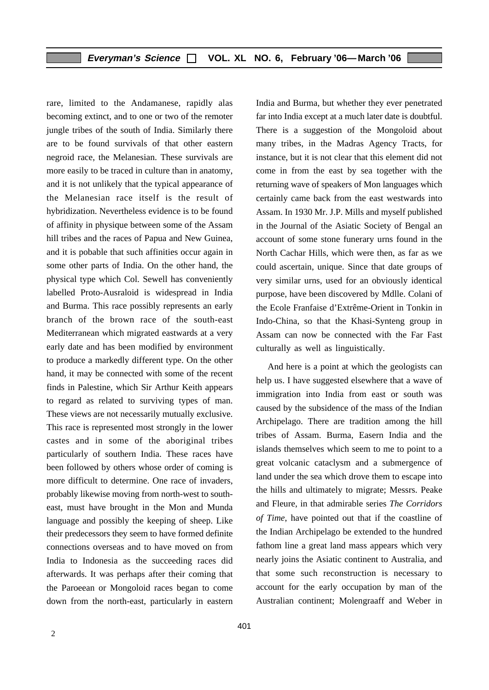rare, limited to the Andamanese, rapidly alas becoming extinct, and to one or two of the remoter jungle tribes of the south of India. Similarly there are to be found survivals of that other eastern negroid race, the Melanesian. These survivals are more easily to be traced in culture than in anatomy, and it is not unlikely that the typical appearance of the Melanesian race itself is the result of hybridization. Nevertheless evidence is to be found of affinity in physique between some of the Assam hill tribes and the races of Papua and New Guinea, and it is pobable that such affinities occur again in some other parts of India. On the other hand, the physical type which Col. Sewell has conveniently labelled Proto-Ausraloid is widespread in India and Burma. This race possibly represents an early branch of the brown race of the south-east Mediterranean which migrated eastwards at a very early date and has been modified by environment to produce a markedly different type. On the other hand, it may be connected with some of the recent finds in Palestine, which Sir Arthur Keith appears to regard as related to surviving types of man. These views are not necessarily mutually exclusive. This race is represented most strongly in the lower castes and in some of the aboriginal tribes particularly of southern India. These races have been followed by others whose order of coming is more difficult to determine. One race of invaders, probably likewise moving from north-west to southeast, must have brought in the Mon and Munda language and possibly the keeping of sheep. Like their predecessors they seem to have formed definite connections overseas and to have moved on from India to Indonesia as the succeeding races did afterwards. It was perhaps after their coming that the Paroeean or Mongoloid races began to come down from the north-east, particularly in eastern India and Burma, but whether they ever penetrated far into India except at a much later date is doubtful. There is a suggestion of the Mongoloid about many tribes, in the Madras Agency Tracts, for instance, but it is not clear that this element did not come in from the east by sea together with the returning wave of speakers of Mon languages which certainly came back from the east westwards into Assam. In 1930 Mr. J.P. Mills and myself published in the Journal of the Asiatic Society of Bengal an account of some stone funerary urns found in the North Cachar Hills, which were then, as far as we could ascertain, unique. Since that date groups of very similar urns, used for an obviously identical purpose, have been discovered by Mdlle. Colani of the Ecole Franfaise d'Extrême-Orient in Tonkin in Indo-China, so that the Khasi-Synteng group in Assam can now be connected with the Far Fast culturally as well as linguistically.

And here is a point at which the geologists can help us. I have suggested elsewhere that a wave of immigration into India from east or south was caused by the subsidence of the mass of the Indian Archipelago. There are tradition among the hill tribes of Assam. Burma, Easern India and the islands themselves which seem to me to point to a great volcanic cataclysm and a submergence of land under the sea which drove them to escape into the hills and ultimately to migrate; Messrs. Peake and Fleure, in that admirable series *The Corridors of Time*, have pointed out that if the coastline of the Indian Archipelago be extended to the hundred fathom line a great land mass appears which very nearly joins the Asiatic continent to Australia, and that some such reconstruction is necessary to account for the early occupation by man of the Australian continent; Molengraaff and Weber in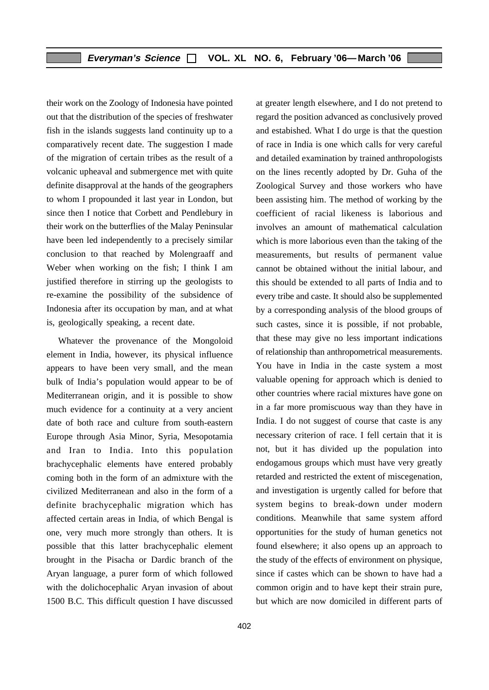their work on the Zoology of Indonesia have pointed out that the distribution of the species of freshwater fish in the islands suggests land continuity up to a comparatively recent date. The suggestion I made of the migration of certain tribes as the result of a volcanic upheaval and submergence met with quite definite disapproval at the hands of the geographers to whom I propounded it last year in London, but since then I notice that Corbett and Pendlebury in their work on the butterflies of the Malay Peninsular have been led independently to a precisely similar conclusion to that reached by Molengraaff and Weber when working on the fish; I think I am justified therefore in stirring up the geologists to re-examine the possibility of the subsidence of Indonesia after its occupation by man, and at what is, geologically speaking, a recent date.

Whatever the provenance of the Mongoloid element in India, however, its physical influence appears to have been very small, and the mean bulk of India's population would appear to be of Mediterranean origin, and it is possible to show much evidence for a continuity at a very ancient date of both race and culture from south-eastern Europe through Asia Minor, Syria, Mesopotamia and Iran to India. Into this population brachycephalic elements have entered probably coming both in the form of an admixture with the civilized Mediterranean and also in the form of a definite brachycephalic migration which has affected certain areas in India, of which Bengal is one, very much more strongly than others. It is possible that this latter brachycephalic element brought in the Pisacha or Dardic branch of the Aryan language, a purer form of which followed with the dolichocephalic Aryan invasion of about 1500 B.C. This difficult question I have discussed and estabished. What I do urge is that the question of race in India is one which calls for very careful and detailed examination by trained anthropologists on the lines recently adopted by Dr. Guha of the Zoological Survey and those workers who have been assisting him. The method of working by the coefficient of racial likeness is laborious and involves an amount of mathematical calculation which is more laborious even than the taking of the measurements, but results of permanent value cannot be obtained without the initial labour, and this should be extended to all parts of India and to every tribe and caste. It should also be supplemented by a corresponding analysis of the blood groups of such castes, since it is possible, if not probable, that these may give no less important indications of relationship than anthropometrical measurements. You have in India in the caste system a most valuable opening for approach which is denied to other countries where racial mixtures have gone on in a far more promiscuous way than they have in India. I do not suggest of course that caste is any necessary criterion of race. I fell certain that it is not, but it has divided up the population into endogamous groups which must have very greatly retarded and restricted the extent of miscegenation, and investigation is urgently called for before that system begins to break-down under modern conditions. Meanwhile that same system afford opportunities for the study of human genetics not found elsewhere; it also opens up an approach to the study of the effects of environment on physique, since if castes which can be shown to have had a common origin and to have kept their strain pure, but which are now domiciled in different parts of

at greater length elsewhere, and I do not pretend to regard the position advanced as conclusively proved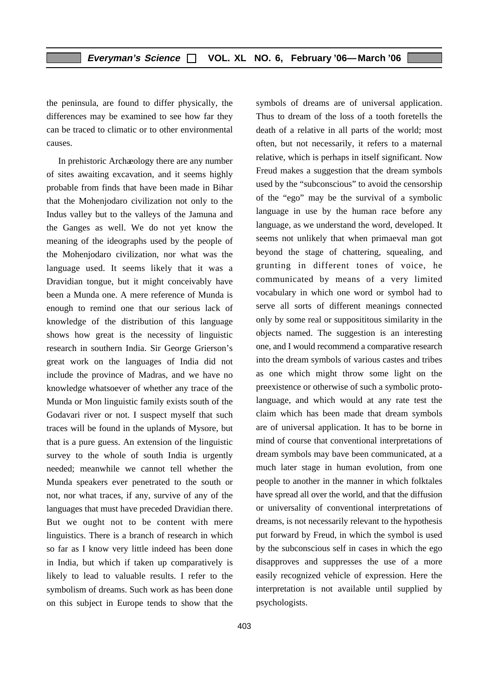the peninsula, are found to differ physically, the differences may be examined to see how far they can be traced to climatic or to other environmental causes.

In prehistoric Archaeology there are any number of sites awaiting excavation, and it seems highly probable from finds that have been made in Bihar that the Mohenjodaro civilization not only to the Indus valley but to the valleys of the Jamuna and the Ganges as well. We do not yet know the meaning of the ideographs used by the people of the Mohenjodaro civilization, nor what was the language used. It seems likely that it was a Dravidian tongue, but it might conceivably have been a Munda one. A mere reference of Munda is enough to remind one that our serious lack of knowledge of the distribution of this language shows how great is the necessity of linguistic research in southern India. Sir George Grierson's great work on the languages of India did not include the province of Madras, and we have no knowledge whatsoever of whether any trace of the Munda or Mon linguistic family exists south of the Godavari river or not. I suspect myself that such traces will be found in the uplands of Mysore, but that is a pure guess. An extension of the linguistic survey to the whole of south India is urgently needed; meanwhile we cannot tell whether the Munda speakers ever penetrated to the south or not, nor what traces, if any, survive of any of the languages that must have preceded Dravidian there. But we ought not to be content with mere linguistics. There is a branch of research in which so far as I know very little indeed has been done in India, but which if taken up comparatively is likely to lead to valuable results. I refer to the symbolism of dreams. Such work as has been done on this subject in Europe tends to show that the symbols of dreams are of universal application. Thus to dream of the loss of a tooth foretells the death of a relative in all parts of the world; most often, but not necessarily, it refers to a maternal relative, which is perhaps in itself significant. Now Freud makes a suggestion that the dream symbols used by the "subconscious" to avoid the censorship of the "ego" may be the survival of a symbolic language in use by the human race before any language, as we understand the word, developed. It seems not unlikely that when primaeval man got beyond the stage of chattering, squealing, and grunting in different tones of voice, he communicated by means of a very limited vocabulary in which one word or symbol had to serve all sorts of different meanings connected only by some real or supposititous similarity in the objects named. The suggestion is an interesting one, and I would recommend a comparative research into the dream symbols of various castes and tribes as one which might throw some light on the preexistence or otherwise of such a symbolic protolanguage, and which would at any rate test the claim which has been made that dream symbols are of universal application. It has to be borne in mind of course that conventional interpretations of dream symbols may bave been communicated, at a much later stage in human evolution, from one people to another in the manner in which folktales have spread all over the world, and that the diffusion or universality of conventional interpretations of dreams, is not necessarily relevant to the hypothesis put forward by Freud, in which the symbol is used by the subconscious self in cases in which the ego disapproves and suppresses the use of a more easily recognized vehicle of expression. Here the interpretation is not available until supplied by psychologists.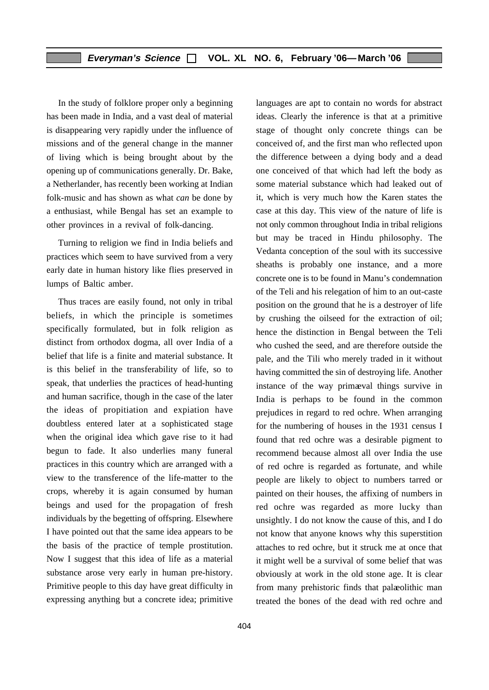In the study of folklore proper only a beginning has been made in India, and a vast deal of material is disappearing very rapidly under the influence of missions and of the general change in the manner of living which is being brought about by the opening up of communications generally. Dr. Bake, a Netherlander, has recently been working at Indian folk-music and has shown as what *can* be done by a enthusiast, while Bengal has set an example to other provinces in a revival of folk-dancing.

Turning to religion we find in India beliefs and practices which seem to have survived from a very early date in human history like flies preserved in lumps of Baltic amber.

Thus traces are easily found, not only in tribal beliefs, in which the principle is sometimes specifically formulated, but in folk religion as distinct from orthodox dogma, all over India of a belief that life is a finite and material substance. It is this belief in the transferability of life, so to speak, that underlies the practices of head-hunting and human sacrifice, though in the case of the later the ideas of propitiation and expiation have doubtless entered later at a sophisticated stage when the original idea which gave rise to it had begun to fade. It also underlies many funeral practices in this country which are arranged with a view to the transference of the life-matter to the crops, whereby it is again consumed by human beings and used for the propagation of fresh individuals by the begetting of offspring. Elsewhere I have pointed out that the same idea appears to be the basis of the practice of temple prostitution. Now I suggest that this idea of life as a material substance arose very early in human pre-history. Primitive people to this day have great difficulty in expressing anything but a concrete idea; primitive

stage of thought only concrete things can be conceived of, and the first man who reflected upon the difference between a dying body and a dead one conceived of that which had left the body as some material substance which had leaked out of it, which is very much how the Karen states the case at this day. This view of the nature of life is not only common throughout India in tribal religions but may be traced in Hindu philosophy. The Vedanta conception of the soul with its successive sheaths is probably one instance, and a more concrete one is to be found in Manu's condemnation of the Teli and his relegation of him to an out-caste position on the ground that he is a destroyer of life by crushing the oilseed for the extraction of oil; hence the distinction in Bengal between the Teli who cushed the seed, and are therefore outside the pale, and the Tili who merely traded in it without having committed the sin of destroying life. Another instance of the way primaeval things survive in India is perhaps to be found in the common prejudices in regard to red ochre. When arranging for the numbering of houses in the 1931 census I found that red ochre was a desirable pigment to recommend because almost all over India the use of red ochre is regarded as fortunate, and while people are likely to object to numbers tarred or painted on their houses, the affixing of numbers in red ochre was regarded as more lucky than unsightly. I do not know the cause of this, and I do not know that anyone knows why this superstition attaches to red ochre, but it struck me at once that it might well be a survival of some belief that was obviously at work in the old stone age. It is clear from many prehistoric finds that palaeolithic man treated the bones of the dead with red ochre and

languages are apt to contain no words for abstract ideas. Clearly the inference is that at a primitive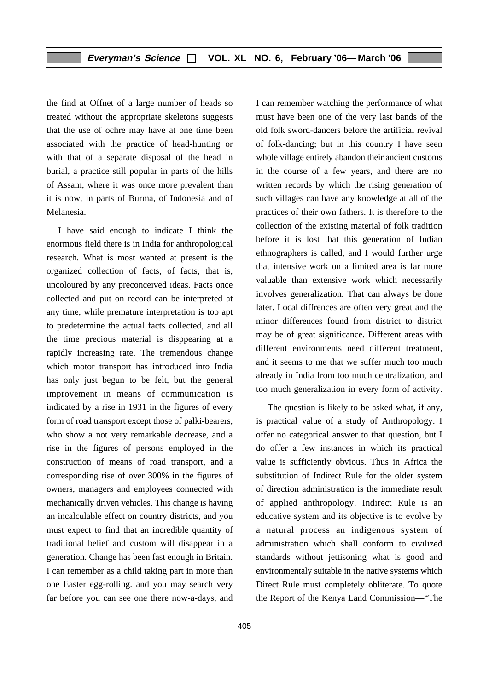the find at Offnet of a large number of heads so treated without the appropriate skeletons suggests that the use of ochre may have at one time been associated with the practice of head-hunting or with that of a separate disposal of the head in burial, a practice still popular in parts of the hills of Assam, where it was once more prevalent than it is now, in parts of Burma, of Indonesia and of Melanesia.

I have said enough to indicate I think the enormous field there is in India for anthropological research. What is most wanted at present is the organized collection of facts, of facts, that is, uncoloured by any preconceived ideas. Facts once collected and put on record can be interpreted at any time, while premature interpretation is too apt to predetermine the actual facts collected, and all the time precious material is disppearing at a rapidly increasing rate. The tremendous change which motor transport has introduced into India has only just begun to be felt, but the general improvement in means of communication is indicated by a rise in 1931 in the figures of every form of road transport except those of palki-bearers, who show a not very remarkable decrease, and a rise in the figures of persons employed in the construction of means of road transport, and a corresponding rise of over 300% in the figures of owners, managers and employees connected with mechanically driven vehicles. This change is having an incalculable effect on country districts, and you must expect to find that an incredible quantity of traditional belief and custom will disappear in a generation. Change has been fast enough in Britain. I can remember as a child taking part in more than one Easter egg-rolling. and you may search very far before you can see one there now-a-days, and

I can remember watching the performance of what must have been one of the very last bands of the old folk sword-dancers before the artificial revival of folk-dancing; but in this country I have seen whole village entirely abandon their ancient customs in the course of a few years, and there are no written records by which the rising generation of such villages can have any knowledge at all of the practices of their own fathers. It is therefore to the collection of the existing material of folk tradition before it is lost that this generation of Indian ethnographers is called, and I would further urge that intensive work on a limited area is far more valuable than extensive work which necessarily involves generalization. That can always be done later. Local diffrences are often very great and the minor differences found from district to district may be of great significance. Different areas with different environments need different treatment, and it seems to me that we suffer much too much already in India from too much centralization, and too much generalization in every form of activity.

The question is likely to be asked what, if any, is practical value of a study of Anthropology. I offer no categorical answer to that question, but I do offer a few instances in which its practical value is sufficiently obvious. Thus in Africa the substitution of Indirect Rule for the older system of direction administration is the immediate result of applied anthropology. Indirect Rule is an educative system and its objective is to evolve by a natural process an indigenous system of administration which shall conform to civilized standards without jettisoning what is good and environmentaly suitable in the native systems which Direct Rule must completely obliterate. To quote the Report of the Kenya Land Commission—"The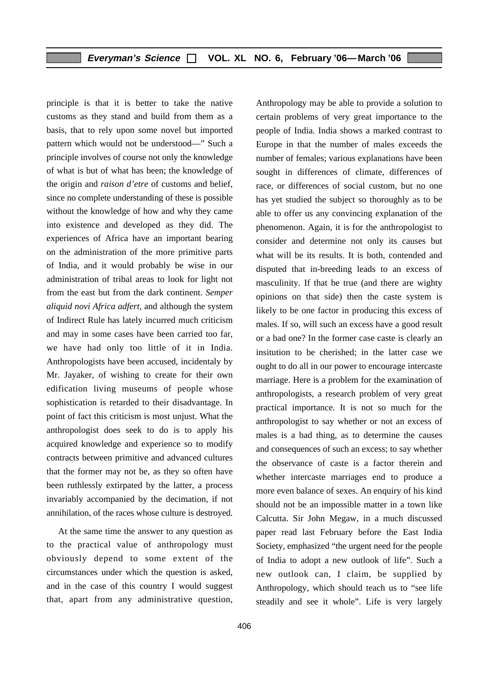principle is that it is better to take the native customs as they stand and build from them as a basis, that to rely upon some novel but imported pattern which would not be understood—" Such a principle involves of course not only the knowledge of what is but of what has been; the knowledge of the origin and *raison d'etre* of customs and belief, since no complete understanding of these is possible without the knowledge of how and why they came into existence and developed as they did. The experiences of Africa have an important bearing on the administration of the more primitive parts of India, and it would probably be wise in our administration of tribal areas to look for light not from the east but from the dark continent. *Semper aliquid novi Africa adfert,* and although the system of Indirect Rule has lately incurred much criticism and may in some cases have been carried too far, we have had only too little of it in India. Anthropologists have been accused, incidentaly by Mr. Jayaker, of wishing to create for their own edification living museums of people whose sophistication is retarded to their disadvantage. In point of fact this criticism is most unjust. What the anthropologist does seek to do is to apply his acquired knowledge and experience so to modify contracts between primitive and advanced cultures that the former may not be, as they so often have been ruthlessly extirpated by the latter, a process invariably accompanied by the decimation, if not annihilation, of the races whose culture is destroyed.

At the same time the answer to any question as to the practical value of anthropology must obviously depend to some extent of the circumstances under which the question is asked, and in the case of this country I would suggest that, apart from any administrative question, Anthropology may be able to provide a solution to certain problems of very great importance to the people of India. India shows a marked contrast to Europe in that the number of males exceeds the number of females; various explanations have been sought in differences of climate, differences of race, or differences of social custom, but no one has yet studied the subject so thoroughly as to be able to offer us any convincing explanation of the phenomenon. Again, it is for the anthropologist to consider and determine not only its causes but what will be its results. It is both, contended and disputed that in-breeding leads to an excess of masculinity. If that be true (and there are wighty opinions on that side) then the caste system is likely to be one factor in producing this excess of males. If so, will such an excess have a good result or a bad one? In the former case caste is clearly an insitution to be cherished; in the latter case we ought to do all in our power to encourage intercaste marriage. Here is a problem for the examination of anthropologists, a research problem of very great practical importance. It is not so much for the anthropologist to say whether or not an excess of males is a bad thing, as to determine the causes and consequences of such an excess; to say whether the observance of caste is a factor therein and whether intercaste marriages end to produce a more even balance of sexes. An enquiry of his kind should not be an impossible matter in a town like Calcutta. Sir John Megaw, in a much discussed paper read last February before the East India Society, emphasized "the urgent need for the people of India to adopt a new outlook of life". Such a new outlook can, I claim, be supplied by Anthropology, which should teach us to "see life steadily and see it whole". Life is very largely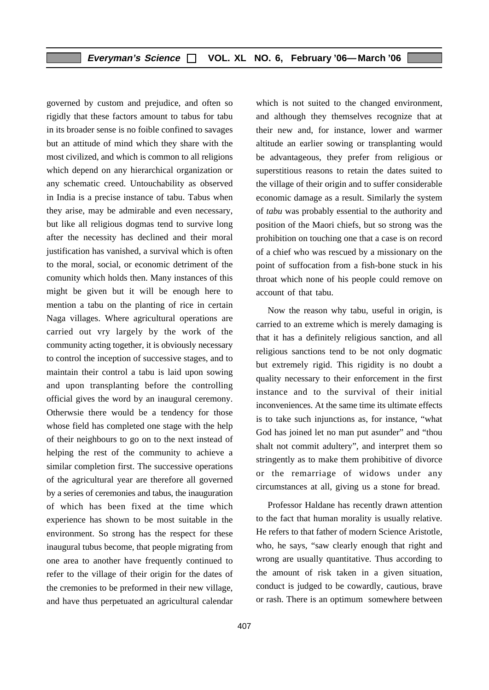governed by custom and prejudice, and often so rigidly that these factors amount to tabus for tabu in its broader sense is no foible confined to savages but an attitude of mind which they share with the most civilized, and which is common to all religions which depend on any hierarchical organization or any schematic creed. Untouchability as observed in India is a precise instance of tabu. Tabus when they arise, may be admirable and even necessary, but like all religious dogmas tend to survive long after the necessity has declined and their moral justification has vanished, a survival which is often to the moral, social, or economic detriment of the comunity which holds then. Many instances of this might be given but it will be enough here to mention a tabu on the planting of rice in certain Naga villages. Where agricultural operations are carried out vry largely by the work of the community acting together, it is obviously necessary to control the inception of successive stages, and to maintain their control a tabu is laid upon sowing and upon transplanting before the controlling official gives the word by an inaugural ceremony. Otherwsie there would be a tendency for those whose field has completed one stage with the help of their neighbours to go on to the next instead of helping the rest of the community to achieve a similar completion first. The successive operations of the agricultural year are therefore all governed by a series of ceremonies and tabus, the inauguration of which has been fixed at the time which experience has shown to be most suitable in the environment. So strong has the respect for these inaugural tubus become, that people migrating from one area to another have frequently continued to refer to the village of their origin for the dates of the cremonies to be preformed in their new village, and have thus perpetuated an agricultural calendar which is not suited to the changed environment, and although they themselves recognize that at their new and, for instance, lower and warmer altitude an earlier sowing or transplanting would be advantageous, they prefer from religious or superstitious reasons to retain the dates suited to the village of their origin and to suffer considerable economic damage as a result. Similarly the system of *tabu* was probably essential to the authority and position of the Maori chiefs, but so strong was the prohibition on touching one that a case is on record of a chief who was rescued by a missionary on the point of suffocation from a fish-bone stuck in his throat which none of his people could remove on account of that tabu.

Now the reason why tabu, useful in origin, is carried to an extreme which is merely damaging is that it has a definitely religious sanction, and all religious sanctions tend to be not only dogmatic but extremely rigid. This rigidity is no doubt a quality necessary to their enforcement in the first instance and to the survival of their initial inconveniences. At the same time its ultimate effects is to take such injunctions as, for instance, "what God has joined let no man put asunder" and "thou shalt not commit adultery", and interpret them so stringently as to make them prohibitive of divorce or the remarriage of widows under any circumstances at all, giving us a stone for bread.

Professor Haldane has recently drawn attention to the fact that human morality is usually relative. He refers to that father of modern Science Aristotle, who, he says, "saw clearly enough that right and wrong are usually quantitative. Thus according to the amount of risk taken in a given situation, conduct is judged to be cowardly, cautious, brave or rash. There is an optimum somewhere between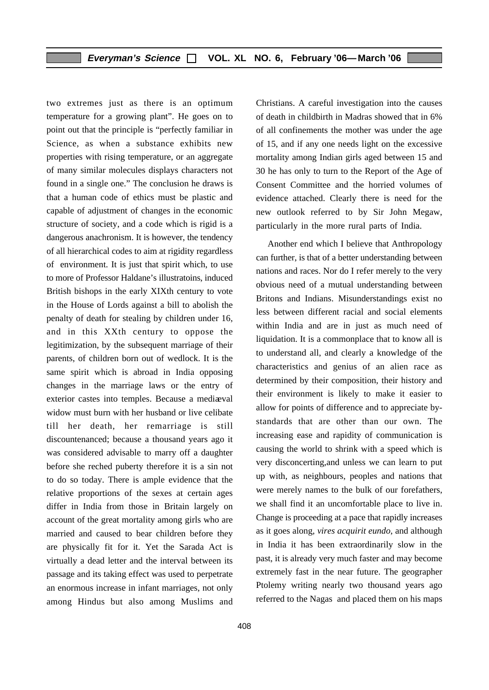two extremes just as there is an optimum temperature for a growing plant". He goes on to point out that the principle is "perfectly familiar in Science, as when a substance exhibits new properties with rising temperature, or an aggregate of many similar molecules displays characters not found in a single one." The conclusion he draws is that a human code of ethics must be plastic and capable of adjustment of changes in the economic structure of society, and a code which is rigid is a dangerous anachronism. It is however, the tendency of all hierarchical codes to aim at rigidity regardless of environment. It is just that spirit which, to use to more of Professor Haldane's illustratoins, induced British bishops in the early XIXth century to vote in the House of Lords against a bill to abolish the penalty of death for stealing by children under 16, and in this XXth century to oppose the legitimization, by the subsequent marriage of their parents, of children born out of wedlock. It is the same spirit which is abroad in India opposing changes in the marriage laws or the entry of exterior castes into temples. Because a mediaeval widow must burn with her husband or live celibate till her death, her remarriage is still discountenanced; because a thousand years ago it was considered advisable to marry off a daughter before she reched puberty therefore it is a sin not to do so today. There is ample evidence that the relative proportions of the sexes at certain ages differ in India from those in Britain largely on account of the great mortality among girls who are married and caused to bear children before they are physically fit for it. Yet the Sarada Act is virtually a dead letter and the interval between its passage and its taking effect was used to perpetrate an enormous increase in infant marriages, not only among Hindus but also among Muslims and Christians. A careful investigation into the causes of death in childbirth in Madras showed that in 6% of all confinements the mother was under the age of 15, and if any one needs light on the excessive mortality among Indian girls aged between 15 and 30 he has only to turn to the Report of the Age of Consent Committee and the horried volumes of evidence attached. Clearly there is need for the new outlook referred to by Sir John Megaw, particularly in the more rural parts of India.

Another end which I believe that Anthropology can further, is that of a better understanding between nations and races. Nor do I refer merely to the very obvious need of a mutual understanding between Britons and Indians. Misunderstandings exist no less between different racial and social elements within India and are in just as much need of liquidation. It is a commonplace that to know all is to understand all, and clearly a knowledge of the characteristics and genius of an alien race as determined by their composition, their history and their environment is likely to make it easier to allow for points of difference and to appreciate bystandards that are other than our own. The increasing ease and rapidity of communication is causing the world to shrink with a speed which is very disconcerting,and unless we can learn to put up with, as neighbours, peoples and nations that were merely names to the bulk of our forefathers, we shall find it an uncomfortable place to live in. Change is proceeding at a pace that rapidly increases as it goes along, *vires acquirit eundo*, and although in India it has been extraordinarily slow in the past, it is already very much faster and may become extremely fast in the near future. The geographer Ptolemy writing nearly two thousand years ago referred to the Nagas and placed them on his maps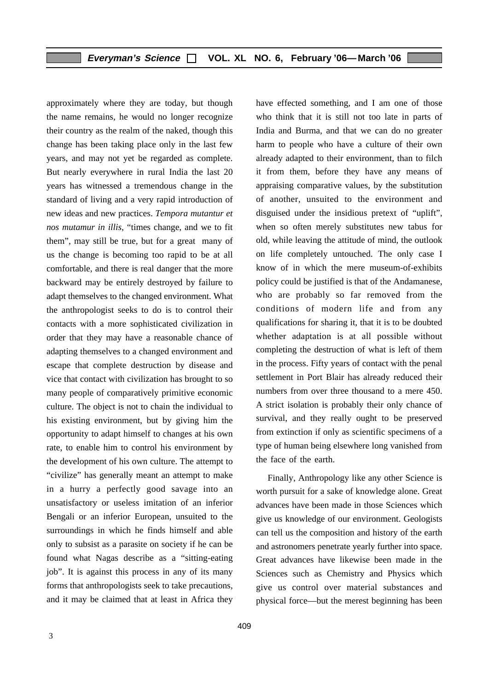approximately where they are today, but though the name remains, he would no longer recognize their country as the realm of the naked, though this change has been taking place only in the last few years, and may not yet be regarded as complete. But nearly everywhere in rural India the last 20 years has witnessed a tremendous change in the standard of living and a very rapid introduction of new ideas and new practices. *Tempora mutantur et nos mutamur in illis*, "times change, and we to fit them", may still be true, but for a great many of us the change is becoming too rapid to be at all comfortable, and there is real danger that the more backward may be entirely destroyed by failure to adapt themselves to the changed environment. What the anthropologist seeks to do is to control their contacts with a more sophisticated civilization in order that they may have a reasonable chance of adapting themselves to a changed environment and escape that complete destruction by disease and vice that contact with civilization has brought to so many people of comparatively primitive economic culture. The object is not to chain the individual to his existing environment, but by giving him the opportunity to adapt himself to changes at his own rate, to enable him to control his environment by the development of his own culture. The attempt to "civilize" has generally meant an attempt to make in a hurry a perfectly good savage into an unsatisfactory or useless imitation of an inferior Bengali or an inferior European, unsuited to the surroundings in which he finds himself and able only to subsist as a parasite on society if he can be found what Nagas describe as a "sitting-eating job". It is against this process in any of its many forms that anthropologists seek to take precautions, and it may be claimed that at least in Africa they have effected something, and I am one of those who think that it is still not too late in parts of India and Burma, and that we can do no greater harm to people who have a culture of their own already adapted to their environment, than to filch it from them, before they have any means of appraising comparative values, by the substitution of another, unsuited to the environment and disguised under the insidious pretext of "uplift", when so often merely substitutes new tabus for old, while leaving the attitude of mind, the outlook on life completely untouched. The only case I know of in which the mere museum-of-exhibits policy could be justified is that of the Andamanese, who are probably so far removed from the conditions of modern life and from any qualifications for sharing it, that it is to be doubted whether adaptation is at all possible without completing the destruction of what is left of them in the process. Fifty years of contact with the penal settlement in Port Blair has already reduced their numbers from over three thousand to a mere 450. A strict isolation is probably their only chance of survival, and they really ought to be preserved from extinction if only as scientific specimens of a type of human being elsewhere long vanished from the face of the earth.

Finally, Anthropology like any other Science is worth pursuit for a sake of knowledge alone. Great advances have been made in those Sciences which give us knowledge of our environment. Geologists can tell us the composition and history of the earth and astronomers penetrate yearly further into space. Great advances have likewise been made in the Sciences such as Chemistry and Physics which give us control over material substances and physical force—but the merest beginning has been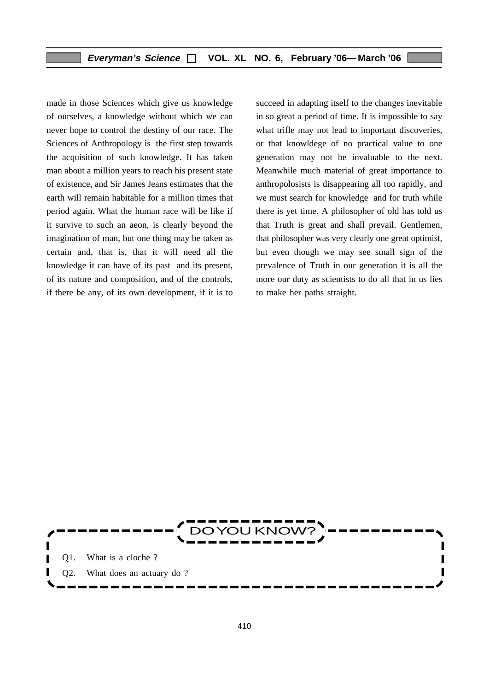made in those Sciences which give us knowledge of ourselves, a knowledge without which we can never hope to control the destiny of our race. The Sciences of Anthropology is the first step towards the acquisition of such knowledge. It has taken man about a million years to reach his present state of existence, and Sir James Jeans estimates that the earth will remain habitable for a million times that period again. What the human race will be like if it survive to such an aeon, is clearly beyond the imagination of man, but one thing may be taken as certain and, that is, that it will need all the knowledge it can have of its past and its present, of its nature and composition, and of the controls, if there be any, of its own development, if it is to

succeed in adapting itself to the changes inevitable in so great a period of time. It is impossible to say what trifle may not lead to important discoveries. or that knowldege of no practical value to one generation may not be invaluable to the next. Meanwhile much material of great importance to anthropolosists is disappearing all too rapidly, and we must search for knowledge and for truth while there is yet time. A philosopher of old has told us that Truth is great and shall prevail. Gentlemen, that philosopher was very clearly one great optimist, but even though we may see small sign of the prevalence of Truth in our generation it is all the more our duty as scientists to do all that in us lies to make her paths straight.

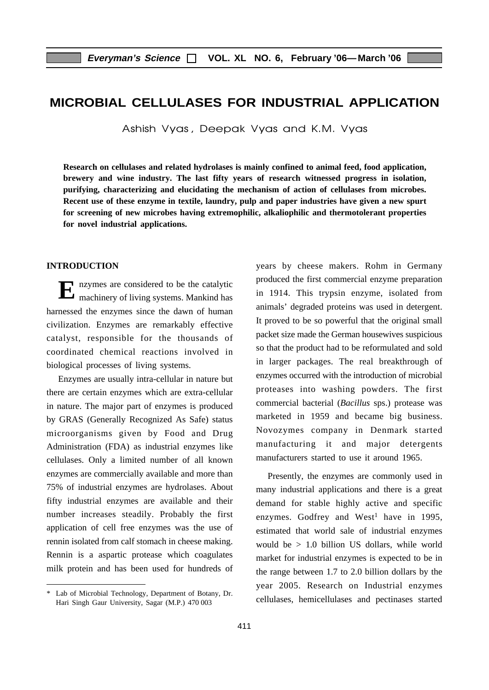# **MICROBIAL CELLULASES FOR INDUSTRIAL APPLICATION**

Ashish Vyas, Deepak Vyas and K.M. Vyas

**Research on cellulases and related hydrolases is mainly confined to animal feed, food application, brewery and wine industry. The last fifty years of research witnessed progress in isolation, purifying, characterizing and elucidating the mechanism of action of cellulases from microbes. Recent use of these enzyme in textile, laundry, pulp and paper industries have given a new spurt for screening of new microbes having extremophilic, alkaliophilic and thermotolerant properties for novel industrial applications.**

#### **INTRODUCTION**

E nzymes are considered to be the catalytic machinery of living systems. Mankind has harnessed the enzymes since the dawn of human civilization. Enzymes are remarkably effective catalyst, responsible for the thousands of coordinated chemical reactions involved in biological processes of living systems.

Enzymes are usually intra-cellular in nature but there are certain enzymes which are extra-cellular in nature. The major part of enzymes is produced by GRAS (Generally Recognized As Safe) status microorganisms given by Food and Drug Administration (FDA) as industrial enzymes like cellulases. Only a limited number of all known enzymes are commercially available and more than 75% of industrial enzymes are hydrolases. About fifty industrial enzymes are available and their number increases steadily. Probably the first application of cell free enzymes was the use of rennin isolated from calf stomach in cheese making. Rennin is a aspartic protease which coagulates milk protein and has been used for hundreds of years by cheese makers. Rohm in Germany produced the first commercial enzyme preparation in 1914. This trypsin enzyme, isolated from animals' degraded proteins was used in detergent. It proved to be so powerful that the original small packet size made the German housewives suspicious so that the product had to be reformulated and sold in larger packages. The real breakthrough of enzymes occurred with the introduction of microbial proteases into washing powders. The first commercial bacterial (*Bacillus* sps.) protease was marketed in 1959 and became big business. Novozymes company in Denmark started manufacturing it and major detergents manufacturers started to use it around 1965.

Presently, the enzymes are commonly used in many industrial applications and there is a great demand for stable highly active and specific enzymes. Godfrey and West<sup>1</sup> have in 1995, estimated that world sale of industrial enzymes would be > 1.0 billion US dollars, while world market for industrial enzymes is expected to be in the range between 1.7 to 2.0 billion dollars by the year 2005. Research on Industrial enzymes cellulases, hemicellulases and pectinases started

<sup>\*</sup> Lab of Microbial Technology, Department of Botany, Dr. Hari Singh Gaur University, Sagar (M.P.) 470 003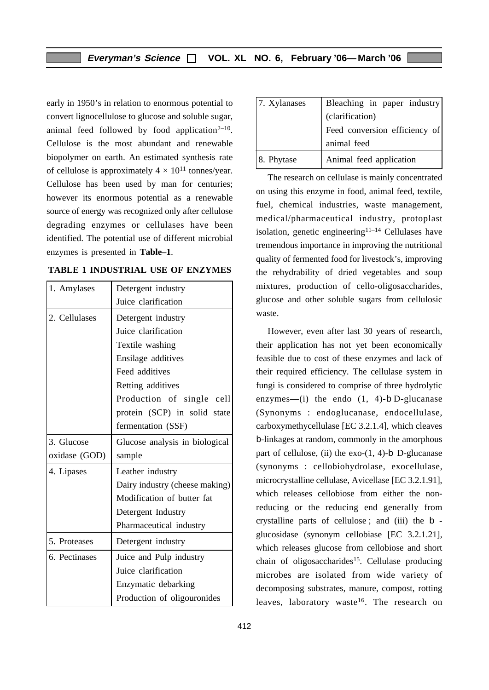early in 1950's in relation to enormous potential to convert lignocellulose to glucose and soluble sugar, animal feed followed by food application<sup> $2-10$ </sup>. Cellulose is the most abundant and renewable biopolymer on earth. An estimated synthesis rate of cellulose is approximately  $4 \times 10^{11}$  tonnes/year. Cellulose has been used by man for centuries; however its enormous potential as a renewable source of energy was recognized only after cellulose degrading enzymes or cellulases have been identified. The potential use of different microbial enzymes is presented in **Table–1**.

| 1. Amylases   | Detergent industry             |
|---------------|--------------------------------|
|               | Juice clarification            |
| 2. Cellulases | Detergent industry             |
|               | Juice clarification            |
|               | Textile washing                |
|               | Ensilage additives             |
|               | Feed additives                 |
|               | Retting additives              |
|               | Production of single cell      |
|               | protein (SCP) in solid state   |
|               | fermentation (SSF)             |
| 3. Glucose    | Glucose analysis in biological |
| oxidase (GOD) | sample                         |
| 4. Lipases    | Leather industry               |
|               | Dairy industry (cheese making) |
|               | Modification of butter fat     |
|               | Detergent Industry             |
|               | Pharmaceutical industry        |
| 5. Proteases  | Detergent industry             |
| 6. Pectinases | Juice and Pulp industry        |
|               | Juice clarification            |
|               | Enzymatic debarking            |
|               | Production of oligouronides    |

| TABLE 1 INDUSTRIAL USE OF ENZYMES |  |
|-----------------------------------|--|
|-----------------------------------|--|

| $ 7.$ Xylanases | Bleaching in paper industry   |
|-----------------|-------------------------------|
|                 | (clarification)               |
|                 | Feed conversion efficiency of |
|                 | animal feed                   |
| 8. Phytase      | Animal feed application       |

The research on cellulase is mainly concentrated on using this enzyme in food, animal feed, textile, fuel, chemical industries, waste management, medical/pharmaceutical industry, protoplast isolation, genetic engineering $11-14$  Cellulases have tremendous importance in improving the nutritional quality of fermented food for livestock's, improving the rehydrability of dried vegetables and soup mixtures, production of cello-oligosaccharides, glucose and other soluble sugars from cellulosic waste.

However, even after last 30 years of research, their application has not yet been economically feasible due to cost of these enzymes and lack of their required efficiency. The cellulase system in fungi is considered to comprise of three hydrolytic enzymes—(i) the endo  $(1, 4)$ -b D-glucanase (Synonyms : endoglucanase, endocellulase, carboxymethycellulase [EC 3.2.1.4], which cleaves b-linkages at random, commonly in the amorphous part of cellulose, (ii) the exo- $(1, 4)$ -b D-glucanase (synonyms : cellobiohydrolase, exocellulase, microcrystalline cellulase, Avicellase [EC 3.2.1.91], which releases cellobiose from either the nonreducing or the reducing end generally from crystalline parts of cellulose ; and (iii) the b glucosidase (synonym cellobiase [EC 3.2.1.21], which releases glucose from cellobiose and short chain of oligosaccharides<sup>15</sup>. Cellulase producing microbes are isolated from wide variety of decomposing substrates, manure, compost, rotting leaves, laboratory waste<sup>16</sup>. The research on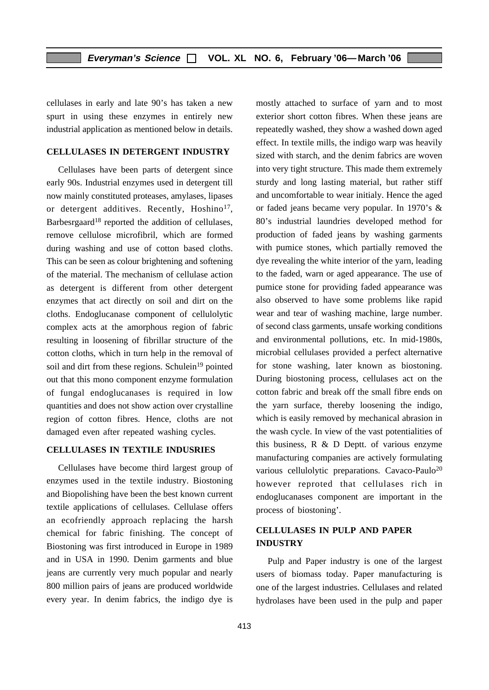cellulases in early and late 90's has taken a new spurt in using these enzymes in entirely new industrial application as mentioned below in details.

#### **CELLULASES IN DETERGENT INDUSTRY**

Cellulases have been parts of detergent since early 90s. Industrial enzymes used in detergent till now mainly constituted proteases, amylases, lipases or detergent additives. Recently, Hoshino<sup>17</sup>, Barbesrgaard<sup>18</sup> reported the addition of cellulases, remove cellulose microfibril, which are formed during washing and use of cotton based cloths. This can be seen as colour brightening and softening of the material. The mechanism of cellulase action as detergent is different from other detergent enzymes that act directly on soil and dirt on the cloths. Endoglucanase component of cellulolytic complex acts at the amorphous region of fabric resulting in loosening of fibrillar structure of the cotton cloths, which in turn help in the removal of soil and dirt from these regions. Schulein<sup>19</sup> pointed out that this mono component enzyme formulation of fungal endoglucanases is required in low quantities and does not show action over crystalline region of cotton fibres. Hence, cloths are not damaged even after repeated washing cycles.

#### **CELLULASES IN TEXTILE INDUSRIES**

Cellulases have become third largest group of enzymes used in the textile industry. Biostoning and Biopolishing have been the best known current textile applications of cellulases. Cellulase offers an ecofriendly approach replacing the harsh chemical for fabric finishing. The concept of Biostoning was first introduced in Europe in 1989 and in USA in 1990. Denim garments and blue jeans are currently very much popular and nearly 800 million pairs of jeans are produced worldwide every year. In denim fabrics, the indigo dye is mostly attached to surface of yarn and to most exterior short cotton fibres. When these jeans are repeatedly washed, they show a washed down aged effect. In textile mills, the indigo warp was heavily sized with starch, and the denim fabrics are woven into very tight structure. This made them extremely sturdy and long lasting material, but rather stiff and uncomfortable to wear initialy. Hence the aged or faded jeans became very popular. In 1970's & 80's industrial laundries developed method for production of faded jeans by washing garments with pumice stones, which partially removed the dye revealing the white interior of the yarn, leading to the faded, warn or aged appearance. The use of pumice stone for providing faded appearance was also observed to have some problems like rapid wear and tear of washing machine, large number. of second class garments, unsafe working conditions and environmental pollutions, etc. In mid-1980s, microbial cellulases provided a perfect alternative for stone washing, later known as biostoning. During biostoning process, cellulases act on the cotton fabric and break off the small fibre ends on the yarn surface, thereby loosening the indigo, which is easily removed by mechanical abrasion in the wash cycle. In view of the vast potentialities of this business, R & D Deptt. of various enzyme manufacturing companies are actively formulating various cellulolytic preparations. Cavaco-Paulo<sup>20</sup> however reproted that cellulases rich in endoglucanases component are important in the process of biostoning'.

#### **CELLULASES IN PULP AND PAPER INDUSTRY**

Pulp and Paper industry is one of the largest users of biomass today. Paper manufacturing is one of the largest industries. Cellulases and related hydrolases have been used in the pulp and paper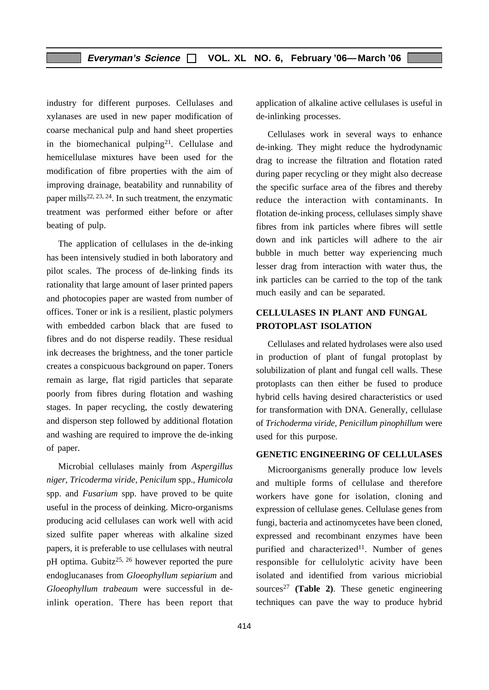industry for different purposes. Cellulases and xylanases are used in new paper modification of coarse mechanical pulp and hand sheet properties in the biomechanical pulping<sup>21</sup>. Cellulase and hemicellulase mixtures have been used for the modification of fibre properties with the aim of improving drainage, beatability and runnability of paper mills<sup>22, 23, 24</sup>. In such treatment, the enzymatic treatment was performed either before or after beating of pulp.

The application of cellulases in the de-inking has been intensively studied in both laboratory and pilot scales. The process of de-linking finds its rationality that large amount of laser printed papers and photocopies paper are wasted from number of offices. Toner or ink is a resilient, plastic polymers with embedded carbon black that are fused to fibres and do not disperse readily. These residual ink decreases the brightness, and the toner particle creates a conspicuous background on paper. Toners remain as large, flat rigid particles that separate poorly from fibres during flotation and washing stages. In paper recycling, the costly dewatering and disperson step followed by additional flotation and washing are required to improve the de-inking of paper.

Microbial cellulases mainly from *Aspergillus niger, Tricoderma viride, Penicilum* spp., *Humicola* spp. and *Fusarium* spp. have proved to be quite useful in the process of deinking. Micro-organisms producing acid cellulases can work well with acid sized sulfite paper whereas with alkaline sized papers, it is preferable to use cellulases with neutral pH optima. Gubitz<sup>25, 26</sup> however reported the pure endoglucanases from *Gloeophyllum sepiarium* and *Gloeophyllum trabeaum* were successful in deinlink operation. There has been report that application of alkaline active cellulases is useful in de-inlinking processes.

Cellulases work in several ways to enhance de-inking. They might reduce the hydrodynamic drag to increase the filtration and flotation rated during paper recycling or they might also decrease the specific surface area of the fibres and thereby reduce the interaction with contaminants. In flotation de-inking process, cellulases simply shave fibres from ink particles where fibres will settle down and ink particles will adhere to the air bubble in much better way experiencing much lesser drag from interaction with water thus, the ink particles can be carried to the top of the tank much easily and can be separated.

#### **CELLULASES IN PLANT AND FUNGAL PROTOPLAST ISOLATION**

Cellulases and related hydrolases were also used in production of plant of fungal protoplast by solubilization of plant and fungal cell walls. These protoplasts can then either be fused to produce hybrid cells having desired characteristics or used for transformation with DNA. Generally, cellulase of *Trichoderma viride, Penicillum pinophillum* were used for this purpose.

#### **GENETIC ENGINEERING OF CELLULASES**

Microorganisms generally produce low levels and multiple forms of cellulase and therefore workers have gone for isolation, cloning and expression of cellulase genes. Cellulase genes from fungi, bacteria and actinomycetes have been cloned, expressed and recombinant enzymes have been purified and characterized<sup>11</sup>. Number of genes responsible for cellulolytic acivity have been isolated and identified from various micriobial sources<sup>27</sup> (Table 2). These genetic engineering techniques can pave the way to produce hybrid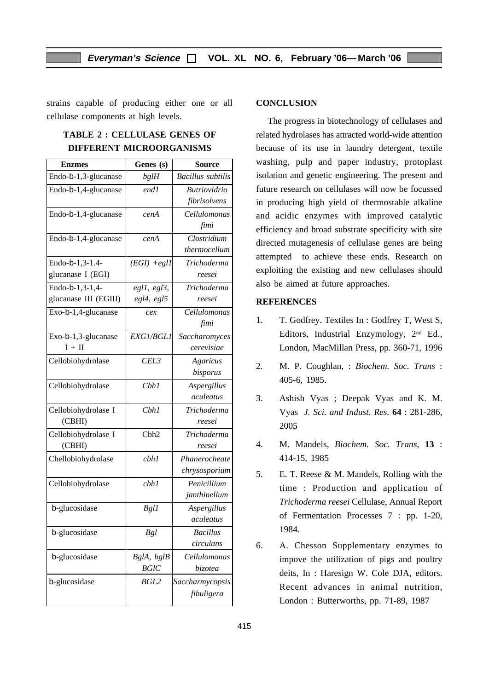strains capable of producing either one or all cellulase components at high levels.

#### **TABLE 2 : CELLULASE GENES OF DIFFERENT MICROORGANISMS**

| <b>Enzmes</b>         | Genes (s)        | <b>Source</b>            |
|-----------------------|------------------|--------------------------|
| Endo-b-1,3-glucanase  | bglH             | <b>Bacillus</b> subtilis |
| Endo-b-1,4-glucanase  | end1             | <b>Butriovidrio</b>      |
|                       |                  | fibrisolvens             |
| Endo-b-1,4-glucanase  | cenA             | Cellulomonas             |
|                       |                  | fimi                     |
| Endo-b-1,4-glucanase  | cenA             | Clostridium              |
|                       |                  | thermocellum             |
| Endo-b-1,3-1.4-       | $(EGI) + egl1$   | Trichoderma              |
| glucanase I (EGI)     |                  | reesei                   |
| Endo-b-1,3-1,4-       | eg1, eg13,       | Trichoderma              |
| glucanase III (EGIII) | egl4, egl5       | reesei                   |
| Exo-b-1,4-glucanase   | cex              | Cellulomonas             |
|                       |                  | fimi                     |
| Exo-b-1,3-glucanase   | EXG1/BGL1        | Saccharomyces            |
| $I + II$              |                  | cerevisiae               |
| Cellobiohydrolase     | CEL3             | Agaricus                 |
|                       |                  | bisporus                 |
| Cellobiohydrolase     | Cbh1             | Aspergillus              |
|                       |                  | aculeatus                |
| Cellobiohydrolase I   | Cbh1             | Trichoderma              |
| (CBHI)                |                  | reesei                   |
| Cellobiohydrolase I   | Cbh <sub>2</sub> | Trichoderma              |
| (CBHI)                |                  | reesei                   |
| Chellobiohydrolase    | cbh1             | Phanerocheate            |
|                       |                  | chrysosporium            |
| Cellobiohydrolase     | cbh1             | Penicillium              |
|                       |                  | janthinellum             |
| b-glucosidase         | <b>Bgl1</b>      | Aspergillus              |
|                       |                  | aculeatus                |
| b-glucosidase         | <b>Bgl</b>       | <b>Bacillus</b>          |
|                       |                  | circulans                |
| b-glucosidase         | BglA, bglB       | Cellulomonas             |
|                       | <b>BGIC</b>      | bizotea                  |
| b-glucosidase         | <b>BGL2</b>      | Saccharmycopsis          |
|                       |                  | fibuligera               |
|                       |                  |                          |

#### **CONCLUSION**

The progress in biotechnology of cellulases and related hydrolases has attracted world-wide attention because of its use in laundry detergent, textile washing, pulp and paper industry, protoplast isolation and genetic engineering. The present and future research on cellulases will now be focussed in producing high yield of thermostable alkaline and acidic enzymes with improved catalytic efficiency and broad substrate specificity with site directed mutagenesis of cellulase genes are being attempted to achieve these ends. Research on exploiting the existing and new cellulases should also be aimed at future approaches.

#### **REFERENCES**

- 1. T. Godfrey. Textiles In : Godfrey T, West S, Editors, Industrial Enzymology, 2nd Ed., London, MacMillan Press, pp. 360-71, 1996
- 2. M. P. Coughlan, : *Biochem. Soc. Trans* : 405-6, 1985.
- 3. Ashish Vyas ; Deepak Vyas and K. M. Vyas *J. Sci. and Indust. Res.* **64** : 281-286, 2005
- 4. M. Mandels, *Biochem. Soc. Trans*, **13** : 414-15, 1985
- 5. E. T. Reese & M. Mandels, Rolling with the time : Production and application of *Trichoderma reesei* Cellulase, Annual Report of Fermentation Processes 7 : pp. 1-20, 1984.
- 6. A. Chesson Supplementary enzymes to impove the utilization of pigs and poultry deits, In : Haresign W. Cole DJA, editors. Recent advances in animal nutrition, London : Butterworths, pp. 71-89, 1987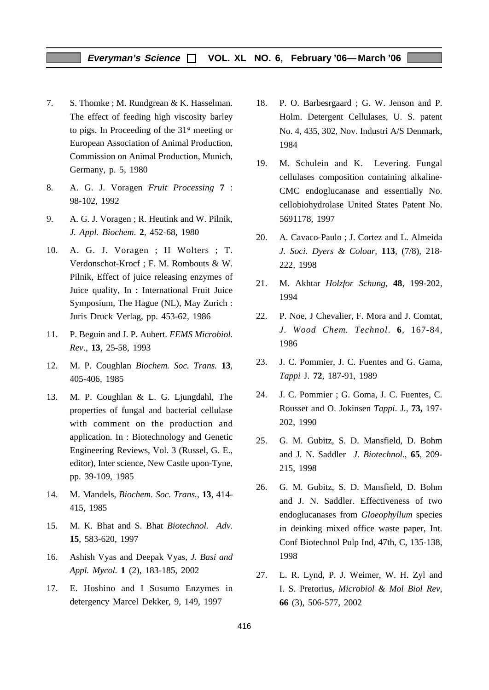#### **Everyman's Science VOL. XL NO. 6, February '06—March '06**

- 7. S. Thomke ; M. Rundgrean & K. Hasselman. The effect of feeding high viscosity barley to pigs. In Proceeding of the 31st meeting or European Association of Animal Production, Commission on Animal Production, Munich, Germany, p. 5, 1980
- 8. A. G. J. Voragen *Fruit Processing* **7** : 98-102, 1992
- 9. A. G. J. Voragen ; R. Heutink and W. Pilnik, *J. Appl. Biochem*. **2**, 452-68, 1980
- 10. A. G. J. Voragen ; H Wolters ; T. Verdonschot-Krocf ; F. M. Rombouts & W. Pilnik, Effect of juice releasing enzymes of Juice quality, In : International Fruit Juice Symposium, The Hague (NL), May Zurich : Juris Druck Verlag, pp. 453-62, 1986
- 11. P. Beguin and J. P. Aubert. *FEMS Microbiol. Rev*., **13**, 25-58, 1993
- 12. M. P. Coughlan *Biochem. Soc. Trans.* **13**, 405-406, 1985
- 13. M. P. Coughlan & L. G. Ljungdahl, The properties of fungal and bacterial cellulase with comment on the production and application. In : Biotechnology and Genetic Engineering Reviews, Vol. 3 (Russel, G. E., editor), Inter science, New Castle upon-Tyne, pp. 39-109, 1985
- 14. M. Mandels, *Biochem. Soc. Trans.*, **13**, 414- 415, 1985
- 15. M. K. Bhat and S. Bhat *Biotechnol. Adv.* **15**, 583-620, 1997
- 16. Ashish Vyas and Deepak Vyas, *J. Basi and Appl. Mycol.* **1** (2), 183-185, 2002
- 17. E. Hoshino and I Susumo Enzymes in detergency Marcel Dekker, 9, 149, 1997
- 18. P. O. Barbesrgaard ; G. W. Jenson and P. Holm. Detergent Cellulases, U. S. patent No. 4, 435, 302, Nov. Industri A/S Denmark, 1984
- 19. M. Schulein and K. Levering. Fungal cellulases composition containing alkaline-CMC endoglucanase and essentially No. cellobiohydrolase United States Patent No. 5691178, 1997
- 20. A. Cavaco-Paulo ; J. Cortez and L. Almeida *J. Soci. Dyers & Colour,* **113**, (7/8), 218- 222, 1998
- 21. M. Akhtar *Holzfor Schung*, **48**, 199-202, 1994
- 22. P. Noe, J Chevalier, F. Mora and J. Comtat, *J. Wood Chem. Technol*. **6**, 167-84, 1986
- 23. J. C. Pommier, J. C. Fuentes and G. Gama, *Tappi* J. **72**, 187-91, 1989
- 24. J. C. Pommier ; G. Goma, J. C. Fuentes, C. Rousset and O. Jokinsen *Tappi*. J., **73,** 197- 202, 1990
- 25. G. M. Gubitz, S. D. Mansfield, D. Bohm and J. N. Saddler *J. Biotechnol*., **65**, 209- 215, 1998
- 26. G. M. Gubitz, S. D. Mansfield, D. Bohm and J. N. Saddler. Effectiveness of two endoglucanases from *Gloeophyllum* species in deinking mixed office waste paper, Int. Conf Biotechnol Pulp Ind, 47th, C, 135-138, 1998
- 27. L. R. Lynd, P. J. Weimer, W. H. Zyl and I. S. Pretorius, *Microbiol & Mol Biol Rev*, **66** (3), 506-577, 2002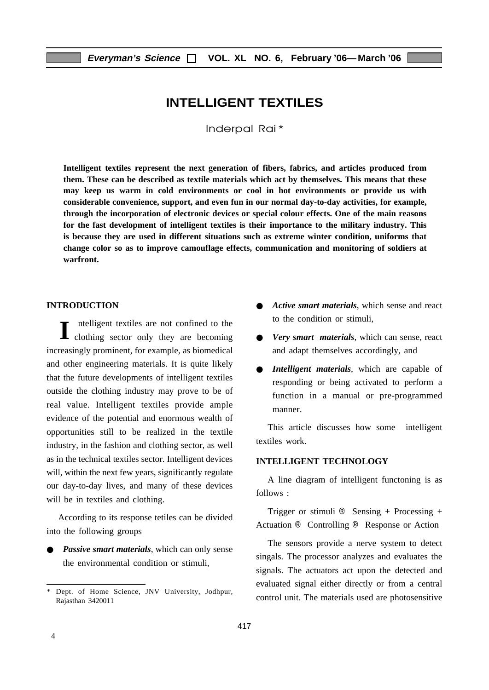# **INTELLIGENT TEXTILES**

Inderpal Rai\*

**Intelligent textiles represent the next generation of fibers, fabrics, and articles produced from them. These can be described as textile materials which act by themselves. This means that these may keep us warm in cold environments or cool in hot environments or provide us with considerable convenience, support, and even fun in our normal day-to-day activities, for example, through the incorporation of electronic devices or special colour effects. One of the main reasons for the fast development of intelligent textiles is their importance to the military industry. This is because they are used in different situations such as extreme winter condition, uniforms that change color so as to improve camouflage effects, communication and monitoring of soldiers at warfront.**

#### **INTRODUCTION**

I<br/>intelligent textiles are not confined to the clothing sector only they are becoming ntelligent textiles are not confined to the increasingly prominent, for example, as biomedical and other engineering materials. It is quite likely that the future developments of intelligent textiles outside the clothing industry may prove to be of real value. Intelligent textiles provide ample evidence of the potential and enormous wealth of opportunities still to be realized in the textile industry, in the fashion and clothing sector, as well as in the technical textiles sector. Intelligent devices will, within the next few years, significantly regulate our day-to-day lives, and many of these devices will be in textiles and clothing.

According to its response tetiles can be divided into the following groups

*Passive smart materials*, which can only sense the environmental condition or stimuli,

- *Active smart materials*, which sense and react to the condition or stimuli,
- *Very smart materials*, which can sense, react and adapt themselves accordingly, and
- *Intelligent materials*, which are capable of responding or being activated to perform a function in a manual or pre-programmed manner.

This article discusses how some intelligent textiles work.

#### **INTELLIGENT TECHNOLOGY**

A line diagram of intelligent functoning is as follows :

Trigger or stimuli  $\circledast$  Sensing + Processing + Actuation ® Controlling ® Response or Action

The sensors provide a nerve system to detect singals. The processor analyzes and evaluates the signals. The actuators act upon the detected and evaluated signal either directly or from a central control unit. The materials used are photosensitive

<sup>\*</sup> Dept. of Home Science, JNV University, Jodhpur, Rajasthan 3420011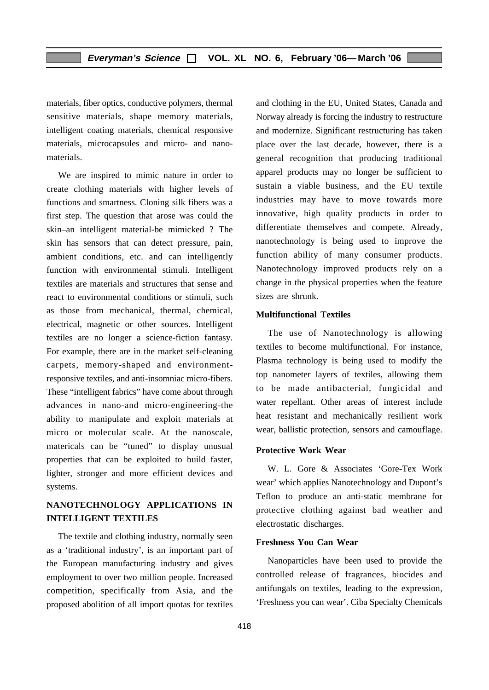materials, fiber optics, conductive polymers, thermal sensitive materials, shape memory materials, intelligent coating materials, chemical responsive materials, microcapsules and micro- and nanomaterials.

We are inspired to mimic nature in order to create clothing materials with higher levels of functions and smartness. Cloning silk fibers was a first step. The question that arose was could the skin–an intelligent material-be mimicked ? The skin has sensors that can detect pressure, pain, ambient conditions, etc. and can intelligently function with environmental stimuli. Intelligent textiles are materials and structures that sense and react to environmental conditions or stimuli, such as those from mechanical, thermal, chemical, electrical, magnetic or other sources. Intelligent textiles are no longer a science-fiction fantasy. For example, there are in the market self-cleaning carpets, memory-shaped and environmentresponsive textiles, and anti-insomniac micro-fibers. These "intelligent fabrics" have come about through advances in nano-and micro-engineering-the ability to manipulate and exploit materials at micro or molecular scale. At the nanoscale, matericals can be "tuned" to display unusual properties that can be exploited to build faster, lighter, stronger and more efficient devices and systems.

#### **NANOTECHNOLOGY APPLICATIONS IN INTELLIGENT TEXTILES**

The textile and clothing industry, normally seen as a 'traditional industry', is an important part of the European manufacturing industry and gives employment to over two million people. Increased competition, specifically from Asia, and the proposed abolition of all import quotas for textiles and clothing in the EU, United States, Canada and Norway already is forcing the industry to restructure and modernize. Significant restructuring has taken place over the last decade, however, there is a general recognition that producing traditional apparel products may no longer be sufficient to sustain a viable business, and the EU textile industries may have to move towards more innovative, high quality products in order to differentiate themselves and compete. Already, nanotechnology is being used to improve the function ability of many consumer products. Nanotechnology improved products rely on a change in the physical properties when the feature sizes are shrunk.

#### **Multifunctional Textiles**

The use of Nanotechnology is allowing textiles to become multifunctional. For instance, Plasma technology is being used to modify the top nanometer layers of textiles, allowing them to be made antibacterial, fungicidal and water repellant. Other areas of interest include heat resistant and mechanically resilient work wear, ballistic protection, sensors and camouflage.

#### **Protective Work Wear**

W. L. Gore & Associates 'Gore-Tex Work wear' which applies Nanotechnology and Dupont's Teflon to produce an anti-static membrane for protective clothing against bad weather and electrostatic discharges.

#### **Freshness You Can Wear**

Nanoparticles have been used to provide the controlled release of fragrances, biocides and antifungals on textiles, leading to the expression, 'Freshness you can wear'. Ciba Specialty Chemicals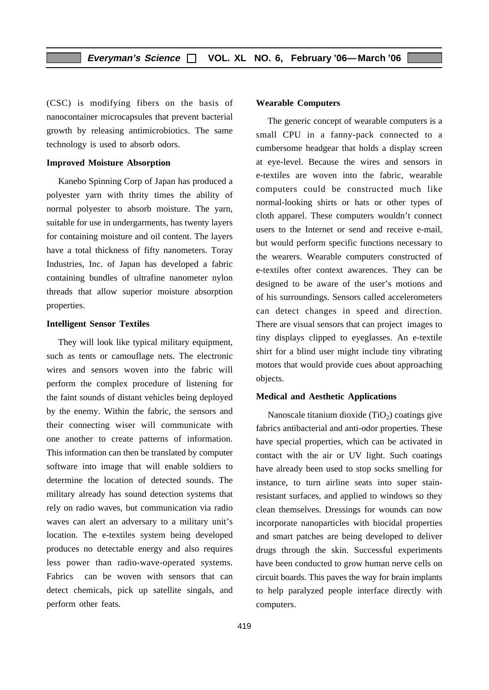(CSC) is modifying fibers on the basis of nanocontainer microcapsules that prevent bacterial growth by releasing antimicrobiotics. The same technology is used to absorb odors.

#### **Improved Moisture Absorption**

Kanebo Spinning Corp of Japan has produced a polyester yarn with thrity times the ability of normal polyester to absorb moisture. The yarn, suitable for use in undergarments, has twenty layers for containing moisture and oil content. The layers have a total thickness of fifty nanometers. Toray Industries, Inc. of Japan has developed a fabric containing bundles of ultrafine nanometer nylon threads that allow superior moisture absorption properties.

#### **Intelligent Sensor Textiles**

They will look like typical military equipment, such as tents or camouflage nets. The electronic wires and sensors woven into the fabric will perform the complex procedure of listening for the faint sounds of distant vehicles being deployed by the enemy. Within the fabric, the sensors and their connecting wiser will communicate with one another to create patterns of information. This information can then be translated by computer software into image that will enable soldiers to determine the location of detected sounds. The military already has sound detection systems that rely on radio waves, but communication via radio waves can alert an adversary to a military unit's location. The e-textiles system being developed produces no detectable energy and also requires less power than radio-wave-operated systems. Fabrics can be woven with sensors that can detect chemicals, pick up satellite singals, and perform other feats.

#### **Wearable Computers**

The generic concept of wearable computers is a small CPU in a fanny-pack connected to a cumbersome headgear that holds a display screen at eye-level. Because the wires and sensors in e-textiles are woven into the fabric, wearable computers could be constructed much like normal-looking shirts or hats or other types of cloth apparel. These computers wouldn't connect users to the Internet or send and receive e-mail, but would perform specific functions necessary to the wearers. Wearable computers constructed of e-textiles ofter context awarences. They can be designed to be aware of the user's motions and of his surroundings. Sensors called accelerometers can detect changes in speed and direction. There are visual sensors that can project images to tiny displays clipped to eyeglasses. An e-textile shirt for a blind user might include tiny vibrating motors that would provide cues about approaching objects.

#### **Medical and Aesthetic Applications**

Nanoscale titanium dioxide  $(TiO<sub>2</sub>)$  coatings give fabrics antibacterial and anti-odor properties. These have special properties, which can be activated in contact with the air or UV light. Such coatings have already been used to stop socks smelling for instance, to turn airline seats into super stainresistant surfaces, and applied to windows so they clean themselves. Dressings for wounds can now incorporate nanoparticles with biocidal properties and smart patches are being developed to deliver drugs through the skin. Successful experiments have been conducted to grow human nerve cells on circuit boards. This paves the way for brain implants to help paralyzed people interface directly with computers.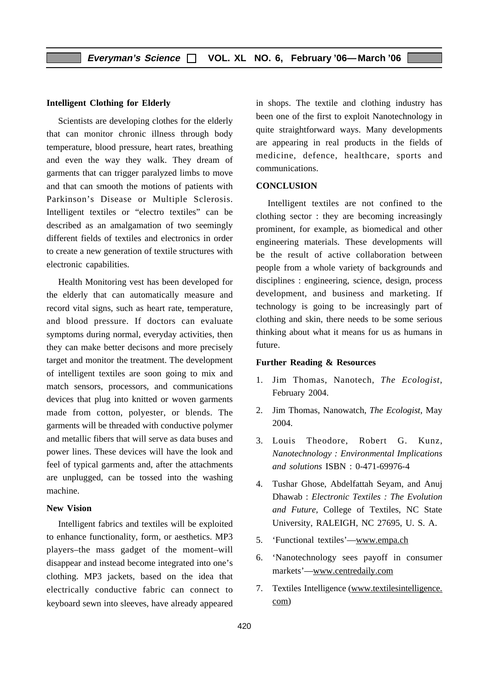#### **Intelligent Clothing for Elderly**

Scientists are developing clothes for the elderly that can monitor chronic illness through body temperature, blood pressure, heart rates, breathing and even the way they walk. They dream of garments that can trigger paralyzed limbs to move and that can smooth the motions of patients with Parkinson's Disease or Multiple Sclerosis. Intelligent textiles or "electro textiles" can be described as an amalgamation of two seemingly different fields of textiles and electronics in order to create a new generation of textile structures with electronic capabilities.

Health Monitoring vest has been developed for the elderly that can automatically measure and record vital signs, such as heart rate, temperature, and blood pressure. If doctors can evaluate symptoms during normal, everyday activities, then they can make better decisons and more precisely target and monitor the treatment. The development of intelligent textiles are soon going to mix and match sensors, processors, and communications devices that plug into knitted or woven garments made from cotton, polyester, or blends. The garments will be threaded with conductive polymer and metallic fibers that will serve as data buses and power lines. These devices will have the look and feel of typical garments and, after the attachments are unplugged, can be tossed into the washing machine.

#### **New Vision**

Intelligent fabrics and textiles will be exploited to enhance functionality, form, or aesthetics. MP3 players–the mass gadget of the moment–will disappear and instead become integrated into one's clothing. MP3 jackets, based on the idea that electrically conductive fabric can connect to keyboard sewn into sleeves, have already appeared in shops. The textile and clothing industry has been one of the first to exploit Nanotechnology in quite straightforward ways. Many developments are appearing in real products in the fields of medicine, defence, healthcare, sports and communications.

#### **CONCLUSION**

Intelligent textiles are not confined to the clothing sector : they are becoming increasingly prominent, for example, as biomedical and other engineering materials. These developments will be the result of active collaboration between people from a whole variety of backgrounds and disciplines : engineering, science, design, process development, and business and marketing. If technology is going to be increasingly part of clothing and skin, there needs to be some serious thinking about what it means for us as humans in future.

#### **Further Reading & Resources**

- 1. Jim Thomas, Nanotech, *The Ecologist*, February 2004.
- 2. Jim Thomas, Nanowatch, *The Ecologist*, May 2004.
- 3. Louis Theodore, Robert G. Kunz, *Nanotechnology : Environmental Implications and solutions* ISBN : 0-471-69976-4
- 4. Tushar Ghose, Abdelfattah Seyam, and Anuj Dhawab : *Electronic Textiles : The Evolution and Future,* College of Textiles, NC State University, RALEIGH, NC 27695, U. S. A.
- 5. 'Functional textiles'—www.empa.ch
- 6. 'Nanotechnology sees payoff in consumer markets'—www.centredaily.com
- 7. Textiles Intelligence (www.textilesintelligence. com)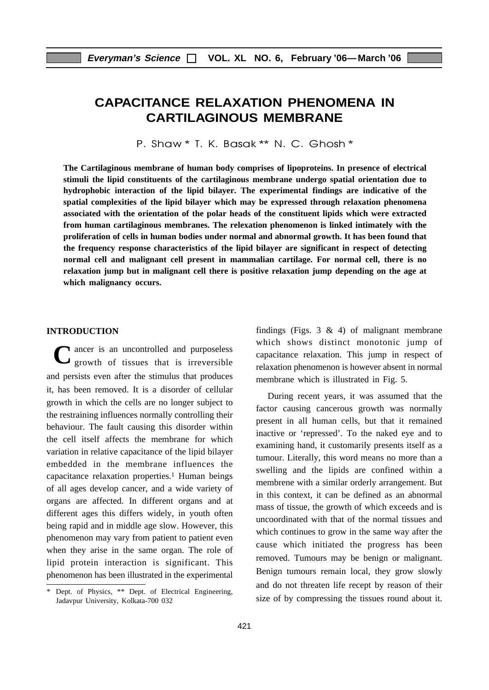# **CAPACITANCE RELAXATION PHENOMENA IN CARTILAGINOUS MEMBRANE**

P. Shaw \* T. K. Basak \*\* N. C. Ghosh \*

**The Cartilaginous membrane of human body comprises of lipoproteins. In presence of electrical stimuli the lipid constituents of the cartilaginous membrane undergo spatial orientation due to hydrophobic interaction of the lipid bilayer. The experimental findings are indicative of the spatial complexities of the lipid bilayer which may be expressed through relaxation phenomena associated with the orientation of the polar heads of the constituent lipids which were extracted from human cartilaginous membranes. The relexation phenomenon is linked intimately with the proliferation of cells in human bodies under normal and abnormal growth. It has been found that the frequency response characteristics of the lipid bilayer are significant in respect of detecting normal cell and malignant cell present in mammalian cartilage. For normal cell, there is no relaxation jump but in malignant cell there is positive relaxation jump depending on the age at which malignancy occurs.**

#### **INTRODUCTION**

C ancer is an uncontrolled and purposeless<br>
growth of tissues that is irreversible **I** ancer is an uncontrolled and purposeless and persists even after the stimulus that produces it, has been removed. It is a disorder of cellular growth in which the cells are no longer subject to the restraining influences normally controlling their behaviour. The fault causing this disorder within the cell itself affects the membrane for which variation in relative capacitance of the lipid bilayer embedded in the membrane influences the capacitance relaxation properties.<sup>1</sup> Human beings of all ages develop cancer, and a wide variety of organs are affected. In different organs and at different ages this differs widely, in youth often being rapid and in middle age slow. However, this phenomenon may vary from patient to patient even when they arise in the same organ. The role of lipid protein interaction is significant. This phenomenon has been illustrated in the experimental

findings (Figs. 3  $\&$  4) of malignant membrane which shows distinct monotonic jump of capacitance relaxation. This jump in respect of relaxation phenomenon is however absent in normal membrane which is illustrated in Fig. 5.

During recent years, it was assumed that the factor causing cancerous growth was normally present in all human cells, but that it remained inactive or 'repressed'. To the naked eye and to examining hand, it customarily presents itself as a tumour. Literally, this word means no more than a swelling and the lipids are confined within a membrene with a similar orderly arrangement. But in this context, it can be defined as an abnormal mass of tissue, the growth of which exceeds and is uncoordinated with that of the normal tissues and which continues to grow in the same way after the cause which initiated the progress has been removed. Tumours may be benign or malignant. Benign tumours remain local, they grow slowly and do not threaten life recept by reason of their size of by compressing the tissues round about it.

<sup>\*</sup> Dept. of Physics, \*\* Dept. of Electrical Engineering, Jadavpur University, Kolkata-700 032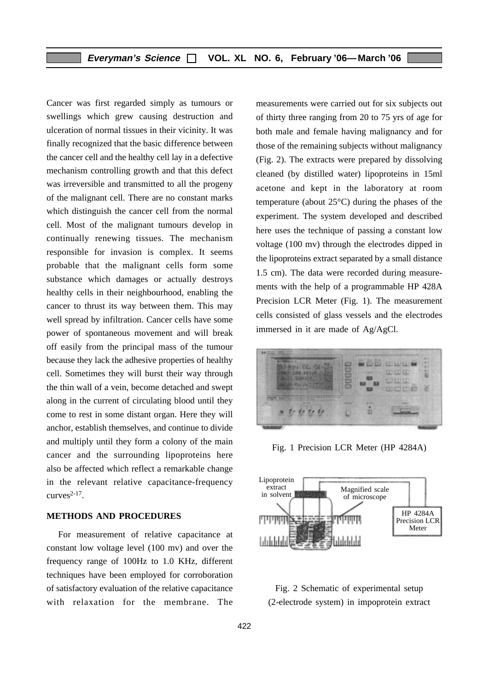Cancer was first regarded simply as tumours or swellings which grew causing destruction and ulceration of normal tissues in their vicinity. It was finally recognized that the basic difference between the cancer cell and the healthy cell lay in a defective mechanism controlling growth and that this defect was irreversible and transmitted to all the progeny of the malignant cell. There are no constant marks which distinguish the cancer cell from the normal cell. Most of the malignant tumours develop in continually renewing tissues. The mechanism responsible for invasion is complex. It seems probable that the malignant cells form some substance which damages or actually destroys healthy cells in their neighbourhood, enabling the cancer to thrust its way between them. This may well spread by infiltration. Cancer cells have some power of spontaneous movement and will break off easily from the principal mass of the tumour because they lack the adhesive properties of healthy cell. Sometimes they will burst their way through the thin wall of a vein, become detached and swept along in the current of circulating blood until they come to rest in some distant organ. Here they will anchor, establish themselves, and continue to divide and multiply until they form a colony of the main cancer and the surrounding lipoproteins here also be affected which reflect a remarkable change in the relevant relative capacitance-frequency curves $2-17$ .

#### **METHODS AND PROCEDURES**

For measurement of relative capacitance at constant low voltage level (100 mv) and over the frequency range of 100Hz to 1.0 KHz, different techniques have been employed for corroboration of satisfactory evaluation of the relative capacitance with relaxation for the membrane. The

measurements were carried out for six subjects out of thirty three ranging from 20 to 75 yrs of age for both male and female having malignancy and for those of the remaining subjects without malignancy (Fig. 2). The extracts were prepared by dissolving cleaned (by distilled water) lipoproteins in 15ml acetone and kept in the laboratory at room temperature (about 25°C) during the phases of the experiment. The system developed and described here uses the technique of passing a constant low voltage (100 mv) through the electrodes dipped in the lipoproteins extract separated by a small distance 1.5 cm). The data were recorded during measurements with the help of a programmable HP 428A Precision LCR Meter (Fig. 1). The measurement cells consisted of glass vessels and the electrodes immersed in it are made of Ag/AgCl.



Fig. 1 Precision LCR Meter (HP 4284A)



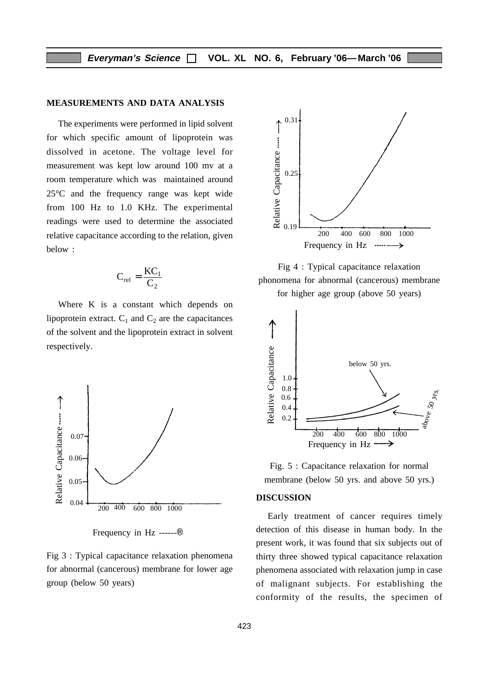#### **MEASUREMENTS AND DATA ANALYSIS**

The experiments were performed in lipid solvent for which specific amount of lipoprotein was dissolved in acetone. The voltage level for measurement was kept low around 100 mv at a room temperature which was maintained around 25°C and the frequency range was kept wide from 100 Hz to 1.0 KHz. The experimental readings were used to determine the associated relative capacitance according to the relation, given below :

$$
C_{rel} = \frac{KC_1}{C_2}
$$

Where K is a constant which depends on lipoprotein extract.  $C_1$  and  $C_2$  are the capacitances of the solvent and the lipoprotein extract in solvent respectively.



Frequency in Hz ------®

Fig 3 : Typical capacitance relaxation phenomena for abnormal (cancerous) membrane for lower age group (below 50 years)



Fig 4 : Typical capacitance relaxation phonomena for abnormal (cancerous) membrane

for higher age group (above 50 years)



Fig. 5 : Capacitance relaxation for normal membrane (below 50 yrs. and above 50 yrs.)

#### **DISCUSSION**

Early treatment of cancer requires timely detection of this disease in human body. In the present work, it was found that six subjects out of thirty three showed typical capacitance relaxation phenomena associated with relaxation jump in case of malignant subjects. For establishing the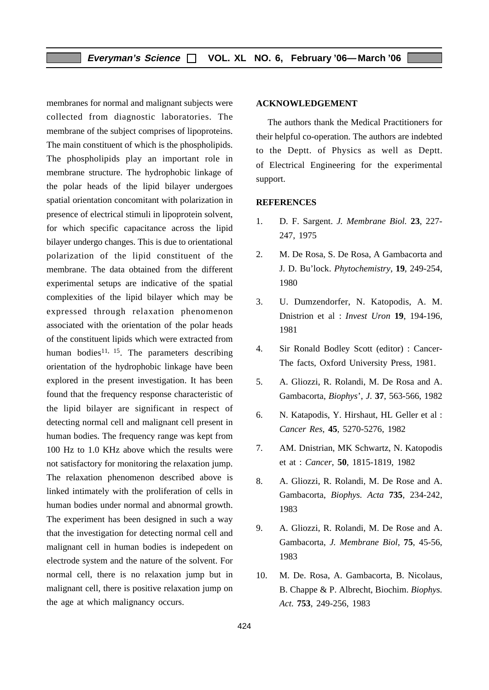membranes for normal and malignant subjects were collected from diagnostic laboratories. The membrane of the subject comprises of lipoproteins. The main constituent of which is the phospholipids. The phospholipids play an important role in membrane structure. The hydrophobic linkage of the polar heads of the lipid bilayer undergoes spatial orientation concomitant with polarization in presence of electrical stimuli in lipoprotein solvent, for which specific capacitance across the lipid bilayer undergo changes. This is due to orientational polarization of the lipid constituent of the membrane. The data obtained from the different experimental setups are indicative of the spatial complexities of the lipid bilayer which may be expressed through relaxation phenomenon associated with the orientation of the polar heads of the constituent lipids which were extracted from human bodies<sup>11, 15</sup>. The parameters describing orientation of the hydrophobic linkage have been explored in the present investigation. It has been found that the frequency response characteristic of the lipid bilayer are significant in respect of detecting normal cell and malignant cell present in human bodies. The frequency range was kept from 100 Hz to 1.0 KHz above which the results were not satisfactory for monitoring the relaxation jump. The relaxation phenomenon described above is linked intimately with the proliferation of cells in human bodies under normal and abnormal growth. The experiment has been designed in such a way that the investigation for detecting normal cell and malignant cell in human bodies is indepedent on electrode system and the nature of the solvent. For normal cell, there is no relaxation jump but in malignant cell, there is positive relaxation jump on the age at which malignancy occurs.

#### **ACKNOWLEDGEMENT**

The authors thank the Medical Practitioners for their helpful co-operation. The authors are indebted to the Deptt. of Physics as well as Deptt. of Electrical Engineering for the experimental support.

#### **REFERENCES**

- 1. D. F. Sargent. *J. Membrane Biol.* **23**, 227- 247, 1975
- 2. M. De Rosa, S. De Rosa, A Gambacorta and J. D. Bu'lock. *Phytochemistry*, **19**, 249-254, 1980
- 3. U. Dumzendorfer, N. Katopodis, A. M. Dnistrion et al : *Invest Uron* **19**, 194-196, 1981
- 4. Sir Ronald Bodley Scott (editor) : Cancer-The facts, Oxford University Press, 1981.
- 5. A. Gliozzi, R. Rolandi, M. De Rosa and A. Gambacorta, *Biophys*', *J*. **37**, 563-566, 1982
- 6. N. Katapodis, Y. Hirshaut, HL Geller et al : *Cancer Res*, **45**, 5270-5276, 1982
- 7. AM. Dnistrian, MK Schwartz, N. Katopodis et at : *Cancer*, **50**, 1815-1819, 1982
- 8. A. Gliozzi, R. Rolandi, M. De Rose and A. Gambacorta, *Biophys. Acta* **735**, 234-242, 1983
- 9. A. Gliozzi, R. Rolandi, M. De Rose and A. Gambacorta, *J. Membrane Biol,* **75**, 45-56, 1983
- 10. M. De. Rosa, A. Gambacorta, B. Nicolaus, B. Chappe & P. Albrecht, Biochim. *Biophys. Act*. **753**, 249-256, 1983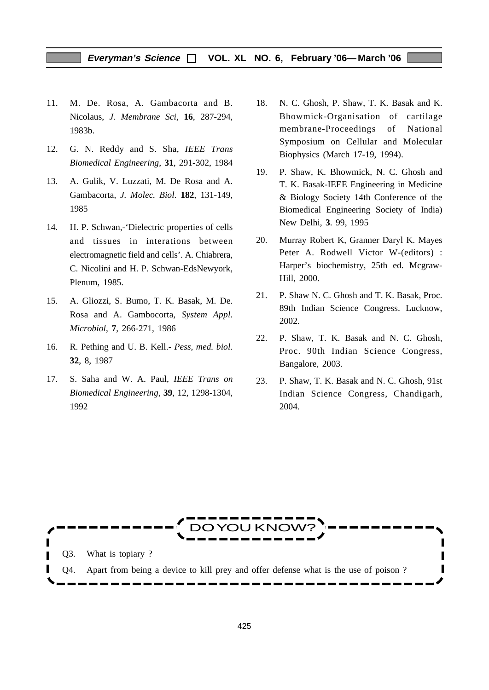#### **Everyman's Science VOL. XL NO. 6, February '06—March '06**

- 11. M. De. Rosa, A. Gambacorta and B. Nicolaus, *J. Membrane Sci*, **16**, 287-294, 1983b.
- 12. G. N. Reddy and S. Sha, *IEEE Trans Biomedical Engineering*, **31**, 291-302, 1984
- 13. A. Gulik, V. Luzzati, M. De Rosa and A. Gambacorta, *J. Molec. Biol*. **182**, 131-149, 1985
- 14. H. P. Schwan,-'Dielectric properties of cells and tissues in interations between electromagnetic field and cells'. A. Chiabrera, C. Nicolini and H. P. Schwan-EdsNewyork, Plenum, 1985.
- 15. A. Gliozzi, S. Bumo, T. K. Basak, M. De. Rosa and A. Gambocorta, *System Appl. Microbiol*, **7**, 266-271, 1986
- 16. R. Pething and U. B. Kell.- *Pess, med. biol.* **32**, 8, 1987
- 17. S. Saha and W. A. Paul, *IEEE Trans on Biomedical Engineering*, **39**, 12, 1298-1304, 1992
- 18. N. C. Ghosh, P. Shaw, T. K. Basak and K. Bhowmick-Organisation of cartilage membrane-Proceedings of National Symposium on Cellular and Molecular Biophysics (March 17-19, 1994).
- 19. P. Shaw, K. Bhowmick, N. C. Ghosh and T. K. Basak-IEEE Engineering in Medicine & Biology Society 14th Conference of the Biomedical Engineering Society of India) New Delhi, **3**. 99, 1995
- 20. Murray Robert K, Granner Daryl K. Mayes Peter A. Rodwell Victor W-(editors) : Harper's biochemistry, 25th ed. Mcgraw-Hill, 2000.
- 21. P. Shaw N. C. Ghosh and T. K. Basak, Proc. 89th Indian Science Congress. Lucknow, 2002.
- 22. P. Shaw, T. K. Basak and N. C. Ghosh, Proc. 90th Indian Science Congress, Bangalore, 2003.
- 23. P. Shaw, T. K. Basak and N. C. Ghosh, 91st Indian Science Congress, Chandigarh, 2004.

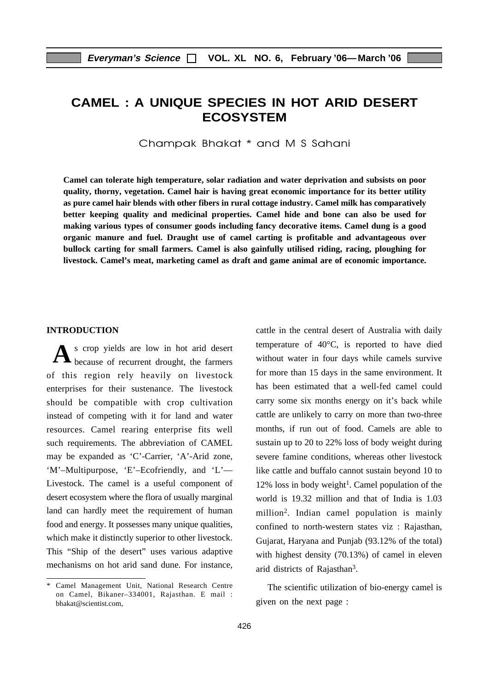# **CAMEL : A UNIQUE SPECIES IN HOT ARID DESERT ECOSYSTEM**

Champak Bhakat \* and M S Sahani

**Camel can tolerate high temperature, solar radiation and water deprivation and subsists on poor quality, thorny, vegetation. Camel hair is having great economic importance for its better utility as pure camel hair blends with other fibers in rural cottage industry. Camel milk has comparatively better keeping quality and medicinal properties. Camel hide and bone can also be used for making various types of consumer goods including fancy decorative items. Camel dung is a good organic manure and fuel. Draught use of camel carting is profitable and advantageous over bullock carting for small farmers. Camel is also gainfully utilised riding, racing, ploughing for livestock. Camel's meat, marketing camel as draft and game animal are of economic importance.**

#### **INTRODUCTION**

s crop yields are low in hot arid desert A s crop yields are low in hot arid desert<br>because of recurrent drought, the farmers of this region rely heavily on livestock enterprises for their sustenance. The livestock should be compatible with crop cultivation instead of competing with it for land and water resources. Camel rearing enterprise fits well such requirements. The abbreviation of CAMEL may be expanded as 'C'-Carrier, 'A'-Arid zone, 'M'–Multipurpose, 'E'–Ecofriendly, and 'L'— Livestock. The camel is a useful component of desert ecosystem where the flora of usually marginal land can hardly meet the requirement of human food and energy. It possesses many unique qualities, which make it distinctly superior to other livestock. This "Ship of the desert" uses various adaptive mechanisms on hot arid sand dune. For instance, cattle in the central desert of Australia with daily temperature of 40°C, is reported to have died without water in four days while camels survive for more than 15 days in the same environment. It has been estimated that a well-fed camel could carry some six months energy on it's back while cattle are unlikely to carry on more than two-three months, if run out of food. Camels are able to sustain up to 20 to 22% loss of body weight during severe famine conditions, whereas other livestock like cattle and buffalo cannot sustain beyond 10 to  $12\%$  loss in body weight<sup>1</sup>. Camel population of the world is 19.32 million and that of India is 1.03 million2. Indian camel population is mainly confined to north-western states viz : Rajasthan, Gujarat, Haryana and Punjab (93.12% of the total) with highest density (70.13%) of camel in eleven arid districts of Rajasthan3.

The scientific utilization of bio-energy camel is given on the next page :

Camel Management Unit, National Research Centre on Camel, Bikaner–334001, Rajasthan. E mail : bhakat@scientist.com,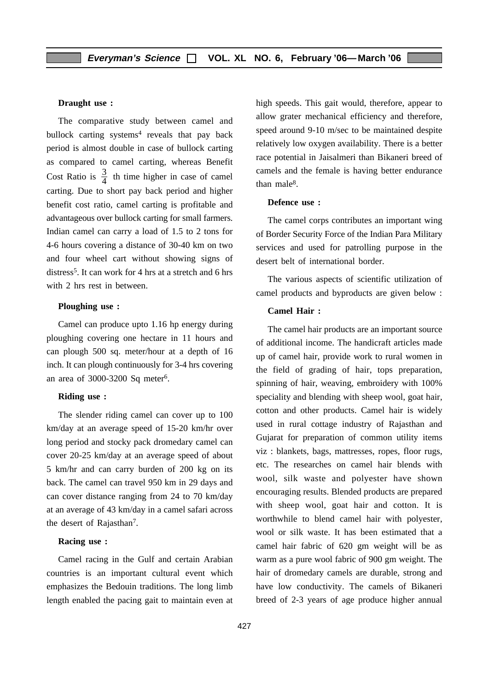#### **Draught use :**

The comparative study between camel and bullock carting systems<sup>4</sup> reveals that pay back period is almost double in case of bullock carting as compared to camel carting, whereas Benefit Cost Ratio is  $\frac{3}{4}$  th time higher in case of camel carting. Due to short pay back period and higher benefit cost ratio, camel carting is profitable and advantageous over bullock carting for small farmers. Indian camel can carry a load of 1.5 to 2 tons for 4-6 hours covering a distance of 30-40 km on two and four wheel cart without showing signs of distress<sup>5</sup>. It can work for 4 hrs at a stretch and 6 hrs with 2 hrs rest in between.

#### **Ploughing use :**

Camel can produce upto 1.16 hp energy during ploughing covering one hectare in 11 hours and can plough 500 sq. meter/hour at a depth of 16 inch. It can plough continuously for 3-4 hrs covering an area of 3000-3200 Sq meter6.

#### **Riding use :**

The slender riding camel can cover up to 100 km/day at an average speed of 15-20 km/hr over long period and stocky pack dromedary camel can cover 20-25 km/day at an average speed of about 5 km/hr and can carry burden of 200 kg on its back. The camel can travel 950 km in 29 days and can cover distance ranging from 24 to 70 km/day at an average of 43 km/day in a camel safari across the desert of Rajasthan7.

#### **Racing use :**

Camel racing in the Gulf and certain Arabian countries is an important cultural event which emphasizes the Bedouin traditions. The long limb length enabled the pacing gait to maintain even at high speeds. This gait would, therefore, appear to allow grater mechanical efficiency and therefore, speed around 9-10 m/sec to be maintained despite relatively low oxygen availability. There is a better race potential in Jaisalmeri than Bikaneri breed of camels and the female is having better endurance than male<sup>8</sup>.

#### **Defence use :**

The camel corps contributes an important wing of Border Security Force of the Indian Para Military services and used for patrolling purpose in the desert belt of international border.

The various aspects of scientific utilization of camel products and byproducts are given below :

#### **Camel Hair :**

The camel hair products are an important source of additional income. The handicraft articles made up of camel hair, provide work to rural women in the field of grading of hair, tops preparation, spinning of hair, weaving, embroidery with 100% speciality and blending with sheep wool, goat hair, cotton and other products. Camel hair is widely used in rural cottage industry of Rajasthan and Gujarat for preparation of common utility items viz : blankets, bags, mattresses, ropes, floor rugs, etc. The researches on camel hair blends with wool, silk waste and polyester have shown encouraging results. Blended products are prepared with sheep wool, goat hair and cotton. It is worthwhile to blend camel hair with polyester, wool or silk waste. It has been estimated that a camel hair fabric of 620 gm weight will be as warm as a pure wool fabric of 900 gm weight. The hair of dromedary camels are durable, strong and have low conductivity. The camels of Bikaneri breed of 2-3 years of age produce higher annual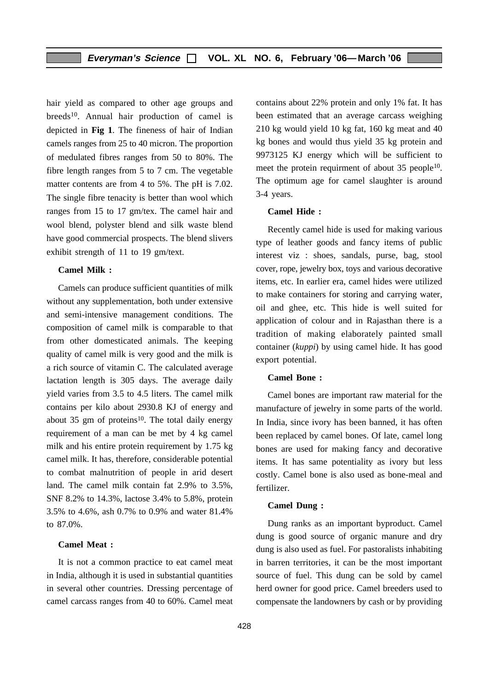hair yield as compared to other age groups and breeds<sup>10</sup>. Annual hair production of camel is depicted in **Fig 1**. The fineness of hair of Indian camels ranges from 25 to 40 micron. The proportion of medulated fibres ranges from 50 to 80%. The fibre length ranges from 5 to 7 cm. The vegetable matter contents are from 4 to 5%. The pH is 7.02. The single fibre tenacity is better than wool which ranges from 15 to 17 gm/tex. The camel hair and wool blend, polyster blend and silk waste blend have good commercial prospects. The blend slivers exhibit strength of 11 to 19 gm/text.

#### **Camel Milk :**

Camels can produce sufficient quantities of milk without any supplementation, both under extensive and semi-intensive management conditions. The composition of camel milk is comparable to that from other domesticated animals. The keeping quality of camel milk is very good and the milk is a rich source of vitamin C. The calculated average lactation length is 305 days. The average daily yield varies from 3.5 to 4.5 liters. The camel milk contains per kilo about 2930.8 KJ of energy and about 35 gm of proteins<sup>10</sup>. The total daily energy requirement of a man can be met by 4 kg camel milk and his entire protein requirement by 1.75 kg camel milk. It has, therefore, considerable potential to combat malnutrition of people in arid desert land. The camel milk contain fat 2.9% to 3.5%, SNF 8.2% to 14.3%, lactose 3.4% to 5.8%, protein 3.5% to 4.6%, ash 0.7% to 0.9% and water 81.4% to 87.0%.

#### **Camel Meat :**

It is not a common practice to eat camel meat in India, although it is used in substantial quantities in several other countries. Dressing percentage of camel carcass ranges from 40 to 60%. Camel meat contains about 22% protein and only 1% fat. It has been estimated that an average carcass weighing 210 kg would yield 10 kg fat, 160 kg meat and 40 kg bones and would thus yield 35 kg protein and 9973125 KJ energy which will be sufficient to meet the protein requirment of about 35 people<sup>10</sup>. The optimum age for camel slaughter is around 3-4 years.

#### **Camel Hide :**

Recently camel hide is used for making various type of leather goods and fancy items of public interest viz : shoes, sandals, purse, bag, stool cover, rope, jewelry box, toys and various decorative items, etc. In earlier era, camel hides were utilized to make containers for storing and carrying water, oil and ghee, etc. This hide is well suited for application of colour and in Rajasthan there is a tradition of making elaborately painted small container (*kuppi*) by using camel hide. It has good export potential.

#### **Camel Bone :**

Camel bones are important raw material for the manufacture of jewelry in some parts of the world. In India, since ivory has been banned, it has often been replaced by camel bones. Of late, camel long bones are used for making fancy and decorative items. It has same potentiality as ivory but less costly. Camel bone is also used as bone-meal and fertilizer.

#### **Camel Dung :**

Dung ranks as an important byproduct. Camel dung is good source of organic manure and dry dung is also used as fuel. For pastoralists inhabiting in barren territories, it can be the most important source of fuel. This dung can be sold by camel herd owner for good price. Camel breeders used to compensate the landowners by cash or by providing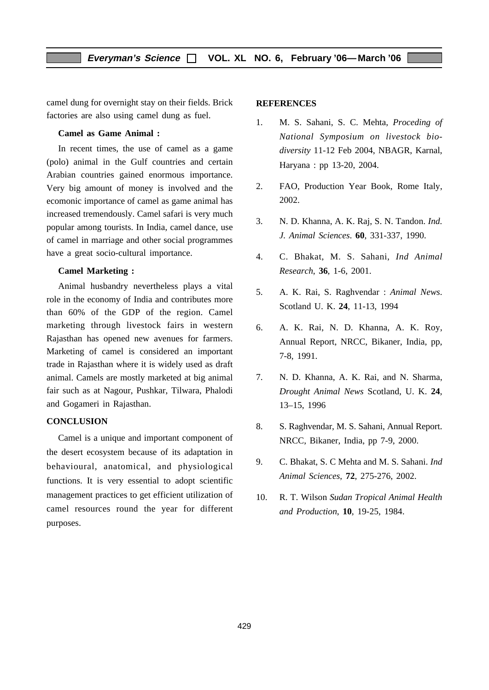camel dung for overnight stay on their fields. Brick factories are also using camel dung as fuel.

#### **Camel as Game Animal :**

In recent times, the use of camel as a game (polo) animal in the Gulf countries and certain Arabian countries gained enormous importance. Very big amount of money is involved and the ecomonic importance of camel as game animal has increased tremendously. Camel safari is very much popular among tourists. In India, camel dance, use of camel in marriage and other social programmes have a great socio-cultural importance.

#### **Camel Marketing :**

Animal husbandry nevertheless plays a vital role in the economy of India and contributes more than 60% of the GDP of the region. Camel marketing through livestock fairs in western Rajasthan has opened new avenues for farmers. Marketing of camel is considered an important trade in Rajasthan where it is widely used as draft animal. Camels are mostly marketed at big animal fair such as at Nagour, Pushkar, Tilwara, Phalodi and Gogameri in Rajasthan.

#### **CONCLUSION**

Camel is a unique and important component of the desert ecosystem because of its adaptation in behavioural, anatomical, and physiological functions. It is very essential to adopt scientific management practices to get efficient utilization of camel resources round the year for different purposes.

#### **REFERENCES**

- 1. M. S. Sahani, S. C. Mehta, *Proceding of National Symposium on livestock biodiversity* 11-12 Feb 2004, NBAGR, Karnal, Haryana : pp 13-20, 2004.
- 2. FAO, Production Year Book, Rome Italy, 2002.
- 3. N. D. Khanna, A. K. Raj, S. N. Tandon. *Ind. J. Animal Sciences*. **60**, 331-337, 1990.
- 4. C. Bhakat, M. S. Sahani, *Ind Animal Research*, **36**, 1-6, 2001.
- 5. A. K. Rai, S. Raghvendar : *Animal News*. Scotland U. K. **24**, 11-13, 1994
- 6. A. K. Rai, N. D. Khanna, A. K. Roy, Annual Report, NRCC, Bikaner, India, pp, 7-8, 1991.
- 7. N. D. Khanna, A. K. Rai, and N. Sharma, *Drought Animal News* Scotland, U. K. **24**, 13–15, 1996
- 8. S. Raghvendar, M. S. Sahani, Annual Report. NRCC, Bikaner, India, pp 7-9, 2000.
- 9. C. Bhakat, S. C Mehta and M. S. Sahani. *Ind Animal Sciences*, **72**, 275-276, 2002.
- 10. R. T. Wilson *Sudan Tropical Animal Health and Production*, **10**, 19-25, 1984.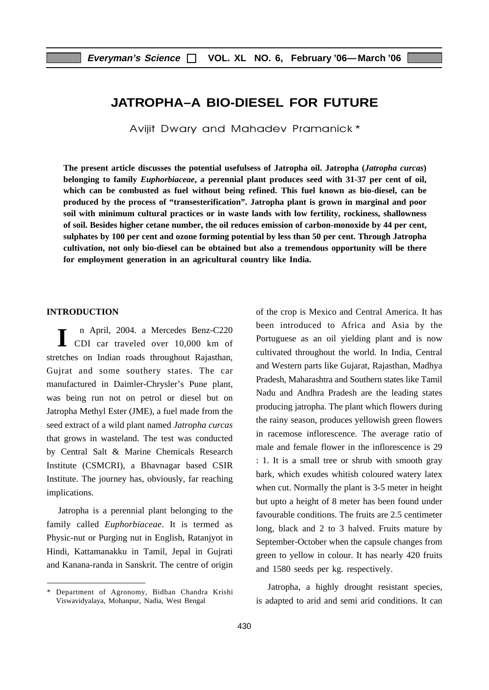## **JATROPHA–A BIO-DIESEL FOR FUTURE**

Avijit Dwary and Mahadev Pramanick\*

**The present article discusses the potential usefulsess of Jatropha oil. Jatropha (***Jatropha curcas***) belonging to family** *Euphorbiaceae***, a perennial plant produces seed with 31-37 per cent of oil, which can be combusted as fuel without being refined. This fuel known as bio-diesel, can be produced by the process of "transesterification". Jatropha plant is grown in marginal and poor soil with minimum cultural practices or in waste lands with low fertility, rockiness, shallowness of soil. Besides higher cetane number, the oil reduces emission of carbon-monoxide by 44 per cent, sulphates by 100 per cent and ozone forming potential by less than 50 per cent. Through Jatropha cultivation, not only bio-diesel can be obtained but also a tremendous opportunity will be there for employment generation in an agricultural country like India.**

#### **INTRODUCTION**

 n April, 2004. a Mercedes Benz-C220 I n April, 2004. a Mercedes Benz-C220<br>
CDI car traveled over 10,000 km of stretches on Indian roads throughout Rajasthan, Gujrat and some southery states. The car manufactured in Daimler-Chrysler's Pune plant, was being run not on petrol or diesel but on Jatropha Methyl Ester (JME), a fuel made from the seed extract of a wild plant named *Jatropha curcas* that grows in wasteland. The test was conducted by Central Salt & Marine Chemicals Research Institute (CSMCRI), a Bhavnagar based CSIR Institute. The journey has, obviously, far reaching implications.

Jatropha is a perennial plant belonging to the family called *Euphorbiaceae*. It is termed as Physic-nut or Purging nut in English, Ratanjyot in Hindi, Kattamanakku in Tamil, Jepal in Gujrati and Kanana-randa in Sanskrit. The centre of origin of the crop is Mexico and Central America. It has been introduced to Africa and Asia by the Portuguese as an oil yielding plant and is now cultivated throughout the world. In India, Central and Western parts like Gujarat, Rajasthan, Madhya Pradesh, Maharashtra and Southern states like Tamil Nadu and Andhra Pradesh are the leading states producing jatropha. The plant which flowers during the rainy season, produces yellowish green flowers in racemose inflorescence. The average ratio of male and female flower in the inflorescence is 29 : 1. It is a small tree or shrub with smooth gray bark, which exudes whitish coloured watery latex when cut. Normally the plant is 3-5 meter in height but upto a height of 8 meter has been found under favourable conditions. The fruits are 2.5 centimeter long, black and 2 to 3 halved. Fruits mature by September-October when the capsule changes from green to yellow in colour. It has nearly 420 fruits and 1580 seeds per kg. respectively.

Jatropha, a highly drought resistant species, is adapted to arid and semi arid conditions. It can

<sup>\*</sup> Department of Agronomy, Bidhan Chandra Krishi Viswavidyalaya, Mohanpur, Nadia, West Bengal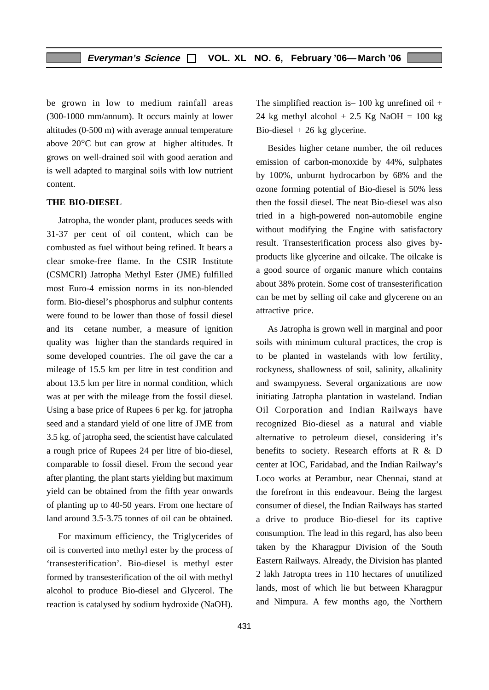be grown in low to medium rainfall areas (300-1000 mm/annum). It occurs mainly at lower altitudes (0-500 m) with average annual temperature above 20°C but can grow at higher altitudes. It grows on well-drained soil with good aeration and is well adapted to marginal soils with low nutrient content.

#### **THE BIO-DIESEL**

Jatropha, the wonder plant, produces seeds with 31-37 per cent of oil content, which can be combusted as fuel without being refined. It bears a clear smoke-free flame. In the CSIR Institute (CSMCRI) Jatropha Methyl Ester (JME) fulfilled most Euro-4 emission norms in its non-blended form. Bio-diesel's phosphorus and sulphur contents were found to be lower than those of fossil diesel and its cetane number, a measure of ignition quality was higher than the standards required in some developed countries. The oil gave the car a mileage of 15.5 km per litre in test condition and about 13.5 km per litre in normal condition, which was at per with the mileage from the fossil diesel. Using a base price of Rupees 6 per kg. for jatropha seed and a standard yield of one litre of JME from 3.5 kg. of jatropha seed, the scientist have calculated a rough price of Rupees 24 per litre of bio-diesel, comparable to fossil diesel. From the second year after planting, the plant starts yielding but maximum yield can be obtained from the fifth year onwards of planting up to 40-50 years. From one hectare of land around 3.5-3.75 tonnes of oil can be obtained.

For maximum efficiency, the Triglycerides of oil is converted into methyl ester by the process of 'transesterification'. Bio-diesel is methyl ester formed by transesterification of the oil with methyl alcohol to produce Bio-diesel and Glycerol. The reaction is catalysed by sodium hydroxide (NaOH). The simplified reaction is  $-100 \text{ kg}$  unrefined oil  $+$ 24 kg methyl alcohol  $+ 2.5$  Kg NaOH = 100 kg Bio-diesel  $+26$  kg glycerine.

Besides higher cetane number, the oil reduces emission of carbon-monoxide by 44%, sulphates by 100%, unburnt hydrocarbon by 68% and the ozone forming potential of Bio-diesel is 50% less then the fossil diesel. The neat Bio-diesel was also tried in a high-powered non-automobile engine without modifying the Engine with satisfactory result. Transesterification process also gives byproducts like glycerine and oilcake. The oilcake is a good source of organic manure which contains about 38% protein. Some cost of transesterification can be met by selling oil cake and glycerene on an attractive price.

As Jatropha is grown well in marginal and poor soils with minimum cultural practices, the crop is to be planted in wastelands with low fertility, rockyness, shallowness of soil, salinity, alkalinity and swampyness. Several organizations are now initiating Jatropha plantation in wasteland. Indian Oil Corporation and Indian Railways have recognized Bio-diesel as a natural and viable alternative to petroleum diesel, considering it's benefits to society. Research efforts at R & D center at IOC, Faridabad, and the Indian Railway's Loco works at Perambur, near Chennai, stand at the forefront in this endeavour. Being the largest consumer of diesel, the Indian Railways has started a drive to produce Bio-diesel for its captive consumption. The lead in this regard, has also been taken by the Kharagpur Division of the South Eastern Railways. Already, the Division has planted 2 lakh Jatropta trees in 110 hectares of unutilized lands, most of which lie but between Kharagpur and Nimpura. A few months ago, the Northern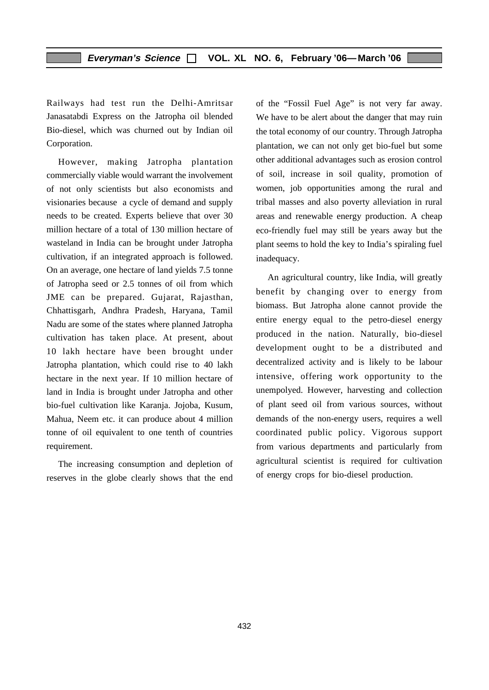Railways had test run the Delhi-Amritsar Janasatabdi Express on the Jatropha oil blended Bio-diesel, which was churned out by Indian oil Corporation.

However, making Jatropha plantation commercially viable would warrant the involvement of not only scientists but also economists and visionaries because a cycle of demand and supply needs to be created. Experts believe that over 30 million hectare of a total of 130 million hectare of wasteland in India can be brought under Jatropha cultivation, if an integrated approach is followed. On an average, one hectare of land yields 7.5 tonne of Jatropha seed or 2.5 tonnes of oil from which JME can be prepared. Gujarat, Rajasthan, Chhattisgarh, Andhra Pradesh, Haryana, Tamil Nadu are some of the states where planned Jatropha cultivation has taken place. At present, about 10 lakh hectare have been brought under Jatropha plantation, which could rise to 40 lakh hectare in the next year. If 10 million hectare of land in India is brought under Jatropha and other bio-fuel cultivation like Karanja. Jojoba, Kusum, Mahua, Neem etc. it can produce about 4 million tonne of oil equivalent to one tenth of countries requirement.

The increasing consumption and depletion of reserves in the globe clearly shows that the end

of the "Fossil Fuel Age" is not very far away. We have to be alert about the danger that may ruin the total economy of our country. Through Jatropha plantation, we can not only get bio-fuel but some other additional advantages such as erosion control of soil, increase in soil quality, promotion of women, job opportunities among the rural and tribal masses and also poverty alleviation in rural areas and renewable energy production. A cheap eco-friendly fuel may still be years away but the plant seems to hold the key to India's spiraling fuel inadequacy.

An agricultural country, like India, will greatly benefit by changing over to energy from biomass. But Jatropha alone cannot provide the entire energy equal to the petro-diesel energy produced in the nation. Naturally, bio-diesel development ought to be a distributed and decentralized activity and is likely to be labour intensive, offering work opportunity to the unempolyed. However, harvesting and collection of plant seed oil from various sources, without demands of the non-energy users, requires a well coordinated public policy. Vigorous support from various departments and particularly from agricultural scientist is required for cultivation of energy crops for bio-diesel production.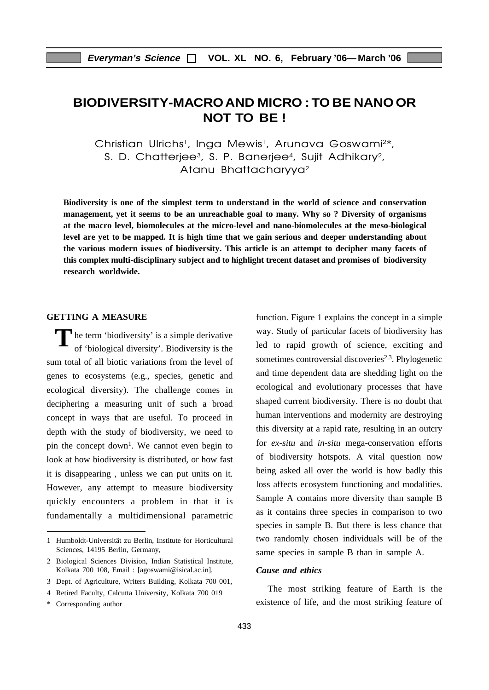# **BIODIVERSITY-MACROAND MICRO : TO BE NANOOR NOT TO BE !**

Christian Ulrichs<sup>1</sup>, Inga Mewis<sup>1</sup>, Arunava Goswami<sup>2\*</sup>, S. D. Chatterjee<sup>3</sup>, S. P. Banerjee<sup>4</sup>, Sujit Adhikary<sup>2</sup>, Atanu Bhattacharyya<sup>2</sup>

**Biodiversity is one of the simplest term to understand in the world of science and conservation management, yet it seems to be an unreachable goal to many. Why so ? Diversity of organisms at the macro level, biomolecules at the micro-level and nano-biomolecules at the meso-biological level are yet to be mapped. It is high time that we gain serious and deeper understanding about the various modern issues of biodiversity. This article is an attempt to decipher many facets of this complex multi-disciplinary subject and to highlight trecent dataset and promises of biodiversity research worldwide.**

#### **GETTING A MEASURE**

The term 'biodiversity' is a simple derivative<br>of 'biological diversity'. Biodiversity is the of 'biological diversity'. Biodiversity is the sum total of all biotic variations from the level of genes to ecosystems (e.g., species, genetic and ecological diversity). The challenge comes in deciphering a measuring unit of such a broad concept in ways that are useful. To proceed in depth with the study of biodiversity, we need to pin the concept down<sup>1</sup>. We cannot even begin to look at how biodiversity is distributed, or how fast it is disappearing , unless we can put units on it. However, any attempt to measure biodiversity quickly encounters a problem in that it is fundamentally a multidimensional parametric function. Figure 1 explains the concept in a simple way. Study of particular facets of biodiversity has led to rapid growth of science, exciting and sometimes controversial discoveries<sup>2,3</sup>. Phylogenetic and time dependent data are shedding light on the ecological and evolutionary processes that have shaped current biodiversity. There is no doubt that human interventions and modernity are destroying this diversity at a rapid rate, resulting in an outcry for *ex-situ* and *in-situ* mega-conservation efforts of biodiversity hotspots. A vital question now being asked all over the world is how badly this loss affects ecosystem functioning and modalities. Sample A contains more diversity than sample B as it contains three species in comparison to two species in sample B. But there is less chance that two randomly chosen individuals will be of the same species in sample B than in sample A.

#### *Cause and ethics*

The most striking feature of Earth is the existence of life, and the most striking feature of

<sup>1</sup> Humboldt-Universität zu Berlin, Institute for Horticultural Sciences, 14195 Berlin, Germany,

<sup>2</sup> Biological Sciences Division, Indian Statistical Institute, Kolkata 700 108, Email : [agoswami@isical.ac.in],

<sup>3</sup> Dept. of Agriculture, Writers Building, Kolkata 700 001,

<sup>4</sup> Retired Faculty, Calcutta University, Kolkata 700 019

<sup>\*</sup> Corresponding author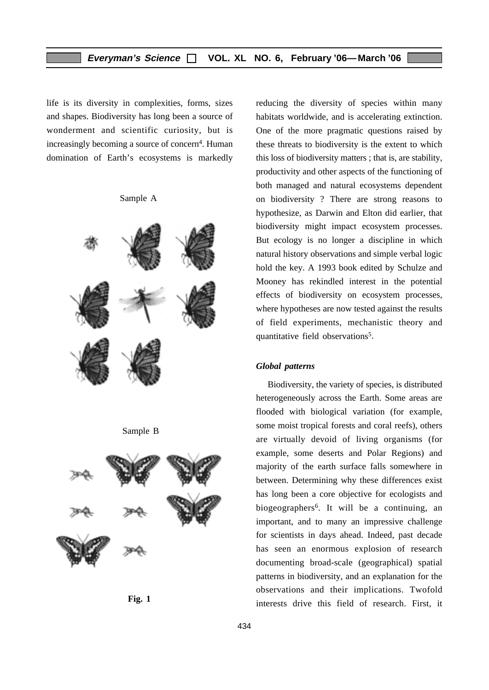life is its diversity in complexities, forms, sizes and shapes. Biodiversity has long been a source of wonderment and scientific curiosity, but is increasingly becoming a source of concern<sup>4</sup>. Human domination of Earth's ecosystems is markedly

Sample A



Sample B





reducing the diversity of species within many habitats worldwide, and is accelerating extinction. One of the more pragmatic questions raised by these threats to biodiversity is the extent to which this loss of biodiversity matters ; that is, are stability, productivity and other aspects of the functioning of both managed and natural ecosystems dependent on biodiversity ? There are strong reasons to hypothesize, as Darwin and Elton did earlier, that biodiversity might impact ecosystem processes. But ecology is no longer a discipline in which natural history observations and simple verbal logic hold the key. A 1993 book edited by Schulze and Mooney has rekindled interest in the potential effects of biodiversity on ecosystem processes, where hypotheses are now tested against the results of field experiments, mechanistic theory and quantitative field observations<sup>5</sup>.

#### *Global patterns*

Biodiversity, the variety of species, is distributed heterogeneously across the Earth. Some areas are flooded with biological variation (for example, some moist tropical forests and coral reefs), others are virtually devoid of living organisms (for example, some deserts and Polar Regions) and majority of the earth surface falls somewhere in between. Determining why these differences exist has long been a core objective for ecologists and biogeographers6. It will be a continuing, an important, and to many an impressive challenge for scientists in days ahead. Indeed, past decade has seen an enormous explosion of research documenting broad-scale (geographical) spatial patterns in biodiversity, and an explanation for the observations and their implications. Twofold interests drive this field of research. First, it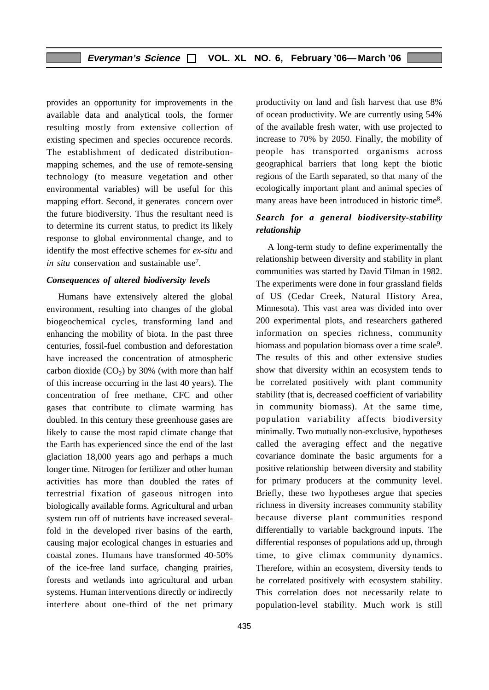provides an opportunity for improvements in the available data and analytical tools, the former resulting mostly from extensive collection of existing specimen and species occurence records. The establishment of dedicated distributionmapping schemes, and the use of remote-sensing technology (to measure vegetation and other environmental variables) will be useful for this mapping effort. Second, it generates concern over the future biodiversity. Thus the resultant need is to determine its current status, to predict its likely response to global environmental change, and to identify the most effective schemes for *ex-situ* and *in situ* conservation and sustainable use<sup>7</sup>.

#### *Consequences of altered biodiversity levels*

Humans have extensively altered the global environment, resulting into changes of the global biogeochemical cycles, transforming land and enhancing the mobility of biota. In the past three centuries, fossil-fuel combustion and deforestation have increased the concentration of atmospheric carbon dioxide  $(CO<sub>2</sub>)$  by 30% (with more than half of this increase occurring in the last 40 years). The concentration of free methane, CFC and other gases that contribute to climate warming has doubled. In this century these greenhouse gases are likely to cause the most rapid climate change that the Earth has experienced since the end of the last glaciation 18,000 years ago and perhaps a much longer time. Nitrogen for fertilizer and other human activities has more than doubled the rates of terrestrial fixation of gaseous nitrogen into biologically available forms. Agricultural and urban system run off of nutrients have increased severalfold in the developed river basins of the earth, causing major ecological changes in estuaries and coastal zones. Humans have transformed 40-50% of the ice-free land surface, changing prairies, forests and wetlands into agricultural and urban systems. Human interventions directly or indirectly interfere about one-third of the net primary

productivity on land and fish harvest that use 8% of ocean productivity. We are currently using 54% of the available fresh water, with use projected to increase to 70% by 2050. Finally, the mobility of people has transported organisms across geographical barriers that long kept the biotic regions of the Earth separated, so that many of the ecologically important plant and animal species of many areas have been introduced in historic time8.

#### *Search for a general biodiversity-stability relationship*

A long-term study to define experimentally the relationship between diversity and stability in plant communities was started by David Tilman in 1982. The experiments were done in four grassland fields of US (Cedar Creek, Natural History Area, Minnesota). This vast area was divided into over 200 experimental plots, and researchers gathered information on species richness, community biomass and population biomass over a time scale<sup>9</sup>. The results of this and other extensive studies show that diversity within an ecosystem tends to be correlated positively with plant community stability (that is, decreased coefficient of variability in community biomass). At the same time, population variability affects biodiversity minimally. Two mutually non-exclusive, hypotheses called the averaging effect and the negative covariance dominate the basic arguments for a positive relationship between diversity and stability for primary producers at the community level. Briefly, these two hypotheses argue that species richness in diversity increases community stability because diverse plant communities respond differentially to variable background inputs. The differential responses of populations add up, through time, to give climax community dynamics. Therefore, within an ecosystem, diversity tends to be correlated positively with ecosystem stability. This correlation does not necessarily relate to population-level stability. Much work is still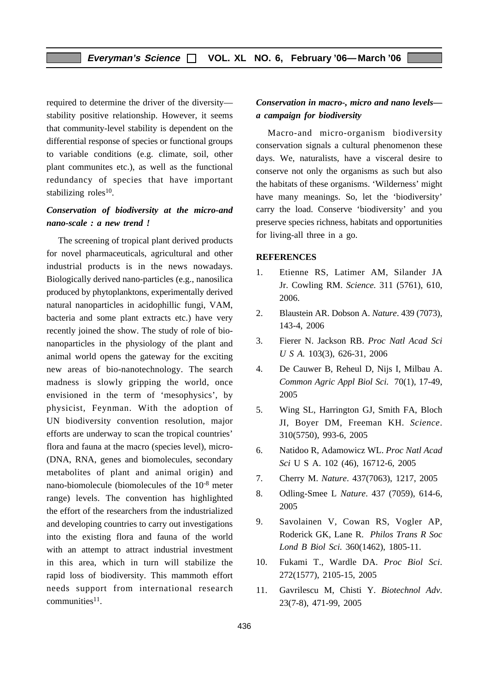required to determine the driver of the diversity stability positive relationship. However, it seems that community-level stability is dependent on the differential response of species or functional groups to variable conditions (e.g. climate, soil, other plant communites etc.), as well as the functional redundancy of species that have important stabilizing roles<sup>10</sup>.

#### *Conservation of biodiversity at the micro-and nano-scale : a new trend !*

The screening of tropical plant derived products for novel pharmaceuticals, agricultural and other industrial products is in the news nowadays. Biologically derived nano-particles (e.g., nanosilica produced by phytoplanktons, experimentally derived natural nanoparticles in acidophillic fungi, VAM, bacteria and some plant extracts etc.) have very recently joined the show. The study of role of bionanoparticles in the physiology of the plant and animal world opens the gateway for the exciting new areas of bio-nanotechnology. The search madness is slowly gripping the world, once envisioned in the term of 'mesophysics', by physicist, Feynman. With the adoption of UN biodiversity convention resolution, major efforts are underway to scan the tropical countries' flora and fauna at the macro (species level), micro- (DNA, RNA, genes and biomolecules, secondary metabolites of plant and animal origin) and nano-biomolecule (biomolecules of the 10-8 meter range) levels. The convention has highlighted the effort of the researchers from the industrialized and developing countries to carry out investigations into the existing flora and fauna of the world with an attempt to attract industrial investment in this area, which in turn will stabilize the rapid loss of biodiversity. This mammoth effort needs support from international research communities<sup>11</sup>.

#### *Conservation in macro-, micro and nano levels a campaign for biodiversity*

Macro-and micro-organism biodiversity conservation signals a cultural phenomenon these days. We, naturalists, have a visceral desire to conserve not only the organisms as such but also the habitats of these organisms. 'Wilderness' might have many meanings. So, let the 'biodiversity' carry the load. Conserve 'biodiversity' and you preserve species richness, habitats and opportunities for living-all three in a go.

#### **REFERENCES**

- 1. Etienne RS, Latimer AM, Silander JA Jr. Cowling RM. *Science.* 311 (5761), 610, 2006.
- 2. Blaustein AR. Dobson A. *Nature*. 439 (7073), 143-4, 2006
- 3. Fierer N. Jackson RB. *Proc Natl Acad Sci U S A.* 103(3), 626-31, 2006
- 4. De Cauwer B, Reheul D, Nijs I, Milbau A. *Common Agric Appl Biol Sci.* 70(1), 17-49, 2005
- 5. Wing SL, Harrington GJ, Smith FA, Bloch JI, Boyer DM, Freeman KH. *Science*. 310(5750), 993-6, 2005
- 6. Natidoo R, Adamowicz WL. *Proc Natl Acad Sci* U S A. 102 (46), 16712-6, 2005
- 7. Cherry M. *Nature*. 437(7063), 1217, 2005
- 8. Odling-Smee L *Nature*. 437 (7059), 614-6, 2005
- 9. Savolainen V, Cowan RS, Vogler AP, Roderick GK, Lane R. *Philos Trans R Soc Lond B Biol Sci.* 360(1462), 1805-11.
- 10. Fukami T., Wardle DA. *Proc Biol Sci*. 272(1577), 2105-15, 2005
- 11. Gavrilescu M, Chisti Y. *Biotechnol Adv*. 23(7-8), 471-99, 2005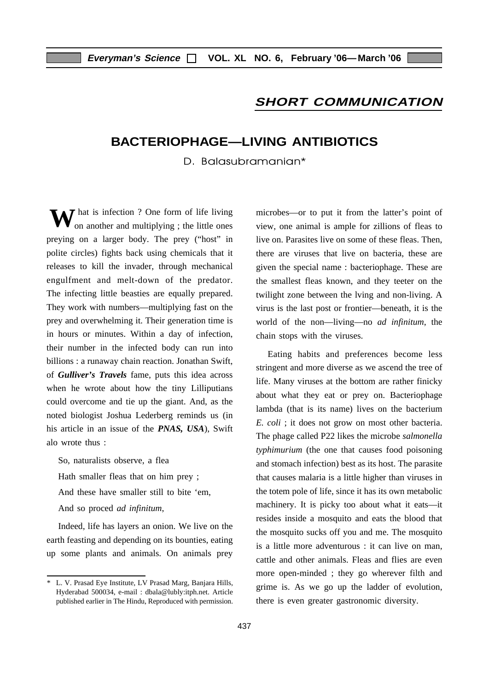#### **SHORT COMMUNICATION**

# **BACTERIOPHAGE—LIVING ANTIBIOTICS**

D. Balasubramanian\*

**W** hat is infection ? One form of life living on another and multiplying ; the little ones on another and multiplying ; the little ones preying on a larger body. The prey ("host" in polite circles) fights back using chemicals that it releases to kill the invader, through mechanical engulfment and melt-down of the predator. The infecting little beasties are equally prepared. They work with numbers—multiplying fast on the prey and overwhelming it. Their generation time is in hours or minutes. Within a day of infection, their number in the infected body can run into billions : a runaway chain reaction. Jonathan Swift, of *Gulliver's Travels* fame, puts this idea across when he wrote about how the tiny Lilliputians could overcome and tie up the giant. And, as the noted biologist Joshua Lederberg reminds us (in his article in an issue of the *PNAS, USA*), Swift alo wrote thus :

So, naturalists observe, a flea

Hath smaller fleas that on him prey ;

And these have smaller still to bite 'em,

And so proced *ad infinitum*,

Indeed, life has layers an onion. We live on the earth feasting and depending on its bounties, eating up some plants and animals. On animals prey microbes—or to put it from the latter's point of view, one animal is ample for zillions of fleas to live on. Parasites live on some of these fleas. Then, there are viruses that live on bacteria, these are given the special name : bacteriophage. These are the smallest fleas known, and they teeter on the twilight zone between the lving and non-living. A virus is the last post or frontier—beneath, it is the world of the non—living—no *ad infinitum*, the chain stops with the viruses.

Eating habits and preferences become less stringent and more diverse as we ascend the tree of life. Many viruses at the bottom are rather finicky about what they eat or prey on. Bacteriophage lambda (that is its name) lives on the bacterium *E. coli* ; it does not grow on most other bacteria. The phage called P22 likes the microbe *salmonella typhimurium* (the one that causes food poisoning and stomach infection) best as its host. The parasite that causes malaria is a little higher than viruses in the totem pole of life, since it has its own metabolic machinery. It is picky too about what it eats—it resides inside a mosquito and eats the blood that the mosquito sucks off you and me. The mosquito is a little more adventurous : it can live on man, cattle and other animals. Fleas and flies are even more open-minded ; they go wherever filth and grime is. As we go up the ladder of evolution, there is even greater gastronomic diversity.

<sup>\*</sup> L. V. Prasad Eye Institute, LV Prasad Marg, Banjara Hills, Hyderabad 500034, e-mail : dbala@lubly:itph.net. Article published earlier in The Hindu, Reproduced with permission.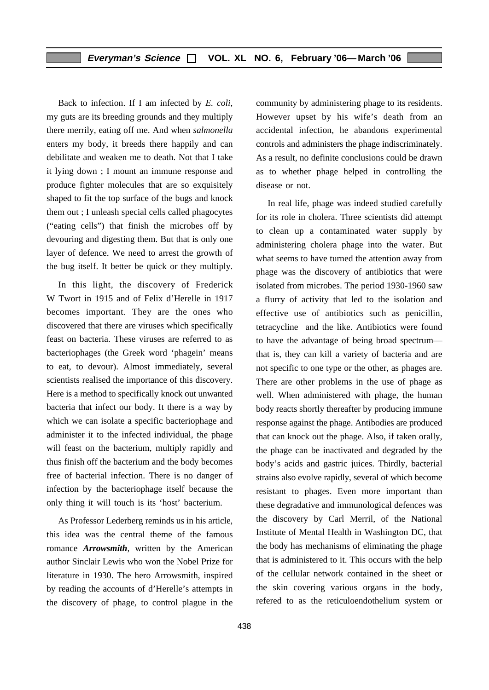Back to infection. If I am infected by *E. coli*, my guts are its breeding grounds and they multiply there merrily, eating off me. And when *salmonella* enters my body, it breeds there happily and can debilitate and weaken me to death. Not that I take it lying down ; I mount an immune response and produce fighter molecules that are so exquisitely shaped to fit the top surface of the bugs and knock them out ; I unleash special cells called phagocytes ("eating cells") that finish the microbes off by devouring and digesting them. But that is only one layer of defence. We need to arrest the growth of the bug itself. It better be quick or they multiply.

In this light, the discovery of Frederick W Twort in 1915 and of Felix d'Herelle in 1917 becomes important. They are the ones who discovered that there are viruses which specifically feast on bacteria. These viruses are referred to as bacteriophages (the Greek word 'phagein' means to eat, to devour). Almost immediately, several scientists realised the importance of this discovery. Here is a method to specifically knock out unwanted bacteria that infect our body. It there is a way by which we can isolate a specific bacteriophage and administer it to the infected individual, the phage will feast on the bacterium, multiply rapidly and thus finish off the bacterium and the body becomes free of bacterial infection. There is no danger of infection by the bacteriophage itself because the only thing it will touch is its 'host' bacterium.

As Professor Lederberg reminds us in his article, this idea was the central theme of the famous romance *Arrowsmith*, written by the American author Sinclair Lewis who won the Nobel Prize for literature in 1930. The hero Arrowsmith, inspired by reading the accounts of d'Herelle's attempts in the discovery of phage, to control plague in the

community by administering phage to its residents. However upset by his wife's death from an accidental infection, he abandons experimental controls and administers the phage indiscriminately. As a result, no definite conclusions could be drawn as to whether phage helped in controlling the disease or not.

In real life, phage was indeed studied carefully for its role in cholera. Three scientists did attempt to clean up a contaminated water supply by administering cholera phage into the water. But what seems to have turned the attention away from phage was the discovery of antibiotics that were isolated from microbes. The period 1930-1960 saw a flurry of activity that led to the isolation and effective use of antibiotics such as penicillin, tetracycline and the like. Antibiotics were found to have the advantage of being broad spectrum that is, they can kill a variety of bacteria and are not specific to one type or the other, as phages are. There are other problems in the use of phage as well. When administered with phage, the human body reacts shortly thereafter by producing immune response against the phage. Antibodies are produced that can knock out the phage. Also, if taken orally, the phage can be inactivated and degraded by the body's acids and gastric juices. Thirdly, bacterial strains also evolve rapidly, several of which become resistant to phages. Even more important than these degradative and immunological defences was the discovery by Carl Merril, of the National Institute of Mental Health in Washington DC, that the body has mechanisms of eliminating the phage that is administered to it. This occurs with the help of the cellular network contained in the sheet or the skin covering various organs in the body, refered to as the reticuloendothelium system or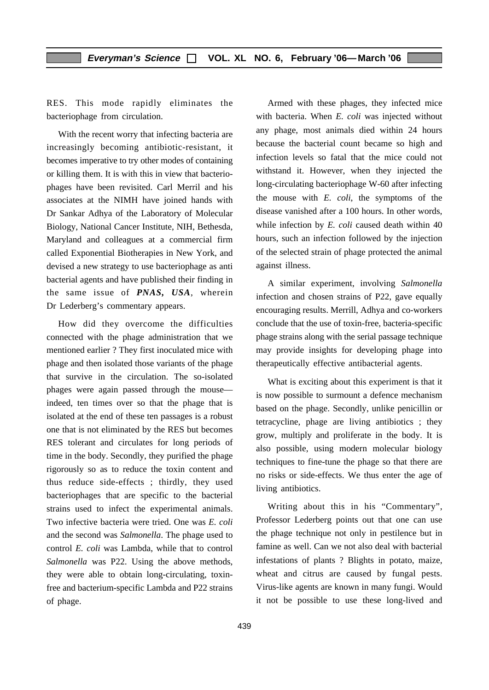RES. This mode rapidly eliminates the bacteriophage from circulation.

With the recent worry that infecting bacteria are increasingly becoming antibiotic-resistant, it becomes imperative to try other modes of containing or killing them. It is with this in view that bacteriophages have been revisited. Carl Merril and his associates at the NIMH have joined hands with Dr Sankar Adhya of the Laboratory of Molecular Biology, National Cancer Institute, NIH, Bethesda, Maryland and colleagues at a commercial firm called Exponential Biotherapies in New York, and devised a new strategy to use bacteriophage as anti bacterial agents and have published their finding in the same issue of *PNAS, USA*, wherein Dr Lederberg's commentary appears.

How did they overcome the difficulties connected with the phage administration that we mentioned earlier ? They first inoculated mice with phage and then isolated those variants of the phage that survive in the circulation. The so-isolated phages were again passed through the mouse indeed, ten times over so that the phage that is isolated at the end of these ten passages is a robust one that is not eliminated by the RES but becomes RES tolerant and circulates for long periods of time in the body. Secondly, they purified the phage rigorously so as to reduce the toxin content and thus reduce side-effects ; thirdly, they used bacteriophages that are specific to the bacterial strains used to infect the experimental animals. Two infective bacteria were tried. One was *E. coli* and the second was *Salmonella*. The phage used to control *E. coli* was Lambda, while that to control *Salmonella* was P22. Using the above methods, they were able to obtain long-circulating, toxinfree and bacterium-specific Lambda and P22 strains of phage.

Armed with these phages, they infected mice with bacteria. When *E. coli* was injected without any phage, most animals died within 24 hours because the bacterial count became so high and infection levels so fatal that the mice could not withstand it. However, when they injected the long-circulating bacteriophage W-60 after infecting the mouse with *E. coli*, the symptoms of the disease vanished after a 100 hours. In other words, while infection by *E. coli* caused death within 40 hours, such an infection followed by the injection of the selected strain of phage protected the animal against illness.

A similar experiment, involving *Salmonella* infection and chosen strains of P22, gave equally encouraging results. Merrill, Adhya and co-workers conclude that the use of toxin-free, bacteria-specific phage strains along with the serial passage technique may provide insights for developing phage into therapeutically effective antibacterial agents.

What is exciting about this experiment is that it is now possible to surmount a defence mechanism based on the phage. Secondly, unlike penicillin or tetracycline, phage are living antibiotics ; they grow, multiply and proliferate in the body. It is also possible, using modern molecular biology techniques to fine-tune the phage so that there are no risks or side-effects. We thus enter the age of living antibiotics.

Writing about this in his "Commentary", Professor Lederberg points out that one can use the phage technique not only in pestilence but in famine as well. Can we not also deal with bacterial infestations of plants ? Blights in potato, maize, wheat and citrus are caused by fungal pests. Virus-like agents are known in many fungi. Would it not be possible to use these long-lived and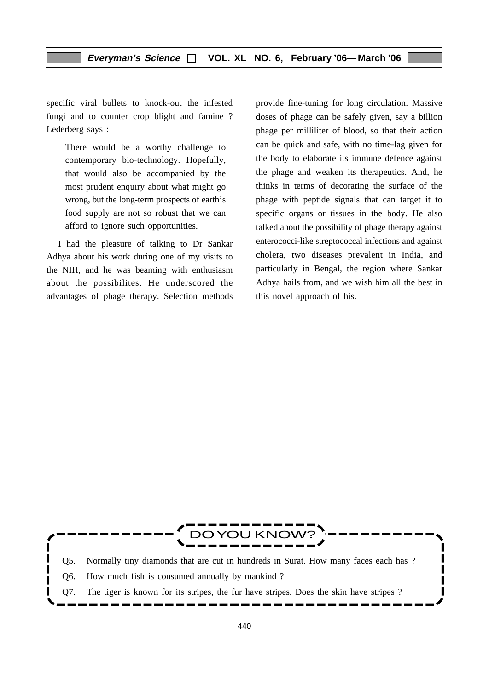specific viral bullets to knock-out the infested fungi and to counter crop blight and famine ? Lederberg says :

There would be a worthy challenge to contemporary bio-technology. Hopefully, that would also be accompanied by the most prudent enquiry about what might go wrong, but the long-term prospects of earth's food supply are not so robust that we can afford to ignore such opportunities.

I had the pleasure of talking to Dr Sankar Adhya about his work during one of my visits to the NIH, and he was beaming with enthusiasm about the possibilites. He underscored the advantages of phage therapy. Selection methods provide fine-tuning for long circulation. Massive doses of phage can be safely given, say a billion phage per milliliter of blood, so that their action can be quick and safe, with no time-lag given for the body to elaborate its immune defence against the phage and weaken its therapeutics. And, he thinks in terms of decorating the surface of the phage with peptide signals that can target it to specific organs or tissues in the body. He also talked about the possibility of phage therapy against enterococci-like streptococcal infections and against cholera, two diseases prevalent in India, and particularly in Bengal, the region where Sankar Adhya hails from, and we wish him all the best in this novel approach of his.

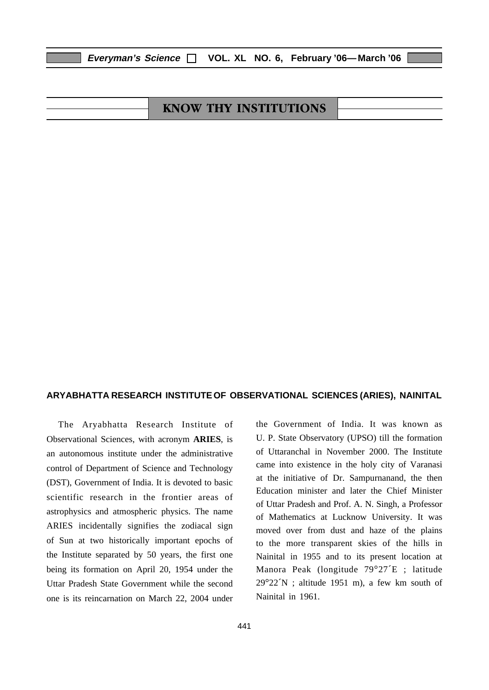# KNOW THY INSTITUTIONS

#### **ARYABHATTA RESEARCH INSTITUTEOF OBSERVATIONAL SCIENCES (ARIES), NAINITAL**

The Aryabhatta Research Institute of Observational Sciences, with acronym **ARIES**, is an autonomous institute under the administrative control of Department of Science and Technology (DST), Government of India. It is devoted to basic scientific research in the frontier areas of astrophysics and atmospheric physics. The name ARIES incidentally signifies the zodiacal sign of Sun at two historically important epochs of the Institute separated by 50 years, the first one being its formation on April 20, 1954 under the Uttar Pradesh State Government while the second one is its reincarnation on March 22, 2004 under the Government of India. It was known as U. P. State Observatory (UPSO) till the formation of Uttaranchal in November 2000. The Institute came into existence in the holy city of Varanasi at the initiative of Dr. Sampurnanand, the then Education minister and later the Chief Minister of Uttar Pradesh and Prof. A. N. Singh, a Professor of Mathematics at Lucknow University. It was moved over from dust and haze of the plains to the more transparent skies of the hills in Nainital in 1955 and to its present location at Manora Peak (longitude 79°27´E ; latitude  $29^{\circ}22^{\prime}N$ ; altitude 1951 m), a few km south of Nainital in 1961.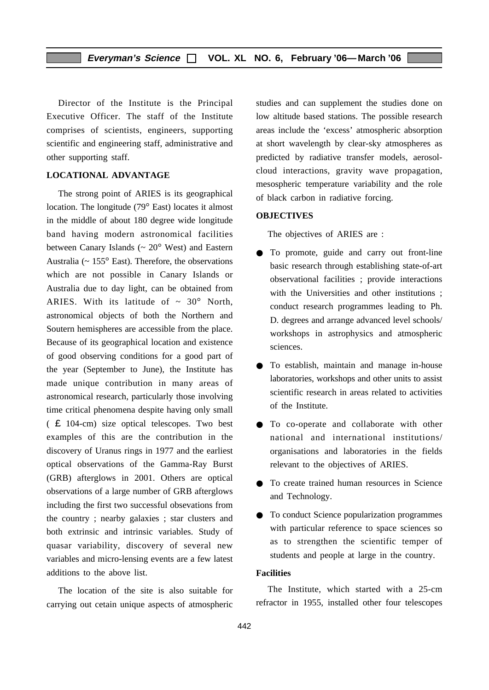Director of the Institute is the Principal Executive Officer. The staff of the Institute comprises of scientists, engineers, supporting scientific and engineering staff, administrative and other supporting staff.

#### **LOCATIONAL ADVANTAGE**

The strong point of ARIES is its geographical location. The longitude (79° East) locates it almost in the middle of about 180 degree wide longitude band having modern astronomical facilities between Canary Islands ( $\sim 20^{\circ}$  West) and Eastern Australia (~ 155° East). Therefore, the observations which are not possible in Canary Islands or Australia due to day light, can be obtained from ARIES. With its latitude of  $\sim 30^{\circ}$  North, astronomical objects of both the Northern and Soutern hemispheres are accessible from the place. Because of its geographical location and existence of good observing conditions for a good part of the year (September to June), the Institute has made unique contribution in many areas of astronomical research, particularly those involving time critical phenomena despite having only small ( £ 104-cm) size optical telescopes. Two best examples of this are the contribution in the discovery of Uranus rings in 1977 and the earliest optical observations of the Gamma-Ray Burst (GRB) afterglows in 2001. Others are optical observations of a large number of GRB afterglows including the first two successful obsevations from the country ; nearby galaxies ; star clusters and both extrinsic and intrinsic variables. Study of quasar variability, discovery of several new variables and micro-lensing events are a few latest additions to the above list.

The location of the site is also suitable for carrying out cetain unique aspects of atmospheric studies and can supplement the studies done on low altitude based stations. The possible research areas include the 'excess' atmospheric absorption at short wavelength by clear-sky atmospheres as predicted by radiative transfer models, aerosolcloud interactions, gravity wave propagation, mesospheric temperature variability and the role of black carbon in radiative forcing.

#### **OBJECTIVES**

The objectives of ARIES are :

- To promote, guide and carry out front-line basic research through establishing state-of-art observational facilities ; provide interactions with the Universities and other institutions ; conduct research programmes leading to Ph. D. degrees and arrange advanced level schools/ workshops in astrophysics and atmospheric sciences.
- To establish, maintain and manage in-house laboratories, workshops and other units to assist scientific research in areas related to activities of the Institute.
- To co-operate and collaborate with other national and international institutions/ organisations and laboratories in the fields relevant to the objectives of ARIES.
- To create trained human resources in Science and Technology.
- To conduct Science popularization programmes with particular reference to space sciences so as to strengthen the scientific temper of students and people at large in the country.

#### **Facilities**

The Institute, which started with a 25-cm refractor in 1955, installed other four telescopes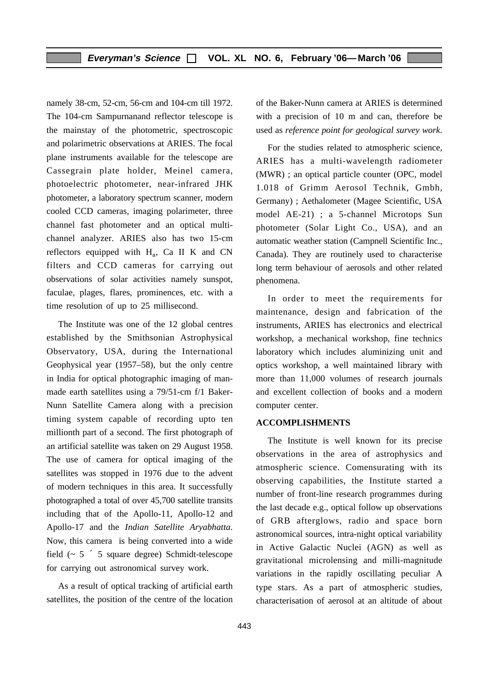namely 38-cm, 52-cm, 56-cm and 104-cm till 1972. The 104-cm Sampurnanand reflector telescope is the mainstay of the photometric, spectroscopic and polarimetric observations at ARIES. The focal plane instruments available for the telescope are Cassegrain plate holder, Meinel camera, photoelectric photometer, near-infrared JHK photometer, a laboratory spectrum scanner, modern cooled CCD cameras, imaging polarimeter, three channel fast photometer and an optical multichannel analyzer. ARIES also has two 15-cm reflectors equipped with  $H_a$ , Ca II K and CN filters and CCD cameras for carrying out observations of solar activities namely sunspot, faculae, plages, flares, prominences, etc. with a time resolution of up to 25 millisecond.

The Institute was one of the 12 global centres established by the Smithsonian Astrophysical Observatory, USA, during the International Geophysical year (1957–58), but the only centre in India for optical photographic imaging of manmade earth satellites using a 79/51-cm f/1 Baker-Nunn Satellite Camera along with a precision timing system capable of recording upto ten millionth part of a second. The first photograph of an artificial satellite was taken on 29 August 1958. The use of camera for optical imaging of the satellites was stopped in 1976 due to the advent of modern techniques in this area. It successfully photographed a total of over 45,700 satellite transits including that of the Apollo-11, Apollo-12 and Apollo-17 and the *Indian Satellite Aryabhatta*. Now, this camera is being converted into a wide field  $(-5)$  5 square degree) Schmidt-telescope for carrying out astronomical survey work.

As a result of optical tracking of artificial earth satellites, the position of the centre of the location of the Baker-Nunn camera at ARIES is determined with a precision of 10 m and can, therefore be used as *reference point for geological survey work*.

For the studies related to atmospheric science, ARIES has a multi-wavelength radiometer (MWR) ; an optical particle counter (OPC, model 1.018 of Grimm Aerosol Technik, Gmbh, Germany) ; Aethalometer (Magee Scientific, USA model AE-21) ; a 5-channel Microtops Sun photometer (Solar Light Co., USA), and an automatic weather station (Campnell Scientific Inc., Canada). They are routinely used to characterise long term behaviour of aerosols and other related phenomena.

In order to meet the requirements for maintenance, design and fabrication of the instruments, ARIES has electronics and electrical workshop, a mechanical workshop, fine technics laboratory which includes aluminizing unit and optics workshop, a well maintained library with more than 11,000 volumes of research journals and excellent collection of books and a modern computer center.

#### **ACCOMPLISHMENTS**

The Institute is well known for its precise observations in the area of astrophysics and atmospheric science. Comensurating with its observing capabilities, the Institute started a number of front-line research programmes during the last decade e.g., optical follow up observations of GRB afterglows, radio and space born astronomical sources, intra-night optical variability in Active Galactic Nuclei (AGN) as well as gravitational microlensing and milli-magnitude variations in the rapidly oscillating peculiar A type stars. As a part of atmospheric studies, characterisation of aerosol at an altitude of about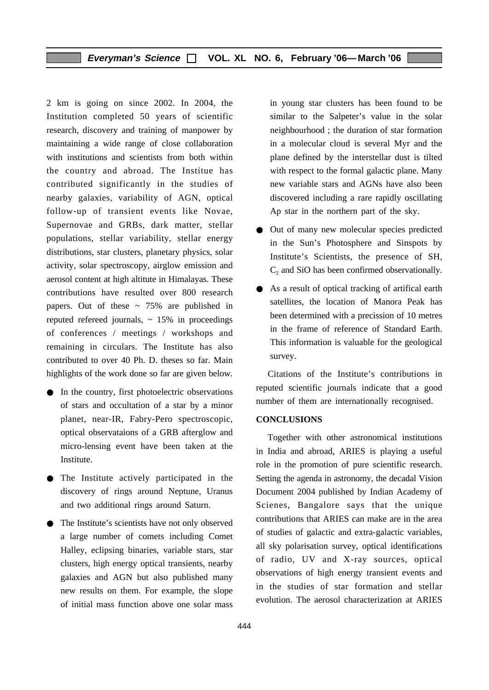2 km is going on since 2002. In 2004, the Institution completed 50 years of scientific research, discovery and training of manpower by maintaining a wide range of close collaboration with institutions and scientists from both within the country and abroad. The Institue has contributed significantly in the studies of nearby galaxies, variability of AGN, optical follow-up of transient events like Novae, Supernovae and GRBs, dark matter, stellar populations, stellar variability, stellar energy distributions, star clusters, planetary physics, solar activity, solar spectroscopy, airglow emission and aerosol content at high altitute in Himalayas. These contributions have resulted over 800 research papers. Out of these  $\sim 75\%$  are published in reputed refereed journals,  $\sim 15\%$  in proceedings of conferences / meetings / workshops and remaining in circulars. The Institute has also contributed to over 40 Ph. D. theses so far. Main highlights of the work done so far are given below.

- In the country, first photoelectric observations of stars and occultation of a star by a minor planet, near-IR, Fabry-Pero spectroscopic, optical observataions of a GRB afterglow and micro-lensing event have been taken at the Institute.
- The Institute actively participated in the discovery of rings around Neptune, Uranus and two additional rings around Saturn.
- The Institute's scientists have not only observed a large number of comets including Comet Halley, eclipsing binaries, variable stars, star clusters, high energy optical transients, nearby galaxies and AGN but also published many new results on them. For example, the slope of initial mass function above one solar mass

in young star clusters has been found to be similar to the Salpeter's value in the solar neighbourhood ; the duration of star formation in a molecular cloud is several Myr and the plane defined by the interstellar dust is tilted with respect to the formal galactic plane. Many new variable stars and AGNs have also been discovered including a rare rapidly oscillating Ap star in the northern part of the sky.

- Out of many new molecular species predicted in the Sun's Photosphere and Sinspots by Institute's Scientists, the presence of SH,  $C<sub>2</sub>$  and SiO has been confirmed observationally.
- As a result of optical tracking of artifical earth satellites, the location of Manora Peak has been determined with a precission of 10 metres in the frame of reference of Standard Earth. This information is valuable for the geological survey.

Citations of the Institute's contributions in reputed scientific journals indicate that a good number of them are internationally recognised.

#### **CONCLUSIONS**

Together with other astronomical institutions in India and abroad, ARIES is playing a useful role in the promotion of pure scientific research. Setting the agenda in astronomy, the decadal Vision Document 2004 published by Indian Academy of Scienes, Bangalore says that the unique contributions that ARIES can make are in the area of studies of galactic and extra-galactic variables, all sky polarisation survey, optical identifications of radio, UV and X-ray sources, optical observations of high energy transient events and in the studies of star formation and stellar evolution. The aerosol characterization at ARIES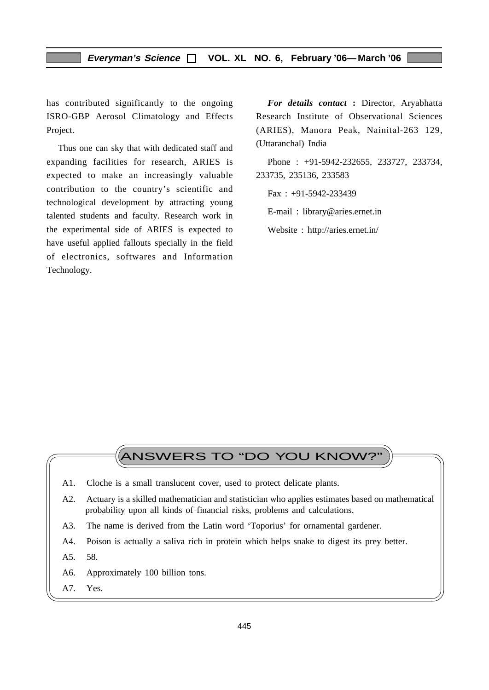#### **Everyman's Science VOL. XL NO. 6, February '06—March '06**

has contributed significantly to the ongoing ISRO-GBP Aerosol Climatology and Effects Project.

Thus one can sky that with dedicated staff and expanding facilities for research, ARIES is expected to make an increasingly valuable contribution to the country's scientific and technological development by attracting young talented students and faculty. Research work in the experimental side of ARIES is expected to have useful applied fallouts specially in the field of electronics, softwares and Information Technology.

*For details contact* **:** Director, Aryabhatta Research Institute of Observational Sciences (ARIES), Manora Peak, Nainital-263 129, (Uttaranchal) India

Phone : +91-5942-232655, 233727, 233734, 233735, 235136, 233583

 $Fax : +91-5942-233439$ 

E-mail : library@aries.ernet.in

Website : http://aries.ernet.in/

# ANSWERS TO "DO YOU KNOW?"

- A1. Cloche is a small translucent cover, used to protect delicate plants.
- A2. Actuary is a skilled mathematician and statistician who applies estimates based on mathematical probability upon all kinds of financial risks, problems and calculations.
- A3. The name is derived from the Latin word 'Toporius' for ornamental gardener.
- A4. Poison is actually a saliva rich in protein which helps snake to digest its prey better.
- A5. 58.
- A6. Approximately 100 billion tons.
- A7. Yes.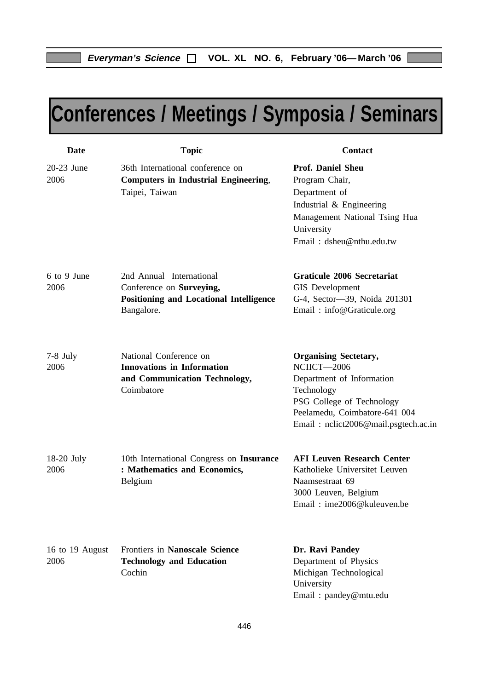# **Conferences / Meetings / Symposia / Seminars**

| <b>Date</b>             | <b>Topic</b>                                                                                                         | <b>Contact</b>                                                                                                                                                                               |
|-------------------------|----------------------------------------------------------------------------------------------------------------------|----------------------------------------------------------------------------------------------------------------------------------------------------------------------------------------------|
| 20-23 June<br>2006      | 36th International conference on<br><b>Computers in Industrial Engineering,</b><br>Taipei, Taiwan                    | <b>Prof. Daniel Sheu</b><br>Program Chair,<br>Department of<br>Industrial & Engineering<br>Management National Tsing Hua<br>University<br>Email: dsheu@nthu.edu.tw                           |
| 6 to 9 June<br>2006     | 2nd Annual International<br>Conference on Surveying,<br><b>Positioning and Locational Intelligence</b><br>Bangalore. | <b>Graticule 2006 Secretariat</b><br><b>GIS</b> Development<br>G-4, Sector-39, Noida 201301<br>Email: info@Graticule.org                                                                     |
| $7-8$ July<br>2006      | National Conference on<br><b>Innovations in Information</b><br>and Communication Technology,<br>Coimbatore           | <b>Organising Sectetary,</b><br>NCIICT-2006<br>Department of Information<br>Technology<br>PSG College of Technology<br>Peelamedu, Coimbatore-641 004<br>Email: nclict2006@mail.psgtech.ac.in |
| $18-20$ July<br>2006    | 10th International Congress on Insurance<br>: Mathematics and Economics,<br>Belgium                                  | <b>AFI Leuven Research Center</b><br>Katholieke Universitet Leuven<br>Naamsestraat 69<br>3000 Leuven, Belgium<br>Email: ime2006@kuleuven.be                                                  |
| 16 to 19 August<br>2006 | <b>Frontiers in Nanoscale Science</b><br><b>Technology and Education</b><br>Cochin                                   | Dr. Ravi Pandey<br>Department of Physics<br>Michigan Technological<br>University<br>Email: pandey@mtu.edu                                                                                    |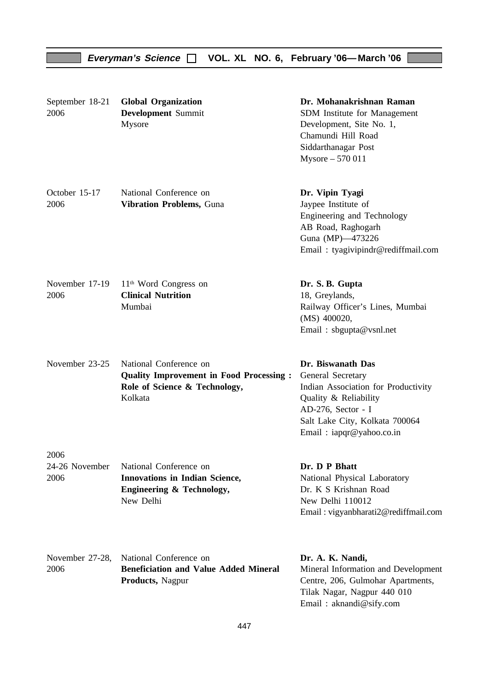| September 18-21<br>2006        | <b>Global Organization</b><br><b>Development</b> Summit<br>Mysore                                                    | Dr. Mohanakrishnan Raman<br>SDM Institute for Management<br>Development, Site No. 1,<br>Chamundi Hill Road<br>Siddarthanagar Post<br>Mysore - 570 011                                      |
|--------------------------------|----------------------------------------------------------------------------------------------------------------------|--------------------------------------------------------------------------------------------------------------------------------------------------------------------------------------------|
| October 15-17<br>2006          | National Conference on<br>Vibration Problems, Guna                                                                   | Dr. Vipin Tyagi<br>Jaypee Institute of<br>Engineering and Technology<br>AB Road, Raghogarh<br>Guna (MP)-473226<br>Email: tyagivipindr@rediffmail.com                                       |
| November 17-19<br>2006         | $11th$ Word Congress on<br><b>Clinical Nutrition</b><br>Mumbai                                                       | Dr. S. B. Gupta<br>18, Greylands,<br>Railway Officer's Lines, Mumbai<br>(MS) 400020,<br>Email: sbgupta@vsnl.net                                                                            |
| November 23-25                 | National Conference on<br><b>Quality Improvement in Food Processing:</b><br>Role of Science & Technology,<br>Kolkata | Dr. Biswanath Das<br>General Secretary<br>Indian Association for Productivity<br>Quality & Reliability<br>AD-276, Sector - I<br>Salt Lake City, Kolkata 700064<br>Email: iapqr@yahoo.co.in |
| 2006<br>24-26 November<br>2006 | National Conference on<br><b>Innovations in Indian Science,</b><br>Engineering & Technology,<br>New Delhi            | Dr. D P Bhatt<br>National Physical Laboratory<br>Dr. K S Krishnan Road<br>New Delhi 110012<br>Email: vigyanbharati2@rediffmail.com                                                         |
| November 27-28,<br>2006        | National Conference on<br><b>Beneficiation and Value Added Mineral</b><br>Products, Nagpur                           | Dr. A. K. Nandi,<br>Mineral Information and Development<br>Centre, 206, Gulmohar Apartments,<br>Tilak Nagar, Nagpur 440 010<br>Email: aknandi@sify.com                                     |

**Everyman's Science VOL. XL NO. 6, February '06—March '06**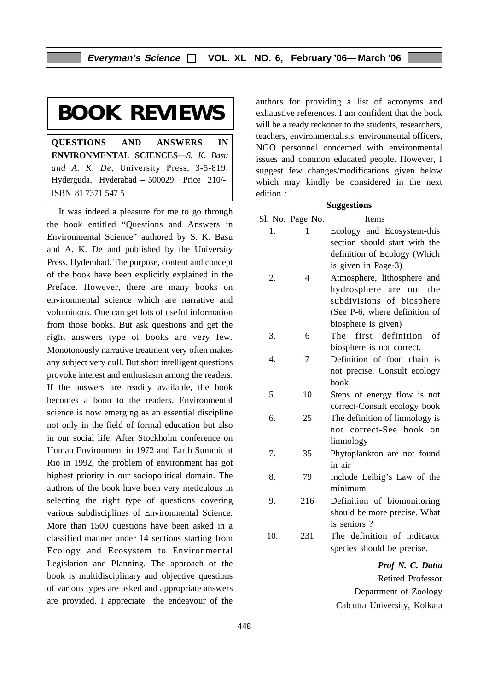# **BOOK REVIEWS**

**QUESTIONS AND ANSWERS IN ENVIRONMENTAL SCIENCES—***S. K. Basu and A. K. De*, University Press, 3-5-819, Hyderguda, Hyderabad – 500029, Price 210/- ISBN 81 7371 547 5

It was indeed a pleasure for me to go through the book entitled "Questions and Answers in Environmental Science" authored by S. K. Basu and A. K. De and published by the University Press, Hyderabad. The purpose, content and concept of the book have been explicitly explained in the Preface. However, there are many books on environmental science which are narrative and voluminous. One can get lots of useful information from those books. But ask questions and get the right answers type of books are very few. Monotonously narrative treatment very often makes any subject very dull. But short intelligent questions provoke interest and enthusiasm among the readers. If the answers are readily available, the book becomes a boon to the readers. Environmental science is now emerging as an essential discipline not only in the field of formal education but also in our social life. After Stockholm conference on Human Environment in 1972 and Earth Summit at Rio in 1992, the problem of environment has got highest priority in our sociopolitical domain. The authors of the book have been very meticulous in selecting the right type of questions covering various subdisciplines of Environmental Science. More than 1500 questions have been asked in a classified manner under 14 sections starting from Ecology and Ecosystem to Environmental Legislation and Planning. The approach of the book is multidisciplinary and objective questions of various types are asked and appropriate answers are provided. I appreciate the endeavour of the

authors for providing a list of acronyms and exhaustive references. I am confident that the book will be a ready reckoner to the students, researchers, teachers, environmentalists, environmental officers, NGO personnel concerned with environmental issues and common educated people. However, I suggest few changes/modifications given below which may kindly be considered in the next edition :

#### **Suggestions**

|     | Sl. No. Page No. | <b>Items</b>                   |
|-----|------------------|--------------------------------|
| 1.  | 1                | Ecology and Ecosystem-this     |
|     |                  | section should start with the  |
|     |                  | definition of Ecology (Which   |
|     |                  | is given in Page-3)            |
| 2.  | 4                | Atmosphere, lithosphere and    |
|     |                  | hydrosphere are not<br>the     |
|     |                  | subdivisions of biosphere      |
|     |                  | (See P-6, where definition of  |
|     |                  | biosphere is given)            |
| 3.  | 6                | first definition<br>The<br>of  |
|     |                  | biosphere is not correct.      |
| 4.  | 7                | Definition of food chain is    |
|     |                  | not precise. Consult ecology   |
|     |                  | book                           |
| 5.  | 10               | Steps of energy flow is not    |
|     |                  | correct-Consult ecology book   |
| 6.  | 25               | The definition of limnology is |
|     |                  | not correct-See book on        |
|     |                  | limnology                      |
| 7.  | 35               | Phytoplankton are not found    |
|     |                  | in air                         |
| 8.  | 79               | Include Leibig's Law of the    |
|     |                  | minimum                        |
| 9.  | 216              | Definition of biomonitoring    |
|     |                  | should be more precise. What   |
|     |                  | is seniors?                    |
| 10. | 231              | The definition of indicator    |

*Prof N. C. Datta* Retired Professor Department of Zoology Calcutta University, Kolkata

species should be precise.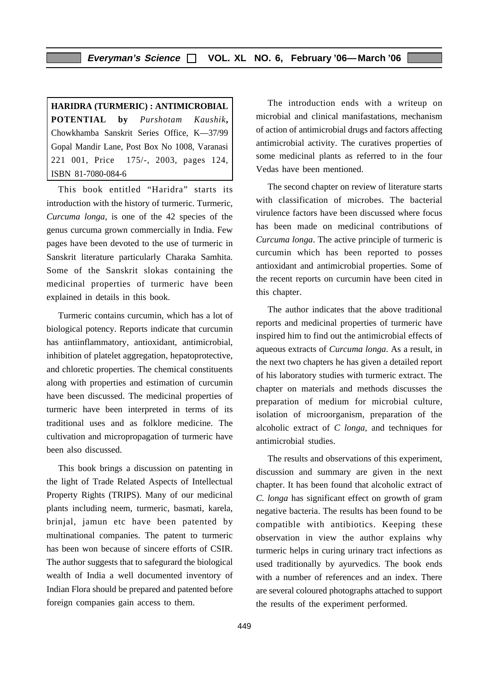**HARIDRA (TURMERIC) : ANTIMICROBIAL POTENTIAL by** *Purshotam Kaushik***,** Chowkhamba Sanskrit Series Office, K—37/99 Gopal Mandir Lane, Post Box No 1008, Varanasi 221 001, Price 175/-, 2003, pages 124, ISBN 81-7080-084-6

This book entitled "Haridra" starts its introduction with the history of turmeric. Turmeric, *Curcuma longa*, is one of the 42 species of the genus curcuma grown commercially in India. Few pages have been devoted to the use of turmeric in Sanskrit literature particularly Charaka Samhita. Some of the Sanskrit slokas containing the medicinal properties of turmeric have been explained in details in this book.

Turmeric contains curcumin, which has a lot of biological potency. Reports indicate that curcumin has antiinflammatory, antioxidant, antimicrobial, inhibition of platelet aggregation, hepatoprotective, and chloretic properties. The chemical constituents along with properties and estimation of curcumin have been discussed. The medicinal properties of turmeric have been interpreted in terms of its traditional uses and as folklore medicine. The cultivation and micropropagation of turmeric have been also discussed.

This book brings a discussion on patenting in the light of Trade Related Aspects of Intellectual Property Rights (TRIPS). Many of our medicinal plants including neem, turmeric, basmati, karela, brinjal, jamun etc have been patented by multinational companies. The patent to turmeric has been won because of sincere efforts of CSIR. The author suggests that to safegurard the biological wealth of India a well documented inventory of Indian Flora should be prepared and patented before foreign companies gain access to them.

The introduction ends with a writeup on microbial and clinical manifastations, mechanism of action of antimicrobial drugs and factors affecting antimicrobial activity. The curatives properties of some medicinal plants as referred to in the four Vedas have been mentioned.

The second chapter on review of literature starts with classification of microbes. The bacterial virulence factors have been discussed where focus has been made on medicinal contributions of *Curcuma longa*. The active principle of turmeric is curcumin which has been reported to posses antioxidant and antimicrobial properties. Some of the recent reports on curcumin have been cited in this chapter.

The author indicates that the above traditional reports and medicinal properties of turmeric have inspired him to find out the antimicrobial effects of aqueous extracts of *Curcuma longa*. As a result, in the next two chapters he has given a detailed report of his laboratory studies with turmeric extract. The chapter on materials and methods discusses the preparation of medium for microbial culture, isolation of microorganism, preparation of the alcoholic extract of *C longa*, and techniques for antimicrobial studies.

The results and observations of this experiment, discussion and summary are given in the next chapter. It has been found that alcoholic extract of *C. longa* has significant effect on growth of gram negative bacteria. The results has been found to be compatible with antibiotics. Keeping these observation in view the author explains why turmeric helps in curing urinary tract infections as used traditionally by ayurvedics. The book ends with a number of references and an index. There are several coloured photographs attached to support the results of the experiment performed.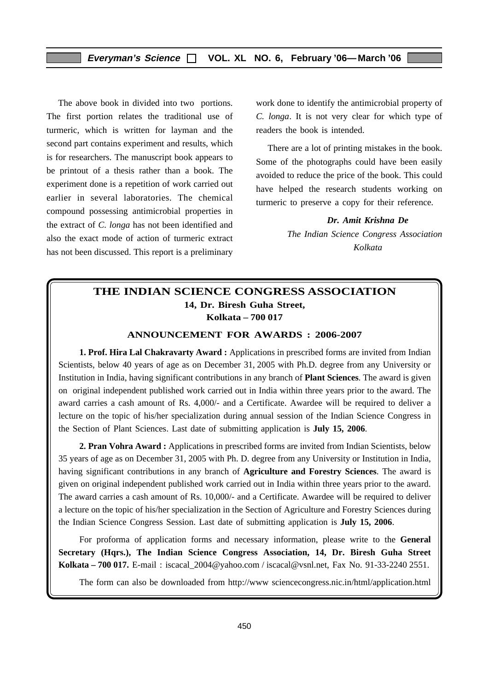The above book in divided into two portions. The first portion relates the traditional use of turmeric, which is written for layman and the second part contains experiment and results, which is for researchers. The manuscript book appears to be printout of a thesis rather than a book. The experiment done is a repetition of work carried out earlier in several laboratories. The chemical compound possessing antimicrobial properties in the extract of *C. longa* has not been identified and also the exact mode of action of turmeric extract has not been discussed. This report is a preliminary

work done to identify the antimicrobial property of *C. longa*. It is not very clear for which type of readers the book is intended.

There are a lot of printing mistakes in the book. Some of the photographs could have been easily avoided to reduce the price of the book. This could have helped the research students working on turmeric to preserve a copy for their reference.

> *Dr. Amit Krishna De The Indian Science Congress Association Kolkata*

### **THE INDIAN SCIENCE CONGRESS ASSOCIATION 14, Dr. Biresh Guha Street, Kolkata – 700 017**

#### **ANNOUNCEMENT FOR AWARDS : 2006-2007**

**1. Prof. Hira Lal Chakravarty Award :** Applications in prescribed forms are invited from Indian Scientists, below 40 years of age as on December 31, 2005 with Ph.D. degree from any University or Institution in India, having significant contributions in any branch of **Plant Sciences**. The award is given on original independent published work carried out in India within three years prior to the award. The award carries a cash amount of Rs. 4,000/- and a Certificate. Awardee will be required to deliver a lecture on the topic of his/her specialization during annual session of the Indian Science Congress in the Section of Plant Sciences. Last date of submitting application is **July 15, 2006**.

**2. Pran Vohra Award :** Applications in prescribed forms are invited from Indian Scientists, below 35 years of age as on December 31, 2005 with Ph. D. degree from any University or Institution in India, having significant contributions in any branch of **Agriculture and Forestry Sciences**. The award is given on original independent published work carried out in India within three years prior to the award. The award carries a cash amount of Rs. 10,000/- and a Certificate. Awardee will be required to deliver a lecture on the topic of his/her specialization in the Section of Agriculture and Forestry Sciences during the Indian Science Congress Session. Last date of submitting application is **July 15, 2006**.

For proforma of application forms and necessary information, please write to the **General Secretary (Hqrs.), The Indian Science Congress Association, 14, Dr. Biresh Guha Street Kolkata – 700 017.** E-mail : iscacal\_2004@yahoo.com / iscacal@vsnl.net, Fax No. 91-33-2240 2551.

The form can also be downloaded from http://www sciencecongress.nic.in/html/application.html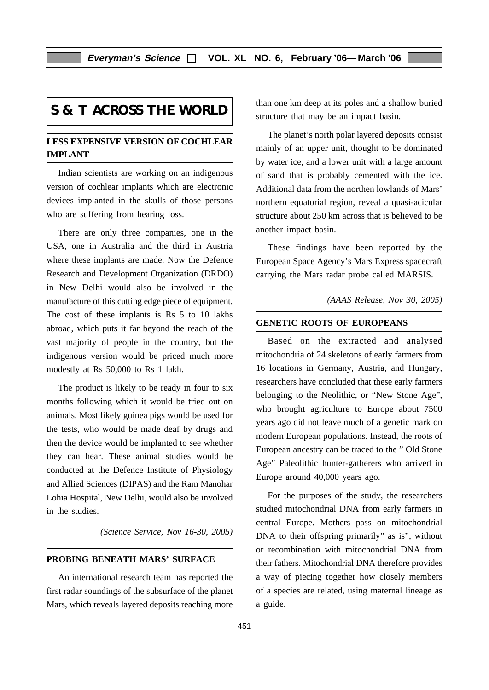# **S & T ACROSS THE WORLD**

#### **LESS EXPENSIVE VERSION OF COCHLEAR IMPLANT**

Indian scientists are working on an indigenous version of cochlear implants which are electronic devices implanted in the skulls of those persons who are suffering from hearing loss.

There are only three companies, one in the USA, one in Australia and the third in Austria where these implants are made. Now the Defence Research and Development Organization (DRDO) in New Delhi would also be involved in the manufacture of this cutting edge piece of equipment. The cost of these implants is Rs 5 to 10 lakhs abroad, which puts it far beyond the reach of the vast majority of people in the country, but the indigenous version would be priced much more modestly at Rs 50,000 to Rs 1 lakh.

The product is likely to be ready in four to six months following which it would be tried out on animals. Most likely guinea pigs would be used for the tests, who would be made deaf by drugs and then the device would be implanted to see whether they can hear. These animal studies would be conducted at the Defence Institute of Physiology and Allied Sciences (DIPAS) and the Ram Manohar Lohia Hospital, New Delhi, would also be involved in the studies.

*(Science Service, Nov 16-30, 2005)*

#### **PROBING BENEATH MARS' SURFACE**

An international research team has reported the first radar soundings of the subsurface of the planet Mars, which reveals layered deposits reaching more than one km deep at its poles and a shallow buried structure that may be an impact basin.

The planet's north polar layered deposits consist mainly of an upper unit, thought to be dominated by water ice, and a lower unit with a large amount of sand that is probably cemented with the ice. Additional data from the northen lowlands of Mars' northern equatorial region, reveal a quasi-acicular structure about 250 km across that is believed to be another impact basin.

These findings have been reported by the European Space Agency's Mars Express spacecraft carrying the Mars radar probe called MARSIS.

*(AAAS Release, Nov 30, 2005)*

#### **GENETIC ROOTS OF EUROPEANS**

Based on the extracted and analysed mitochondria of 24 skeletons of early farmers from 16 locations in Germany, Austria, and Hungary, researchers have concluded that these early farmers belonging to the Neolithic, or "New Stone Age", who brought agriculture to Europe about 7500 years ago did not leave much of a genetic mark on modern European populations. Instead, the roots of European ancestry can be traced to the " Old Stone Age" Paleolithic hunter-gatherers who arrived in Europe around 40,000 years ago.

For the purposes of the study, the researchers studied mitochondrial DNA from early farmers in central Europe. Mothers pass on mitochondrial DNA to their offspring primarily" as is", without or recombination with mitochondrial DNA from their fathers. Mitochondrial DNA therefore provides a way of piecing together how closely members of a species are related, using maternal lineage as a guide.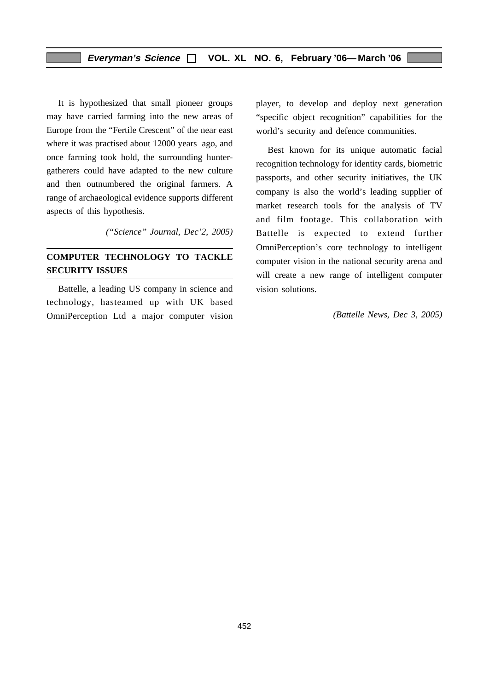It is hypothesized that small pioneer groups may have carried farming into the new areas of Europe from the "Fertile Crescent" of the near east where it was practised about 12000 years ago, and once farming took hold, the surrounding huntergatherers could have adapted to the new culture and then outnumbered the original farmers. A range of archaeological evidence supports different aspects of this hypothesis.

*("Science" Journal, Dec'2, 2005)*

#### **COMPUTER TECHNOLOGY TO TACKLE SECURITY ISSUES**

Battelle, a leading US company in science and technology, hasteamed up with UK based OmniPerception Ltd a major computer vision

player, to develop and deploy next generation "specific object recognition" capabilities for the world's security and defence communities.

Best known for its unique automatic facial recognition technology for identity cards, biometric passports, and other security initiatives, the UK company is also the world's leading supplier of market research tools for the analysis of TV and film footage. This collaboration with Battelle is expected to extend further OmniPerception's core technology to intelligent computer vision in the national security arena and will create a new range of intelligent computer vision solutions.

*(Battelle News, Dec 3, 2005)*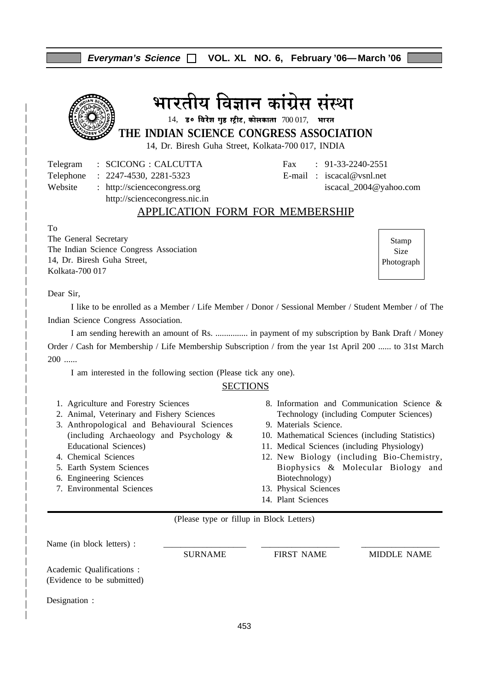| THE INDIAN SCIENCE CONGRESS ASSOCIATION<br>14, Dr. Biresh Guha Street, Kolkata-700 017, INDIA                                                                                                                                                                                                                                                                                                                                                   | भारतीय विज्ञान कांग्रेस संस्था<br>14, ड॰ विरेश गुह स्ट्रीट, कोलकाता $700017$ , भारत                                                                                                                                                                             |                             |
|-------------------------------------------------------------------------------------------------------------------------------------------------------------------------------------------------------------------------------------------------------------------------------------------------------------------------------------------------------------------------------------------------------------------------------------------------|-----------------------------------------------------------------------------------------------------------------------------------------------------------------------------------------------------------------------------------------------------------------|-----------------------------|
| <b>SCICONG: CALCUTTA</b><br>Telegram<br>Telephone<br>$: 2247 - 4530, 2281 - 5323$<br>Website<br>: http://sciencecongress.org<br>http://sciencecongress.nic.in<br>APPLICATION FORM FOR MEMBERSHIP                                                                                                                                                                                                                                                | $: 91-33-2240-2551$<br>Fax<br>E-mail: $iscacal@vsnl.net$<br>iscacal_2004@yahoo.com                                                                                                                                                                              |                             |
| To<br>The General Secretary<br>The Indian Science Congress Association<br>14, Dr. Biresh Guha Street,<br>Kolkata-700 017                                                                                                                                                                                                                                                                                                                        |                                                                                                                                                                                                                                                                 | Stamp<br>Size<br>Photograph |
| Dear Sir,<br>I like to be enrolled as a Member / Life Member / Donor / Sessional Member / Student Member / of The<br>Indian Science Congress Association.<br>I am sending herewith an amount of Rs.  in payment of my subscription by Bank Draft / Money<br>Order / Cash for Membership / Life Membership Subscription / from the year 1st April 200  to 31st March<br>$200$<br>I am interested in the following section (Please tick any one). |                                                                                                                                                                                                                                                                 |                             |
| <b>SECTIONS</b><br>1. Agriculture and Forestry Sciences<br>2. Animal, Veterinary and Fishery Sciences<br>3. Anthropological and Behavioural Sciences<br>(including Archaeology and Psychology &<br><b>Educational Sciences)</b><br>4. Chemical Sciences                                                                                                                                                                                         | 8. Information and Communication Science &<br>Technology (including Computer Sciences)<br>9. Materials Science.<br>10. Mathematical Sciences (including Statistics)<br>11. Medical Sciences (including Physiology)<br>12. New Biology (including Bio-Chemistry, |                             |

**Everyman's Science VOL. XL NO. 6, February '06—March '06**

- Biophysics & Molecular Biology and Biotechnology)
	- 13. Physical Sciences
	- 14. Plant Sciences

(Please type or fillup in Block Letters)

5. Earth System Sciences 6. Engineering Sciences 7. Environmental Sciences

Name (in block letters) : SURNAME FIRST NAME MIDDLE NAME Academic Qualifications : (Evidence to be submitted) Designation :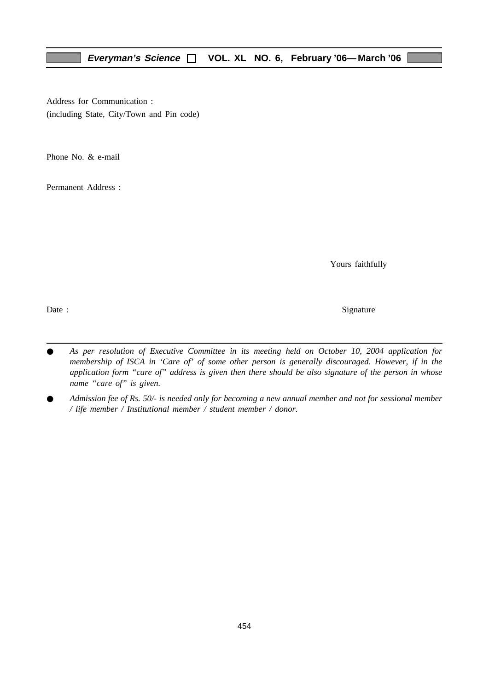Address for Communication : (including State, City/Town and Pin code)

Phone No. & e-mail

Permanent Address :

Yours faithfully

Date : Signature  $\sum_{n=1}^{\infty}$  Signature

- As per resolution of Executive Committee in its meeting held on October 10, 2004 application for *membership of ISCA in 'Care of' of some other person is generally discouraged. However, if in the application form "care of" address is given then there should be also signature of the person in whose name "care of" is given.*
- *Admission fee of Rs. 50/- is needed only for becoming a new annual member and not for sessional member / life member / Institutional member / student member / donor.*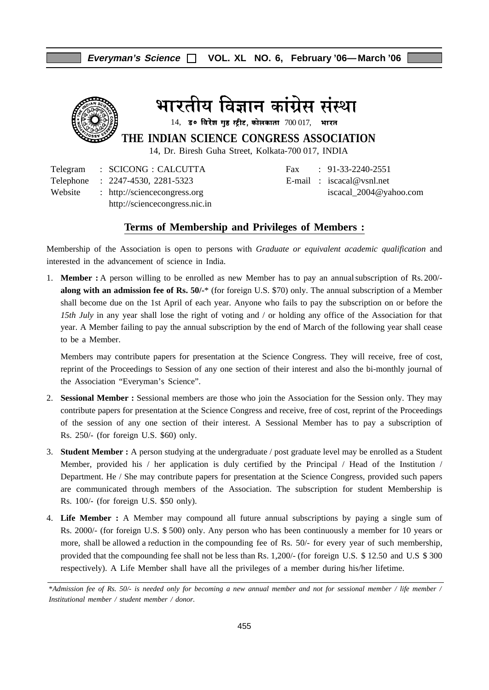

भारतीय विज्ञान कांग्रेस संस्था

 $14$ , उ० विरेश गुह स्ट्रीट, कोलकाता  $700017$ , भारत

**THE INDIAN SCIENCE CONGRESS ASSOCIATION**

14, Dr. Biresh Guha Street, Kolkata-700 017, INDIA

Telegram : SCICONG : CALCUTTA Fax : 91-33-2240-2551 Telephone : 2247-4530, 2281-5323 E-mail : iscacal@vsnl.net Website : http://sciencecongress.org iscacal 2004@yahoo.com http://sciencecongress.nic.in

#### **Terms of Membership and Privileges of Members :**

Membership of the Association is open to persons with *Graduate or equivalent academic qualification* and interested in the advancement of science in India.

1. **Member :** A person willing to be enrolled as new Member has to pay an annualsubscription of Rs. 200/ **along with an admission fee of Rs. 50/-**\* (for foreign U.S. \$70) only. The annual subscription of a Member shall become due on the 1st April of each year. Anyone who fails to pay the subscription on or before the *15th July* in any year shall lose the right of voting and / or holding any office of the Association for that year. A Member failing to pay the annual subscription by the end of March of the following year shall cease to be a Member.

Members may contribute papers for presentation at the Science Congress. They will receive, free of cost, reprint of the Proceedings to Session of any one section of their interest and also the bi-monthly journal of the Association "Everyman's Science".

- 2. **Sessional Member :** Sessional members are those who join the Association for the Session only. They may contribute papers for presentation at the Science Congress and receive, free of cost, reprint of the Proceedings of the session of any one section of their interest. A Sessional Member has to pay a subscription of Rs. 250/- (for foreign U.S. \$60) only.
- 3. **Student Member :** A person studying at the undergraduate / post graduate level may be enrolled as a Student Member, provided his / her application is duly certified by the Principal / Head of the Institution / Department. He / She may contribute papers for presentation at the Science Congress, provided such papers are communicated through members of the Association. The subscription for student Membership is Rs. 100/- (for foreign U.S. \$50 only).
- 4. **Life Member :** A Member may compound all future annual subscriptions by paying a single sum of Rs. 2000/- (for foreign U.S. \$ 500) only. Any person who has been continuously a member for 10 years or more, shall be allowed a reduction in the compounding fee of Rs. 50/- for every year of such membership, provided that the compounding fee shall not be less than Rs. 1,200/- (for foreign U.S. \$ 12.50 and U.S \$ 300 respectively). A Life Member shall have all the privileges of a member during his/her lifetime.

<sup>\*</sup>*Admission fee of Rs. 50/- is needed only for becoming a new annual member and not for sessional member / life member / Institutional member / student member / donor.*